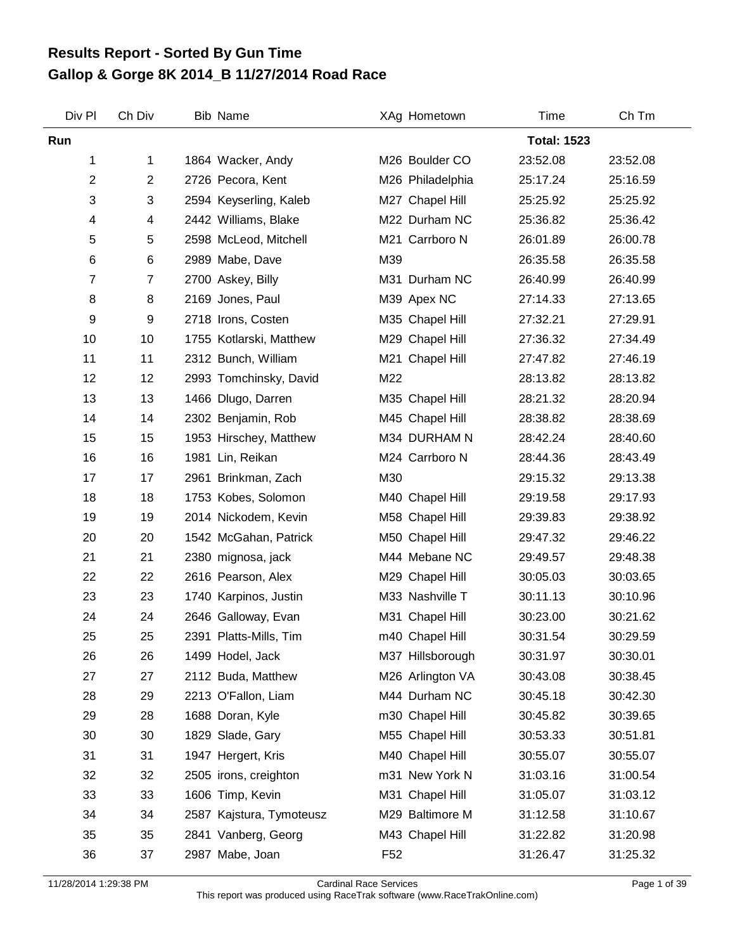## **Gallop & Gorge 8K 2014\_B 11/27/2014 Road Race Results Report - Sorted By Gun Time**

| Div Pl | Ch Div         | <b>Bib Name</b>          |                 | XAg Hometown     | Time               | Ch Tm    |
|--------|----------------|--------------------------|-----------------|------------------|--------------------|----------|
| Run    |                |                          |                 |                  | <b>Total: 1523</b> |          |
| 1      | 1              | 1864 Wacker, Andy        |                 | M26 Boulder CO   | 23:52.08           | 23:52.08 |
| 2      | $\overline{2}$ | 2726 Pecora, Kent        |                 | M26 Philadelphia | 25:17.24           | 25:16.59 |
| 3      | 3              | 2594 Keyserling, Kaleb   |                 | M27 Chapel Hill  | 25:25.92           | 25:25.92 |
| 4      | 4              | 2442 Williams, Blake     |                 | M22 Durham NC    | 25:36.82           | 25:36.42 |
| 5      | 5              | 2598 McLeod, Mitchell    |                 | M21 Carrboro N   | 26:01.89           | 26:00.78 |
| 6      | 6              | 2989 Mabe, Dave          | M39             |                  | 26:35.58           | 26:35.58 |
| 7      | $\overline{7}$ | 2700 Askey, Billy        |                 | M31 Durham NC    | 26:40.99           | 26:40.99 |
| 8      | 8              | 2169 Jones, Paul         |                 | M39 Apex NC      | 27:14.33           | 27:13.65 |
| 9      | 9              | 2718 Irons, Costen       |                 | M35 Chapel Hill  | 27:32.21           | 27:29.91 |
| 10     | 10             | 1755 Kotlarski, Matthew  |                 | M29 Chapel Hill  | 27:36.32           | 27:34.49 |
| 11     | 11             | 2312 Bunch, William      |                 | M21 Chapel Hill  | 27:47.82           | 27:46.19 |
| 12     | 12             | 2993 Tomchinsky, David   | M22             |                  | 28:13.82           | 28:13.82 |
| 13     | 13             | 1466 Dlugo, Darren       |                 | M35 Chapel Hill  | 28:21.32           | 28:20.94 |
| 14     | 14             | 2302 Benjamin, Rob       |                 | M45 Chapel Hill  | 28:38.82           | 28:38.69 |
| 15     | 15             | 1953 Hirschey, Matthew   |                 | M34 DURHAM N     | 28:42.24           | 28:40.60 |
| 16     | 16             | 1981 Lin, Reikan         |                 | M24 Carrboro N   | 28:44.36           | 28:43.49 |
| 17     | 17             | 2961 Brinkman, Zach      | M30             |                  | 29:15.32           | 29:13.38 |
| 18     | 18             | 1753 Kobes, Solomon      |                 | M40 Chapel Hill  | 29:19.58           | 29:17.93 |
| 19     | 19             | 2014 Nickodem, Kevin     |                 | M58 Chapel Hill  | 29:39.83           | 29:38.92 |
| 20     | 20             | 1542 McGahan, Patrick    |                 | M50 Chapel Hill  | 29:47.32           | 29:46.22 |
| 21     | 21             | 2380 mignosa, jack       |                 | M44 Mebane NC    | 29:49.57           | 29:48.38 |
| 22     | 22             | 2616 Pearson, Alex       |                 | M29 Chapel Hill  | 30:05.03           | 30:03.65 |
| 23     | 23             | 1740 Karpinos, Justin    |                 | M33 Nashville T  | 30:11.13           | 30:10.96 |
| 24     | 24             | 2646 Galloway, Evan      |                 | M31 Chapel Hill  | 30:23.00           | 30:21.62 |
| 25     | 25             | 2391 Platts-Mills, Tim   |                 | m40 Chapel Hill  | 30:31.54           | 30:29.59 |
| 26     | 26             | 1499 Hodel, Jack         |                 | M37 Hillsborough | 30:31.97           | 30:30.01 |
| 27     | 27             | 2112 Buda, Matthew       |                 | M26 Arlington VA | 30:43.08           | 30:38.45 |
| 28     | 29             | 2213 O'Fallon, Liam      |                 | M44 Durham NC    | 30:45.18           | 30:42.30 |
| 29     | 28             | 1688 Doran, Kyle         |                 | m30 Chapel Hill  | 30:45.82           | 30:39.65 |
| 30     | 30             | 1829 Slade, Gary         |                 | M55 Chapel Hill  | 30:53.33           | 30:51.81 |
| 31     | 31             | 1947 Hergert, Kris       |                 | M40 Chapel Hill  | 30:55.07           | 30:55.07 |
| 32     | 32             | 2505 irons, creighton    |                 | m31 New York N   | 31:03.16           | 31:00.54 |
| 33     | 33             | 1606 Timp, Kevin         |                 | M31 Chapel Hill  | 31:05.07           | 31:03.12 |
| 34     | 34             | 2587 Kajstura, Tymoteusz |                 | M29 Baltimore M  | 31:12.58           | 31:10.67 |
| 35     | 35             | 2841 Vanberg, Georg      |                 | M43 Chapel Hill  | 31:22.82           | 31:20.98 |
| 36     | 37             | 2987 Mabe, Joan          | F <sub>52</sub> |                  | 31:26.47           | 31:25.32 |

11/28/2014 1:29:38 PM Cardinal Race Services Page 1 of 39 This report was produced using RaceTrak software (www.RaceTrakOnline.com)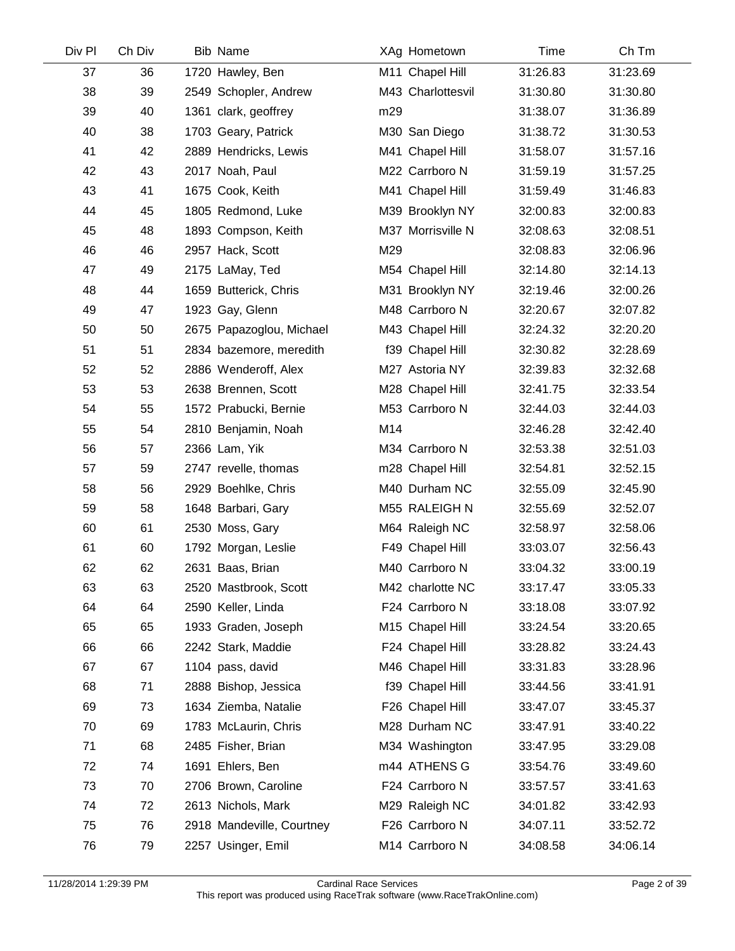| Div Pl | Ch Div | <b>Bib Name</b>           |     | XAg Hometown      | Time     | Ch Tm    |
|--------|--------|---------------------------|-----|-------------------|----------|----------|
| 37     | 36     | 1720 Hawley, Ben          |     | M11 Chapel Hill   | 31:26.83 | 31:23.69 |
| 38     | 39     | 2549 Schopler, Andrew     |     | M43 Charlottesvil | 31:30.80 | 31:30.80 |
| 39     | 40     | 1361 clark, geoffrey      | m29 |                   | 31:38.07 | 31:36.89 |
| 40     | 38     | 1703 Geary, Patrick       |     | M30 San Diego     | 31:38.72 | 31:30.53 |
| 41     | 42     | 2889 Hendricks, Lewis     |     | M41 Chapel Hill   | 31:58.07 | 31:57.16 |
| 42     | 43     | 2017 Noah, Paul           |     | M22 Carrboro N    | 31:59.19 | 31:57.25 |
| 43     | 41     | 1675 Cook, Keith          |     | M41 Chapel Hill   | 31:59.49 | 31:46.83 |
| 44     | 45     | 1805 Redmond, Luke        |     | M39 Brooklyn NY   | 32:00.83 | 32:00.83 |
| 45     | 48     | 1893 Compson, Keith       |     | M37 Morrisville N | 32:08.63 | 32:08.51 |
| 46     | 46     | 2957 Hack, Scott          | M29 |                   | 32:08.83 | 32:06.96 |
| 47     | 49     | 2175 LaMay, Ted           |     | M54 Chapel Hill   | 32:14.80 | 32:14.13 |
| 48     | 44     | 1659 Butterick, Chris     |     | M31 Brooklyn NY   | 32:19.46 | 32:00.26 |
| 49     | 47     | 1923 Gay, Glenn           |     | M48 Carrboro N    | 32:20.67 | 32:07.82 |
| 50     | 50     | 2675 Papazoglou, Michael  |     | M43 Chapel Hill   | 32:24.32 | 32:20.20 |
| 51     | 51     | 2834 bazemore, meredith   |     | f39 Chapel Hill   | 32:30.82 | 32:28.69 |
| 52     | 52     | 2886 Wenderoff, Alex      |     | M27 Astoria NY    | 32:39.83 | 32:32.68 |
| 53     | 53     | 2638 Brennen, Scott       |     | M28 Chapel Hill   | 32:41.75 | 32:33.54 |
| 54     | 55     | 1572 Prabucki, Bernie     |     | M53 Carrboro N    | 32:44.03 | 32:44.03 |
| 55     | 54     | 2810 Benjamin, Noah       | M14 |                   | 32:46.28 | 32:42.40 |
| 56     | 57     | 2366 Lam, Yik             |     | M34 Carrboro N    | 32:53.38 | 32:51.03 |
| 57     | 59     | 2747 revelle, thomas      |     | m28 Chapel Hill   | 32:54.81 | 32:52.15 |
| 58     | 56     | 2929 Boehlke, Chris       |     | M40 Durham NC     | 32:55.09 | 32:45.90 |
| 59     | 58     | 1648 Barbari, Gary        |     | M55 RALEIGH N     | 32:55.69 | 32:52.07 |
| 60     | 61     | 2530 Moss, Gary           |     | M64 Raleigh NC    | 32:58.97 | 32:58.06 |
| 61     | 60     | 1792 Morgan, Leslie       |     | F49 Chapel Hill   | 33:03.07 | 32:56.43 |
| 62     | 62     | 2631 Baas, Brian          |     | M40 Carrboro N    | 33:04.32 | 33:00.19 |
| 63     | 63     | 2520 Mastbrook, Scott     |     | M42 charlotte NC  | 33:17.47 | 33:05.33 |
| 64     | 64     | 2590 Keller, Linda        |     | F24 Carrboro N    | 33:18.08 | 33:07.92 |
| 65     | 65     | 1933 Graden, Joseph       |     | M15 Chapel Hill   | 33:24.54 | 33:20.65 |
| 66     | 66     | 2242 Stark, Maddie        |     | F24 Chapel Hill   | 33:28.82 | 33:24.43 |
| 67     | 67     | 1104 pass, david          |     | M46 Chapel Hill   | 33:31.83 | 33:28.96 |
| 68     | 71     | 2888 Bishop, Jessica      |     | f39 Chapel Hill   | 33:44.56 | 33:41.91 |
| 69     | 73     | 1634 Ziemba, Natalie      |     | F26 Chapel Hill   | 33:47.07 | 33:45.37 |
| 70     | 69     | 1783 McLaurin, Chris      |     | M28 Durham NC     | 33:47.91 | 33:40.22 |
| 71     | 68     | 2485 Fisher, Brian        |     | M34 Washington    | 33:47.95 | 33:29.08 |
| 72     | 74     | 1691 Ehlers, Ben          |     | m44 ATHENS G      | 33:54.76 | 33:49.60 |
| 73     | 70     | 2706 Brown, Caroline      |     | F24 Carrboro N    | 33:57.57 | 33:41.63 |
| 74     | 72     | 2613 Nichols, Mark        |     | M29 Raleigh NC    | 34:01.82 | 33:42.93 |
| 75     | 76     | 2918 Mandeville, Courtney |     | F26 Carrboro N    | 34:07.11 | 33:52.72 |
| 76     | 79     | 2257 Usinger, Emil        |     | M14 Carrboro N    | 34:08.58 | 34:06.14 |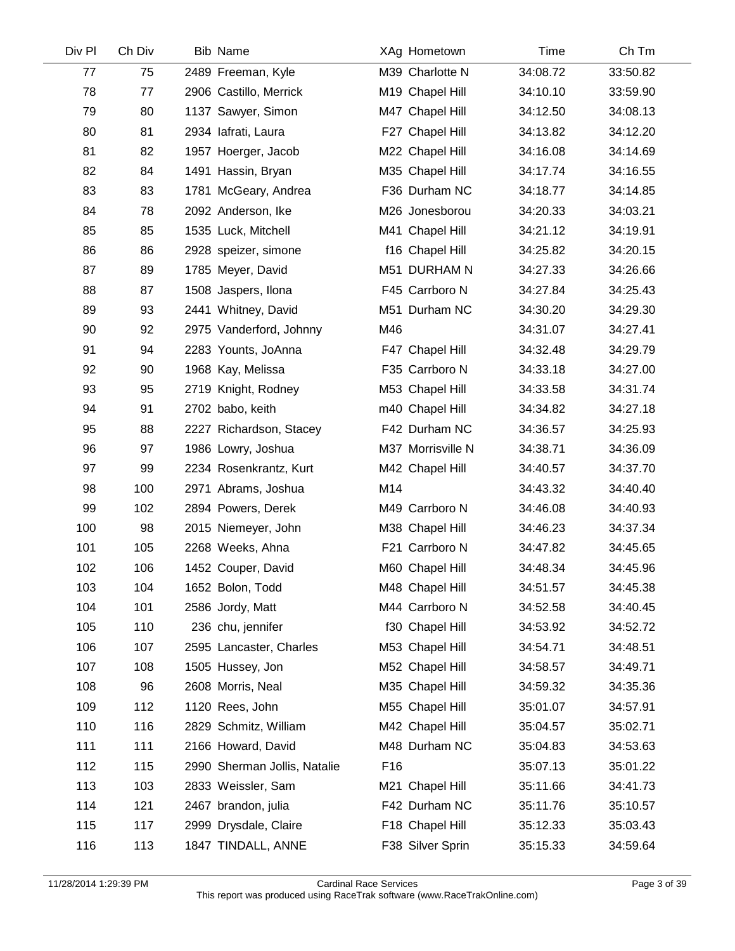| Div Pl | Ch Div | <b>Bib Name</b>              | XAg Hometown      | Time     | Ch Tm    |
|--------|--------|------------------------------|-------------------|----------|----------|
| 77     | 75     | 2489 Freeman, Kyle           | M39 Charlotte N   | 34:08.72 | 33:50.82 |
| 78     | 77     | 2906 Castillo, Merrick       | M19 Chapel Hill   | 34:10.10 | 33:59.90 |
| 79     | 80     | 1137 Sawyer, Simon           | M47 Chapel Hill   | 34:12.50 | 34:08.13 |
| 80     | 81     | 2934 lafrati, Laura          | F27 Chapel Hill   | 34:13.82 | 34:12.20 |
| 81     | 82     | 1957 Hoerger, Jacob          | M22 Chapel Hill   | 34:16.08 | 34:14.69 |
| 82     | 84     | 1491 Hassin, Bryan           | M35 Chapel Hill   | 34:17.74 | 34:16.55 |
| 83     | 83     | 1781 McGeary, Andrea         | F36 Durham NC     | 34:18.77 | 34:14.85 |
| 84     | 78     | 2092 Anderson, Ike           | M26 Jonesborou    | 34:20.33 | 34:03.21 |
| 85     | 85     | 1535 Luck, Mitchell          | M41 Chapel Hill   | 34:21.12 | 34:19.91 |
| 86     | 86     | 2928 speizer, simone         | f16 Chapel Hill   | 34:25.82 | 34:20.15 |
| 87     | 89     | 1785 Meyer, David            | M51 DURHAM N      | 34:27.33 | 34:26.66 |
| 88     | 87     | 1508 Jaspers, Ilona          | F45 Carrboro N    | 34:27.84 | 34:25.43 |
| 89     | 93     | 2441 Whitney, David          | M51 Durham NC     | 34:30.20 | 34:29.30 |
| 90     | 92     | 2975 Vanderford, Johnny      | M46               | 34:31.07 | 34:27.41 |
| 91     | 94     | 2283 Younts, JoAnna          | F47 Chapel Hill   | 34:32.48 | 34:29.79 |
| 92     | 90     | 1968 Kay, Melissa            | F35 Carrboro N    | 34:33.18 | 34:27.00 |
| 93     | 95     | 2719 Knight, Rodney          | M53 Chapel Hill   | 34:33.58 | 34:31.74 |
| 94     | 91     | 2702 babo, keith             | m40 Chapel Hill   | 34:34.82 | 34:27.18 |
| 95     | 88     | 2227 Richardson, Stacey      | F42 Durham NC     | 34:36.57 | 34:25.93 |
| 96     | 97     | 1986 Lowry, Joshua           | M37 Morrisville N | 34:38.71 | 34:36.09 |
| 97     | 99     | 2234 Rosenkrantz, Kurt       | M42 Chapel Hill   | 34:40.57 | 34:37.70 |
| 98     | 100    | 2971 Abrams, Joshua          | M14               | 34:43.32 | 34:40.40 |
| 99     | 102    | 2894 Powers, Derek           | M49 Carrboro N    | 34:46.08 | 34:40.93 |
| 100    | 98     | 2015 Niemeyer, John          | M38 Chapel Hill   | 34:46.23 | 34:37.34 |
| 101    | 105    | 2268 Weeks, Ahna             | F21 Carrboro N    | 34:47.82 | 34:45.65 |
| 102    | 106    | 1452 Couper, David           | M60 Chapel Hill   | 34:48.34 | 34:45.96 |
| 103    | 104    | 1652 Bolon, Todd             | M48 Chapel Hill   | 34:51.57 | 34:45.38 |
| 104    | 101    | 2586 Jordy, Matt             | M44 Carrboro N    | 34:52.58 | 34:40.45 |
| 105    | 110    | 236 chu, jennifer            | f30 Chapel Hill   | 34:53.92 | 34:52.72 |
| 106    | 107    | 2595 Lancaster, Charles      | M53 Chapel Hill   | 34:54.71 | 34:48.51 |
| 107    | 108    | 1505 Hussey, Jon             | M52 Chapel Hill   | 34:58.57 | 34:49.71 |
| 108    | 96     | 2608 Morris, Neal            | M35 Chapel Hill   | 34:59.32 | 34:35.36 |
| 109    | 112    | 1120 Rees, John              | M55 Chapel Hill   | 35:01.07 | 34:57.91 |
| 110    | 116    | 2829 Schmitz, William        | M42 Chapel Hill   | 35:04.57 | 35:02.71 |
| 111    | 111    | 2166 Howard, David           | M48 Durham NC     | 35:04.83 | 34:53.63 |
| 112    | 115    | 2990 Sherman Jollis, Natalie | F16               | 35:07.13 | 35:01.22 |
| 113    | 103    | 2833 Weissler, Sam           | M21 Chapel Hill   | 35:11.66 | 34:41.73 |
| 114    | 121    | 2467 brandon, julia          | F42 Durham NC     | 35:11.76 | 35:10.57 |
| 115    | 117    | 2999 Drysdale, Claire        | F18 Chapel Hill   | 35:12.33 | 35:03.43 |
| 116    | 113    | 1847 TINDALL, ANNE           | F38 Silver Sprin  | 35:15.33 | 34:59.64 |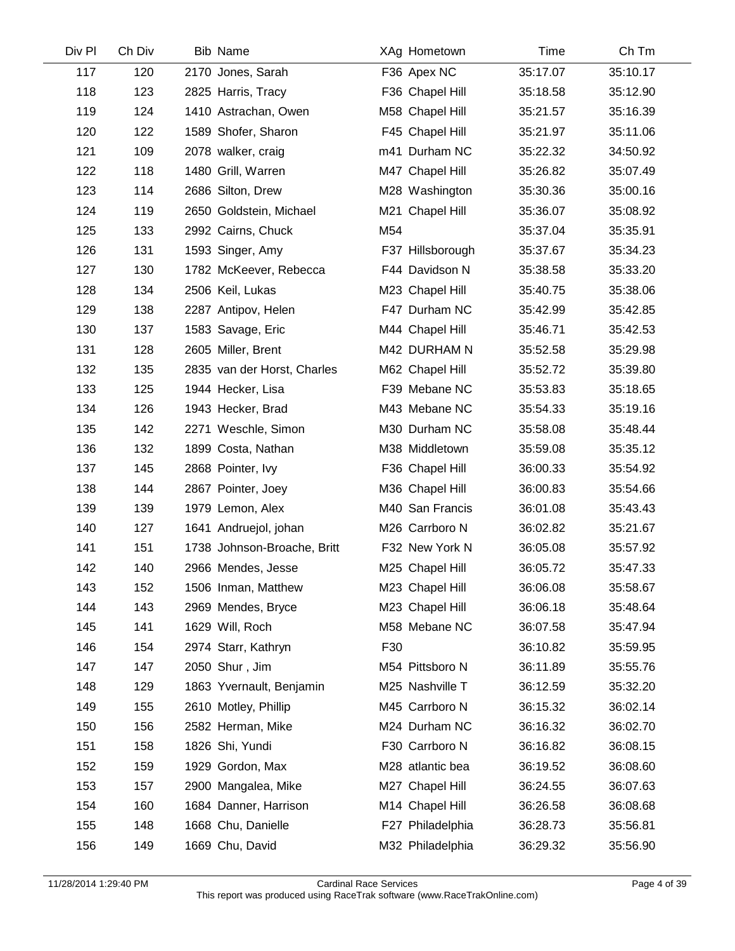| Ch Div | <b>Bib Name</b>             | XAg Hometown     | Time     | Ch Tm    |
|--------|-----------------------------|------------------|----------|----------|
| 120    | 2170 Jones, Sarah           | F36 Apex NC      | 35:17.07 | 35:10.17 |
| 123    | 2825 Harris, Tracy          | F36 Chapel Hill  | 35:18.58 | 35:12.90 |
| 124    | 1410 Astrachan, Owen        | M58 Chapel Hill  | 35:21.57 | 35:16.39 |
| 122    | 1589 Shofer, Sharon         | F45 Chapel Hill  | 35:21.97 | 35:11.06 |
| 109    | 2078 walker, craig          | m41 Durham NC    | 35:22.32 | 34:50.92 |
| 118    | 1480 Grill, Warren          | M47 Chapel Hill  | 35:26.82 | 35:07.49 |
| 114    | 2686 Silton, Drew           | M28 Washington   | 35:30.36 | 35:00.16 |
| 119    | 2650 Goldstein, Michael     | M21 Chapel Hill  | 35:36.07 | 35:08.92 |
| 133    | 2992 Cairns, Chuck          | M54              | 35:37.04 | 35:35.91 |
| 131    | 1593 Singer, Amy            | F37 Hillsborough | 35:37.67 | 35:34.23 |
| 130    | 1782 McKeever, Rebecca      | F44 Davidson N   | 35:38.58 | 35:33.20 |
| 134    | 2506 Keil, Lukas            | M23 Chapel Hill  | 35:40.75 | 35:38.06 |
| 138    | 2287 Antipov, Helen         | F47 Durham NC    | 35:42.99 | 35:42.85 |
| 137    | 1583 Savage, Eric           | M44 Chapel Hill  | 35:46.71 | 35:42.53 |
| 128    | 2605 Miller, Brent          | M42 DURHAM N     | 35:52.58 | 35:29.98 |
| 135    | 2835 van der Horst, Charles | M62 Chapel Hill  | 35:52.72 | 35:39.80 |
| 125    | 1944 Hecker, Lisa           | F39 Mebane NC    | 35:53.83 | 35:18.65 |
| 126    | 1943 Hecker, Brad           | M43 Mebane NC    | 35:54.33 | 35:19.16 |
| 142    | 2271 Weschle, Simon         | M30 Durham NC    | 35:58.08 | 35:48.44 |
| 132    | 1899 Costa, Nathan          | M38 Middletown   | 35:59.08 | 35:35.12 |
| 145    | 2868 Pointer, Ivy           | F36 Chapel Hill  | 36:00.33 | 35:54.92 |
| 144    | 2867 Pointer, Joey          | M36 Chapel Hill  | 36:00.83 | 35:54.66 |
| 139    | 1979 Lemon, Alex            | M40 San Francis  | 36:01.08 | 35:43.43 |
| 127    | 1641 Andruejol, johan       | M26 Carrboro N   | 36:02.82 | 35:21.67 |
| 151    | 1738 Johnson-Broache, Britt | F32 New York N   | 36:05.08 | 35:57.92 |
| 140    | 2966 Mendes, Jesse          | M25 Chapel Hill  | 36:05.72 | 35:47.33 |
| 152    | 1506 Inman, Matthew         | M23 Chapel Hill  | 36:06.08 | 35:58.67 |
| 143    | 2969 Mendes, Bryce          | M23 Chapel Hill  | 36:06.18 | 35:48.64 |
| 141    | 1629 Will, Roch             | M58 Mebane NC    | 36:07.58 | 35:47.94 |
| 154    | 2974 Starr, Kathryn         | F30              | 36:10.82 | 35:59.95 |
| 147    | 2050 Shur, Jim              | M54 Pittsboro N  | 36:11.89 | 35:55.76 |
| 129    | 1863 Yvernault, Benjamin    | M25 Nashville T  | 36:12.59 | 35:32.20 |
| 155    | 2610 Motley, Phillip        | M45 Carrboro N   | 36:15.32 | 36:02.14 |
| 156    | 2582 Herman, Mike           | M24 Durham NC    | 36:16.32 | 36:02.70 |
| 158    | 1826 Shi, Yundi             | F30 Carrboro N   | 36:16.82 | 36:08.15 |
| 159    | 1929 Gordon, Max            | M28 atlantic bea | 36:19.52 | 36:08.60 |
| 157    | 2900 Mangalea, Mike         | M27 Chapel Hill  | 36:24.55 | 36:07.63 |
| 160    | 1684 Danner, Harrison       | M14 Chapel Hill  | 36:26.58 | 36:08.68 |
| 148    | 1668 Chu, Danielle          | F27 Philadelphia | 36:28.73 | 35:56.81 |
| 149    | 1669 Chu, David             | M32 Philadelphia | 36:29.32 | 35:56.90 |
|        |                             |                  |          |          |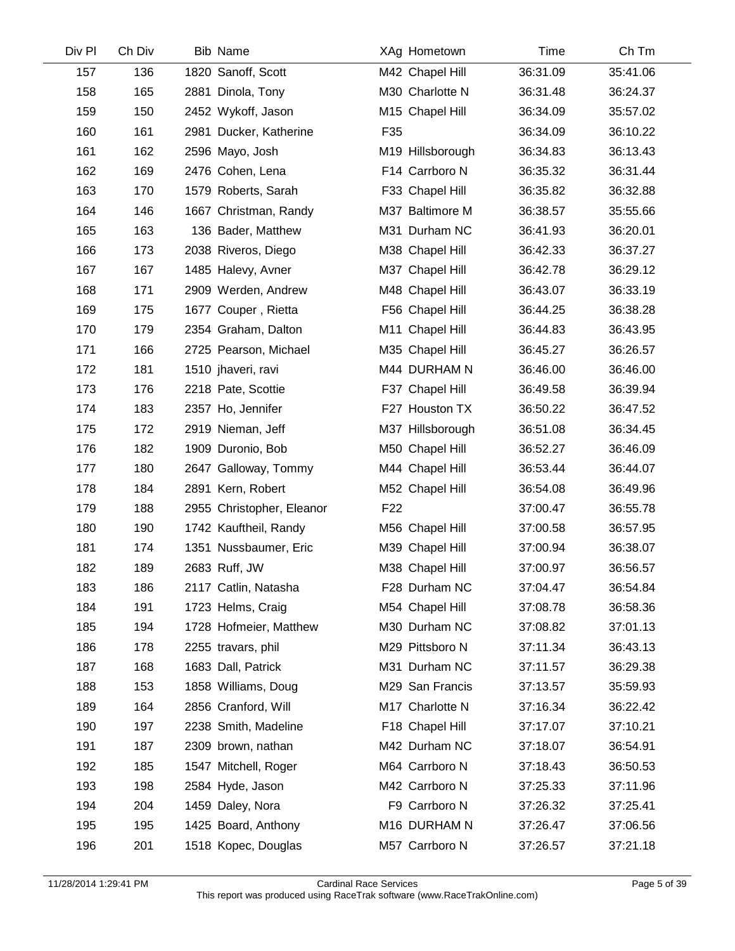| Div Pl | Ch Div | <b>Bib Name</b>           | XAg Hometown     | Time     | Ch Tm    |
|--------|--------|---------------------------|------------------|----------|----------|
| 157    | 136    | 1820 Sanoff, Scott        | M42 Chapel Hill  | 36:31.09 | 35:41.06 |
| 158    | 165    | 2881 Dinola, Tony         | M30 Charlotte N  | 36:31.48 | 36:24.37 |
| 159    | 150    | 2452 Wykoff, Jason        | M15 Chapel Hill  | 36:34.09 | 35:57.02 |
| 160    | 161    | 2981 Ducker, Katherine    | F35              | 36:34.09 | 36:10.22 |
| 161    | 162    | 2596 Mayo, Josh           | M19 Hillsborough | 36:34.83 | 36:13.43 |
| 162    | 169    | 2476 Cohen, Lena          | F14 Carrboro N   | 36:35.32 | 36:31.44 |
| 163    | 170    | 1579 Roberts, Sarah       | F33 Chapel Hill  | 36:35.82 | 36:32.88 |
| 164    | 146    | 1667 Christman, Randy     | M37 Baltimore M  | 36:38.57 | 35:55.66 |
| 165    | 163    | 136 Bader, Matthew        | M31 Durham NC    | 36:41.93 | 36:20.01 |
| 166    | 173    | 2038 Riveros, Diego       | M38 Chapel Hill  | 36:42.33 | 36:37.27 |
| 167    | 167    | 1485 Halevy, Avner        | M37 Chapel Hill  | 36:42.78 | 36:29.12 |
| 168    | 171    | 2909 Werden, Andrew       | M48 Chapel Hill  | 36:43.07 | 36:33.19 |
| 169    | 175    | 1677 Couper, Rietta       | F56 Chapel Hill  | 36:44.25 | 36:38.28 |
| 170    | 179    | 2354 Graham, Dalton       | M11 Chapel Hill  | 36:44.83 | 36:43.95 |
| 171    | 166    | 2725 Pearson, Michael     | M35 Chapel Hill  | 36:45.27 | 36:26.57 |
| 172    | 181    | 1510 jhaveri, ravi        | M44 DURHAM N     | 36:46.00 | 36:46.00 |
| 173    | 176    | 2218 Pate, Scottie        | F37 Chapel Hill  | 36:49.58 | 36:39.94 |
| 174    | 183    | 2357 Ho, Jennifer         | F27 Houston TX   | 36:50.22 | 36:47.52 |
| 175    | 172    | 2919 Nieman, Jeff         | M37 Hillsborough | 36:51.08 | 36:34.45 |
| 176    | 182    | 1909 Duronio, Bob         | M50 Chapel Hill  | 36:52.27 | 36:46.09 |
| 177    | 180    | 2647 Galloway, Tommy      | M44 Chapel Hill  | 36:53.44 | 36:44.07 |
| 178    | 184    | 2891 Kern, Robert         | M52 Chapel Hill  | 36:54.08 | 36:49.96 |
| 179    | 188    | 2955 Christopher, Eleanor | F <sub>22</sub>  | 37:00.47 | 36:55.78 |
| 180    | 190    | 1742 Kauftheil, Randy     | M56 Chapel Hill  | 37:00.58 | 36:57.95 |
| 181    | 174    | 1351 Nussbaumer, Eric     | M39 Chapel Hill  | 37:00.94 | 36:38.07 |
| 182    | 189    | 2683 Ruff, JW             | M38 Chapel Hill  | 37:00.97 | 36:56.57 |
| 183    | 186    | 2117 Catlin, Natasha      | F28 Durham NC    | 37:04.47 | 36:54.84 |
| 184    | 191    | 1723 Helms, Craig         | M54 Chapel Hill  | 37:08.78 | 36:58.36 |
| 185    | 194    | 1728 Hofmeier, Matthew    | M30 Durham NC    | 37:08.82 | 37:01.13 |
| 186    | 178    | 2255 travars, phil        | M29 Pittsboro N  | 37:11.34 | 36:43.13 |
| 187    | 168    | 1683 Dall, Patrick        | M31 Durham NC    | 37:11.57 | 36:29.38 |
| 188    | 153    | 1858 Williams, Doug       | M29 San Francis  | 37:13.57 | 35:59.93 |
| 189    | 164    | 2856 Cranford, Will       | M17 Charlotte N  | 37:16.34 | 36:22.42 |
| 190    | 197    | 2238 Smith, Madeline      | F18 Chapel Hill  | 37:17.07 | 37:10.21 |
| 191    | 187    | 2309 brown, nathan        | M42 Durham NC    | 37:18.07 | 36:54.91 |
| 192    | 185    | 1547 Mitchell, Roger      | M64 Carrboro N   | 37:18.43 | 36:50.53 |
| 193    | 198    | 2584 Hyde, Jason          | M42 Carrboro N   | 37:25.33 | 37:11.96 |
| 194    | 204    | 1459 Daley, Nora          | F9 Carrboro N    | 37:26.32 | 37:25.41 |
| 195    | 195    | 1425 Board, Anthony       | M16 DURHAM N     | 37:26.47 | 37:06.56 |
| 196    | 201    | 1518 Kopec, Douglas       | M57 Carrboro N   | 37:26.57 | 37:21.18 |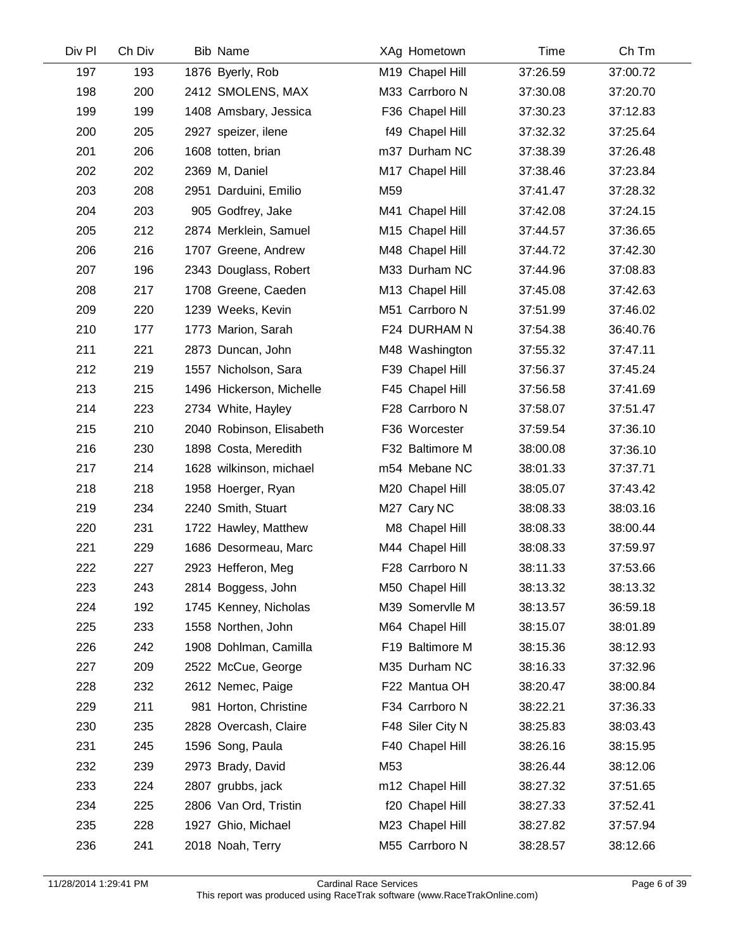| Div Pl | Ch Div | <b>Bib Name</b>          | XAg Hometown     | Time     | Ch Tm    |
|--------|--------|--------------------------|------------------|----------|----------|
| 197    | 193    | 1876 Byerly, Rob         | M19 Chapel Hill  | 37:26.59 | 37:00.72 |
| 198    | 200    | 2412 SMOLENS, MAX        | M33 Carrboro N   | 37:30.08 | 37:20.70 |
| 199    | 199    | 1408 Amsbary, Jessica    | F36 Chapel Hill  | 37:30.23 | 37:12.83 |
| 200    | 205    | 2927 speizer, ilene      | f49 Chapel Hill  | 37:32.32 | 37:25.64 |
| 201    | 206    | 1608 totten, brian       | m37 Durham NC    | 37:38.39 | 37:26.48 |
| 202    | 202    | 2369 M, Daniel           | M17 Chapel Hill  | 37:38.46 | 37:23.84 |
| 203    | 208    | 2951 Darduini, Emilio    | M59              | 37:41.47 | 37:28.32 |
| 204    | 203    | 905 Godfrey, Jake        | M41 Chapel Hill  | 37:42.08 | 37:24.15 |
| 205    | 212    | 2874 Merklein, Samuel    | M15 Chapel Hill  | 37:44.57 | 37:36.65 |
| 206    | 216    | 1707 Greene, Andrew      | M48 Chapel Hill  | 37:44.72 | 37:42.30 |
| 207    | 196    | 2343 Douglass, Robert    | M33 Durham NC    | 37:44.96 | 37:08.83 |
| 208    | 217    | 1708 Greene, Caeden      | M13 Chapel Hill  | 37:45.08 | 37:42.63 |
| 209    | 220    | 1239 Weeks, Kevin        | M51 Carrboro N   | 37:51.99 | 37:46.02 |
| 210    | 177    | 1773 Marion, Sarah       | F24 DURHAM N     | 37:54.38 | 36:40.76 |
| 211    | 221    | 2873 Duncan, John        | M48 Washington   | 37:55.32 | 37:47.11 |
| 212    | 219    | 1557 Nicholson, Sara     | F39 Chapel Hill  | 37:56.37 | 37:45.24 |
| 213    | 215    | 1496 Hickerson, Michelle | F45 Chapel Hill  | 37:56.58 | 37:41.69 |
| 214    | 223    | 2734 White, Hayley       | F28 Carrboro N   | 37:58.07 | 37:51.47 |
| 215    | 210    | 2040 Robinson, Elisabeth | F36 Worcester    | 37:59.54 | 37:36.10 |
| 216    | 230    | 1898 Costa, Meredith     | F32 Baltimore M  | 38:00.08 | 37:36.10 |
| 217    | 214    | 1628 wilkinson, michael  | m54 Mebane NC    | 38:01.33 | 37:37.71 |
| 218    | 218    | 1958 Hoerger, Ryan       | M20 Chapel Hill  | 38:05.07 | 37:43.42 |
| 219    | 234    | 2240 Smith, Stuart       | M27 Cary NC      | 38:08.33 | 38:03.16 |
| 220    | 231    | 1722 Hawley, Matthew     | M8 Chapel Hill   | 38:08.33 | 38:00.44 |
| 221    | 229    | 1686 Desormeau, Marc     | M44 Chapel Hill  | 38:08.33 | 37:59.97 |
| 222    | 227    | 2923 Hefferon, Meg       | F28 Carrboro N   | 38:11.33 | 37:53.66 |
| 223    | 243    | 2814 Boggess, John       | M50 Chapel Hill  | 38:13.32 | 38:13.32 |
| 224    | 192    | 1745 Kenney, Nicholas    | M39 Somervlle M  | 38:13.57 | 36:59.18 |
| 225    | 233    | 1558 Northen, John       | M64 Chapel Hill  | 38:15.07 | 38:01.89 |
| 226    | 242    | 1908 Dohlman, Camilla    | F19 Baltimore M  | 38:15.36 | 38:12.93 |
| 227    | 209    | 2522 McCue, George       | M35 Durham NC    | 38:16.33 | 37:32.96 |
| 228    | 232    | 2612 Nemec, Paige        | F22 Mantua OH    | 38:20.47 | 38:00.84 |
| 229    | 211    | 981 Horton, Christine    | F34 Carrboro N   | 38:22.21 | 37:36.33 |
| 230    | 235    | 2828 Overcash, Claire    | F48 Siler City N | 38:25.83 | 38:03.43 |
| 231    | 245    | 1596 Song, Paula         | F40 Chapel Hill  | 38:26.16 | 38:15.95 |
| 232    | 239    | 2973 Brady, David        | M53              | 38:26.44 | 38:12.06 |
| 233    | 224    | 2807 grubbs, jack        | m12 Chapel Hill  | 38:27.32 | 37:51.65 |
| 234    | 225    | 2806 Van Ord, Tristin    | f20 Chapel Hill  | 38:27.33 | 37:52.41 |
| 235    | 228    | 1927 Ghio, Michael       | M23 Chapel Hill  | 38:27.82 | 37:57.94 |
| 236    | 241    | 2018 Noah, Terry         | M55 Carrboro N   | 38:28.57 | 38:12.66 |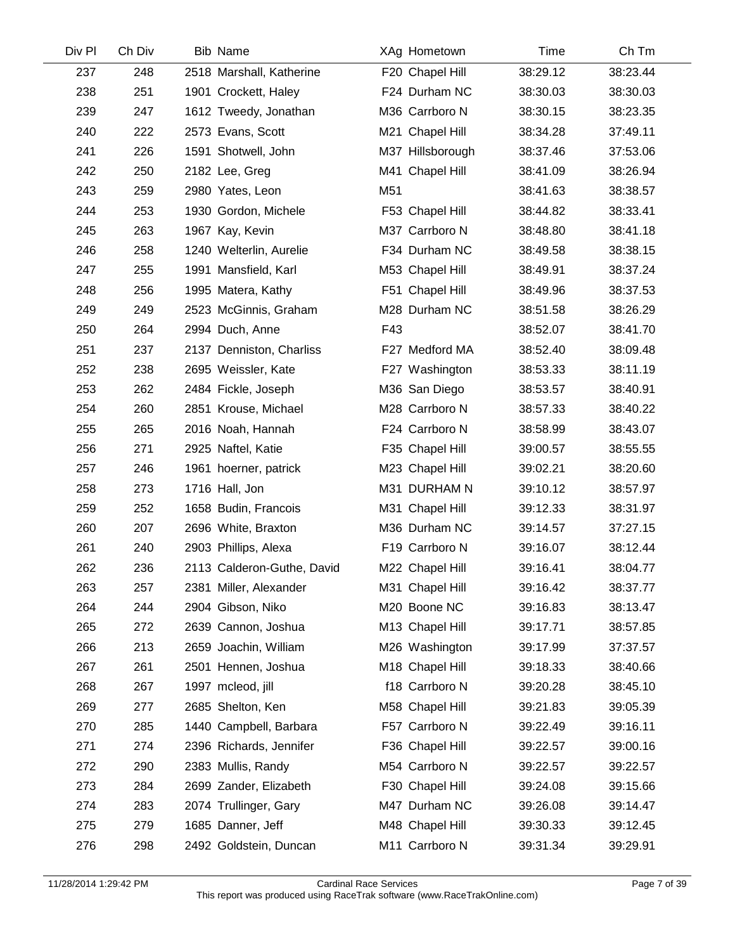| Div Pl | Ch Div | <b>Bib Name</b>            | XAg Hometown     | Time     | Ch Tm    |
|--------|--------|----------------------------|------------------|----------|----------|
| 237    | 248    | 2518 Marshall, Katherine   | F20 Chapel Hill  | 38:29.12 | 38:23.44 |
| 238    | 251    | 1901 Crockett, Haley       | F24 Durham NC    | 38:30.03 | 38:30.03 |
| 239    | 247    | 1612 Tweedy, Jonathan      | M36 Carrboro N   | 38:30.15 | 38:23.35 |
| 240    | 222    | 2573 Evans, Scott          | M21 Chapel Hill  | 38:34.28 | 37:49.11 |
| 241    | 226    | 1591 Shotwell, John        | M37 Hillsborough | 38:37.46 | 37:53.06 |
| 242    | 250    | 2182 Lee, Greg             | M41 Chapel Hill  | 38:41.09 | 38:26.94 |
| 243    | 259    | 2980 Yates, Leon           | M51              | 38:41.63 | 38:38.57 |
| 244    | 253    | 1930 Gordon, Michele       | F53 Chapel Hill  | 38:44.82 | 38:33.41 |
| 245    | 263    | 1967 Kay, Kevin            | M37 Carrboro N   | 38:48.80 | 38:41.18 |
| 246    | 258    | 1240 Welterlin, Aurelie    | F34 Durham NC    | 38:49.58 | 38:38.15 |
| 247    | 255    | 1991 Mansfield, Karl       | M53 Chapel Hill  | 38:49.91 | 38:37.24 |
| 248    | 256    | 1995 Matera, Kathy         | F51 Chapel Hill  | 38:49.96 | 38:37.53 |
| 249    | 249    | 2523 McGinnis, Graham      | M28 Durham NC    | 38:51.58 | 38:26.29 |
| 250    | 264    | 2994 Duch, Anne            | F43              | 38:52.07 | 38:41.70 |
| 251    | 237    | 2137 Denniston, Charliss   | F27 Medford MA   | 38:52.40 | 38:09.48 |
| 252    | 238    | 2695 Weissler, Kate        | F27 Washington   | 38:53.33 | 38:11.19 |
| 253    | 262    | 2484 Fickle, Joseph        | M36 San Diego    | 38:53.57 | 38:40.91 |
| 254    | 260    | 2851 Krouse, Michael       | M28 Carrboro N   | 38:57.33 | 38:40.22 |
| 255    | 265    | 2016 Noah, Hannah          | F24 Carrboro N   | 38:58.99 | 38:43.07 |
| 256    | 271    | 2925 Naftel, Katie         | F35 Chapel Hill  | 39:00.57 | 38:55.55 |
| 257    | 246    | 1961 hoerner, patrick      | M23 Chapel Hill  | 39:02.21 | 38:20.60 |
| 258    | 273    | 1716 Hall, Jon             | M31 DURHAM N     | 39:10.12 | 38:57.97 |
| 259    | 252    | 1658 Budin, Francois       | M31 Chapel Hill  | 39:12.33 | 38:31.97 |
| 260    | 207    | 2696 White, Braxton        | M36 Durham NC    | 39:14.57 | 37:27.15 |
| 261    | 240    | 2903 Phillips, Alexa       | F19 Carrboro N   | 39:16.07 | 38:12.44 |
| 262    | 236    | 2113 Calderon-Guthe, David | M22 Chapel Hill  | 39:16.41 | 38:04.77 |
| 263    | 257    | 2381 Miller, Alexander     | M31 Chapel Hill  | 39:16.42 | 38:37.77 |
| 264    | 244    | 2904 Gibson, Niko          | M20 Boone NC     | 39:16.83 | 38:13.47 |
| 265    | 272    | 2639 Cannon, Joshua        | M13 Chapel Hill  | 39:17.71 | 38:57.85 |
| 266    | 213    | 2659 Joachin, William      | M26 Washington   | 39:17.99 | 37:37.57 |
| 267    | 261    | 2501 Hennen, Joshua        | M18 Chapel Hill  | 39:18.33 | 38:40.66 |
| 268    | 267    | 1997 mcleod, jill          | f18 Carrboro N   | 39:20.28 | 38:45.10 |
| 269    | 277    | 2685 Shelton, Ken          | M58 Chapel Hill  | 39:21.83 | 39:05.39 |
| 270    | 285    | 1440 Campbell, Barbara     | F57 Carrboro N   | 39:22.49 | 39:16.11 |
| 271    | 274    | 2396 Richards, Jennifer    | F36 Chapel Hill  | 39:22.57 | 39:00.16 |
| 272    | 290    | 2383 Mullis, Randy         | M54 Carrboro N   | 39:22.57 | 39:22.57 |
| 273    | 284    | 2699 Zander, Elizabeth     | F30 Chapel Hill  | 39:24.08 | 39:15.66 |
| 274    | 283    | 2074 Trullinger, Gary      | M47 Durham NC    | 39:26.08 | 39:14.47 |
| 275    | 279    | 1685 Danner, Jeff          | M48 Chapel Hill  | 39:30.33 | 39:12.45 |
| 276    | 298    | 2492 Goldstein, Duncan     | M11 Carrboro N   | 39:31.34 | 39:29.91 |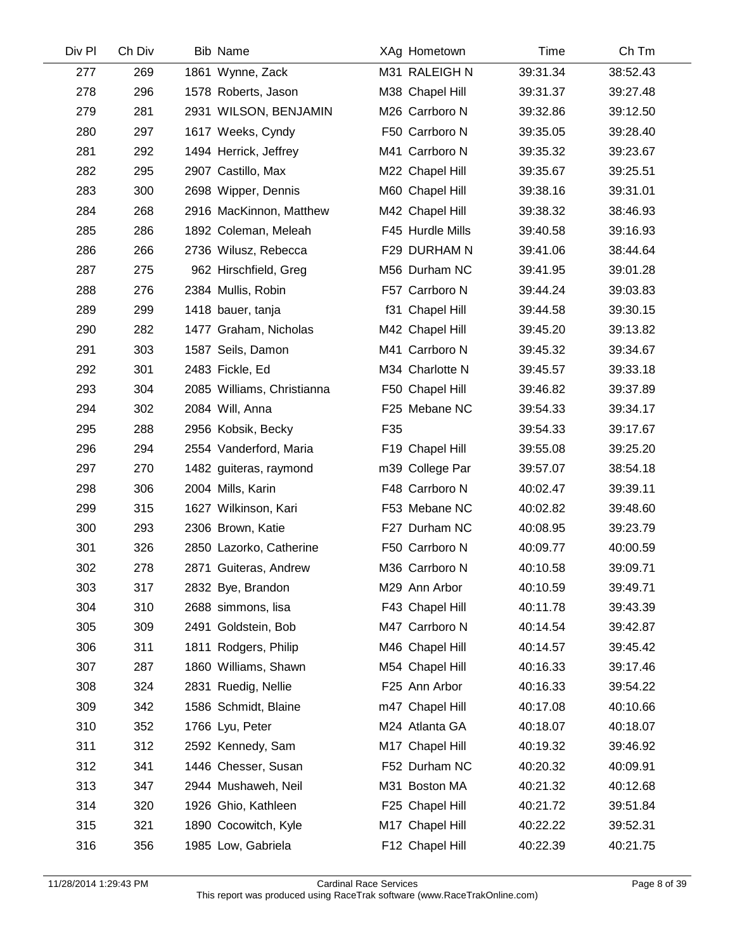| Div Pl | Ch Div | <b>Bib Name</b>            |     | XAg Hometown     | Time     | Ch Tm    |
|--------|--------|----------------------------|-----|------------------|----------|----------|
| 277    | 269    | 1861 Wynne, Zack           |     | M31 RALEIGH N    | 39:31.34 | 38:52.43 |
| 278    | 296    | 1578 Roberts, Jason        |     | M38 Chapel Hill  | 39:31.37 | 39:27.48 |
| 279    | 281    | 2931 WILSON, BENJAMIN      |     | M26 Carrboro N   | 39:32.86 | 39:12.50 |
| 280    | 297    | 1617 Weeks, Cyndy          |     | F50 Carrboro N   | 39:35.05 | 39:28.40 |
| 281    | 292    | 1494 Herrick, Jeffrey      |     | M41 Carrboro N   | 39:35.32 | 39:23.67 |
| 282    | 295    | 2907 Castillo, Max         |     | M22 Chapel Hill  | 39:35.67 | 39:25.51 |
| 283    | 300    | 2698 Wipper, Dennis        |     | M60 Chapel Hill  | 39:38.16 | 39:31.01 |
| 284    | 268    | 2916 MacKinnon, Matthew    |     | M42 Chapel Hill  | 39:38.32 | 38:46.93 |
| 285    | 286    | 1892 Coleman, Meleah       |     | F45 Hurdle Mills | 39:40.58 | 39:16.93 |
| 286    | 266    | 2736 Wilusz, Rebecca       |     | F29 DURHAM N     | 39:41.06 | 38:44.64 |
| 287    | 275    | 962 Hirschfield, Greg      |     | M56 Durham NC    | 39:41.95 | 39:01.28 |
| 288    | 276    | 2384 Mullis, Robin         |     | F57 Carrboro N   | 39:44.24 | 39:03.83 |
| 289    | 299    | 1418 bauer, tanja          |     | f31 Chapel Hill  | 39:44.58 | 39:30.15 |
| 290    | 282    | 1477 Graham, Nicholas      |     | M42 Chapel Hill  | 39:45.20 | 39:13.82 |
| 291    | 303    | 1587 Seils, Damon          |     | M41 Carrboro N   | 39:45.32 | 39:34.67 |
| 292    | 301    | 2483 Fickle, Ed            |     | M34 Charlotte N  | 39:45.57 | 39:33.18 |
| 293    | 304    | 2085 Williams, Christianna |     | F50 Chapel Hill  | 39:46.82 | 39:37.89 |
| 294    | 302    | 2084 Will, Anna            |     | F25 Mebane NC    | 39:54.33 | 39:34.17 |
| 295    | 288    | 2956 Kobsik, Becky         | F35 |                  | 39:54.33 | 39:17.67 |
| 296    | 294    | 2554 Vanderford, Maria     |     | F19 Chapel Hill  | 39:55.08 | 39:25.20 |
| 297    | 270    | 1482 guiteras, raymond     |     | m39 College Par  | 39:57.07 | 38:54.18 |
| 298    | 306    | 2004 Mills, Karin          |     | F48 Carrboro N   | 40:02.47 | 39:39.11 |
| 299    | 315    | 1627 Wilkinson, Kari       |     | F53 Mebane NC    | 40:02.82 | 39:48.60 |
| 300    | 293    | 2306 Brown, Katie          |     | F27 Durham NC    | 40:08.95 | 39:23.79 |
| 301    | 326    | 2850 Lazorko, Catherine    |     | F50 Carrboro N   | 40:09.77 | 40:00.59 |
| 302    | 278    | 2871 Guiteras, Andrew      |     | M36 Carrboro N   | 40:10.58 | 39:09.71 |
| 303    | 317    | 2832 Bye, Brandon          |     | M29 Ann Arbor    | 40:10.59 | 39:49.71 |
| 304    | 310    | 2688 simmons, lisa         |     | F43 Chapel Hill  | 40:11.78 | 39:43.39 |
| 305    | 309    | 2491 Goldstein, Bob        |     | M47 Carrboro N   | 40:14.54 | 39:42.87 |
| 306    | 311    | 1811 Rodgers, Philip       |     | M46 Chapel Hill  | 40:14.57 | 39:45.42 |
| 307    | 287    | 1860 Williams, Shawn       |     | M54 Chapel Hill  | 40:16.33 | 39:17.46 |
| 308    | 324    | 2831 Ruedig, Nellie        |     | F25 Ann Arbor    | 40:16.33 | 39:54.22 |
| 309    | 342    | 1586 Schmidt, Blaine       |     | m47 Chapel Hill  | 40:17.08 | 40:10.66 |
| 310    | 352    | 1766 Lyu, Peter            |     | M24 Atlanta GA   | 40:18.07 | 40:18.07 |
| 311    | 312    | 2592 Kennedy, Sam          |     | M17 Chapel Hill  | 40:19.32 | 39:46.92 |
| 312    | 341    | 1446 Chesser, Susan        |     | F52 Durham NC    | 40:20.32 | 40:09.91 |
| 313    | 347    | 2944 Mushaweh, Neil        |     | M31 Boston MA    | 40:21.32 | 40:12.68 |
| 314    | 320    | 1926 Ghio, Kathleen        |     | F25 Chapel Hill  | 40:21.72 | 39:51.84 |
| 315    | 321    | 1890 Cocowitch, Kyle       |     | M17 Chapel Hill  | 40:22.22 | 39:52.31 |
| 316    | 356    | 1985 Low, Gabriela         |     | F12 Chapel Hill  | 40:22.39 | 40:21.75 |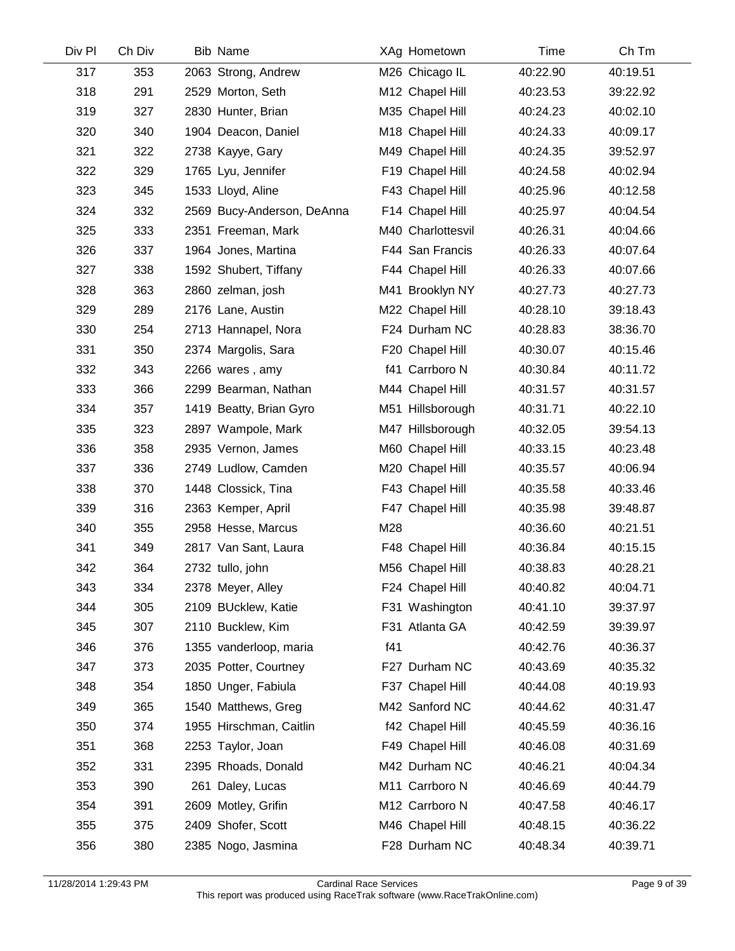| Div Pl | Ch Div | <b>Bib Name</b>            | XAg Hometown      | Time     | Ch Tm    |
|--------|--------|----------------------------|-------------------|----------|----------|
| 317    | 353    | 2063 Strong, Andrew        | M26 Chicago IL    | 40:22.90 | 40:19.51 |
| 318    | 291    | 2529 Morton, Seth          | M12 Chapel Hill   | 40:23.53 | 39:22.92 |
| 319    | 327    | 2830 Hunter, Brian         | M35 Chapel Hill   | 40:24.23 | 40:02.10 |
| 320    | 340    | 1904 Deacon, Daniel        | M18 Chapel Hill   | 40:24.33 | 40:09.17 |
| 321    | 322    | 2738 Kayye, Gary           | M49 Chapel Hill   | 40:24.35 | 39:52.97 |
| 322    | 329    | 1765 Lyu, Jennifer         | F19 Chapel Hill   | 40:24.58 | 40:02.94 |
| 323    | 345    | 1533 Lloyd, Aline          | F43 Chapel Hill   | 40:25.96 | 40:12.58 |
| 324    | 332    | 2569 Bucy-Anderson, DeAnna | F14 Chapel Hill   | 40:25.97 | 40:04.54 |
| 325    | 333    | 2351 Freeman, Mark         | M40 Charlottesvil | 40:26.31 | 40:04.66 |
| 326    | 337    | 1964 Jones, Martina        | F44 San Francis   | 40:26.33 | 40:07.64 |
| 327    | 338    | 1592 Shubert, Tiffany      | F44 Chapel Hill   | 40:26.33 | 40:07.66 |
| 328    | 363    | 2860 zelman, josh          | M41 Brooklyn NY   | 40:27.73 | 40:27.73 |
| 329    | 289    | 2176 Lane, Austin          | M22 Chapel Hill   | 40:28.10 | 39:18.43 |
| 330    | 254    | 2713 Hannapel, Nora        | F24 Durham NC     | 40:28.83 | 38:36.70 |
| 331    | 350    | 2374 Margolis, Sara        | F20 Chapel Hill   | 40:30.07 | 40:15.46 |
| 332    | 343    | 2266 wares, amy            | f41 Carrboro N    | 40:30.84 | 40:11.72 |
| 333    | 366    | 2299 Bearman, Nathan       | M44 Chapel Hill   | 40:31.57 | 40:31.57 |
| 334    | 357    | 1419 Beatty, Brian Gyro    | M51 Hillsborough  | 40:31.71 | 40:22.10 |
| 335    | 323    | 2897 Wampole, Mark         | M47 Hillsborough  | 40:32.05 | 39:54.13 |
| 336    | 358    | 2935 Vernon, James         | M60 Chapel Hill   | 40:33.15 | 40:23.48 |
| 337    | 336    | 2749 Ludlow, Camden        | M20 Chapel Hill   | 40:35.57 | 40:06.94 |
| 338    | 370    | 1448 Clossick, Tina        | F43 Chapel Hill   | 40:35.58 | 40:33.46 |
| 339    | 316    | 2363 Kemper, April         | F47 Chapel Hill   | 40:35.98 | 39:48.87 |
| 340    | 355    | 2958 Hesse, Marcus         | M28               | 40:36.60 | 40:21.51 |
| 341    | 349    | 2817 Van Sant, Laura       | F48 Chapel Hill   | 40:36.84 | 40:15.15 |
| 342    | 364    | 2732 tullo, john           | M56 Chapel Hill   | 40:38.83 | 40:28.21 |
| 343    | 334    | 2378 Meyer, Alley          | F24 Chapel Hill   | 40:40.82 | 40:04.71 |
| 344    | 305    | 2109 BUcklew, Katie        | F31 Washington    | 40:41.10 | 39:37.97 |
| 345    | 307    | 2110 Bucklew, Kim          | F31 Atlanta GA    | 40:42.59 | 39:39.97 |
| 346    | 376    | 1355 vanderloop, maria     | f41               | 40:42.76 | 40:36.37 |
| 347    | 373    | 2035 Potter, Courtney      | F27 Durham NC     | 40:43.69 | 40:35.32 |
| 348    | 354    | 1850 Unger, Fabiula        | F37 Chapel Hill   | 40:44.08 | 40:19.93 |
| 349    | 365    | 1540 Matthews, Greg        | M42 Sanford NC    | 40:44.62 | 40:31.47 |
| 350    | 374    | 1955 Hirschman, Caitlin    | f42 Chapel Hill   | 40:45.59 | 40:36.16 |
| 351    | 368    | 2253 Taylor, Joan          | F49 Chapel Hill   | 40:46.08 | 40:31.69 |
| 352    | 331    | 2395 Rhoads, Donald        | M42 Durham NC     | 40:46.21 | 40:04.34 |
| 353    | 390    | 261 Daley, Lucas           | M11 Carrboro N    | 40:46.69 | 40:44.79 |
| 354    | 391    | 2609 Motley, Grifin        | M12 Carrboro N    | 40:47.58 | 40:46.17 |
| 355    | 375    | 2409 Shofer, Scott         | M46 Chapel Hill   | 40:48.15 | 40:36.22 |
| 356    | 380    | 2385 Nogo, Jasmina         | F28 Durham NC     | 40:48.34 | 40:39.71 |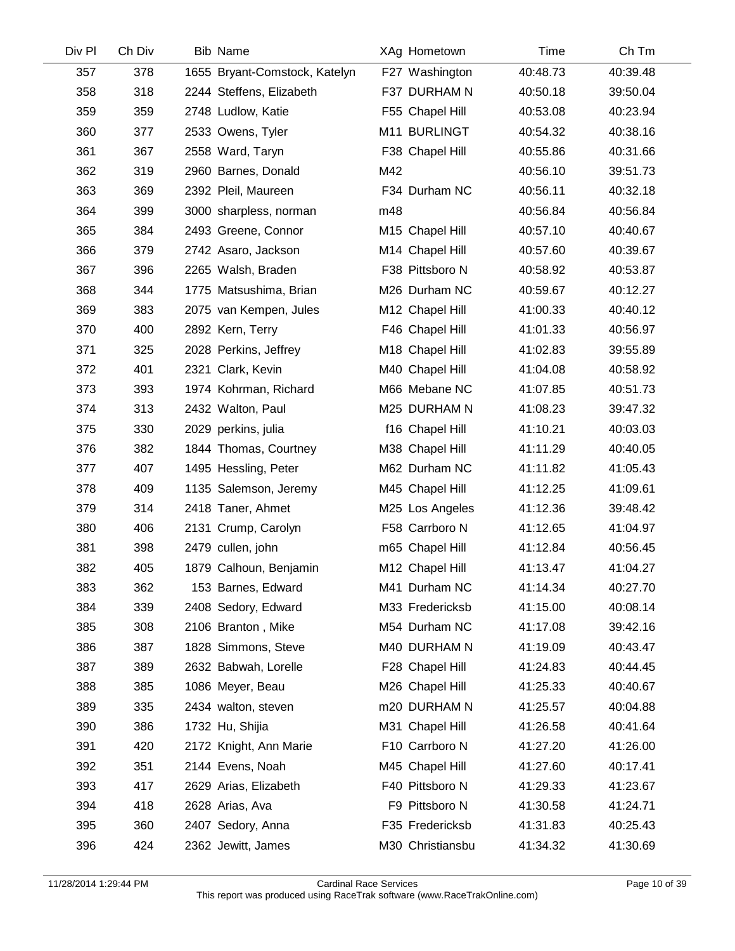| Div Pl | Ch Div | <b>Bib Name</b>               | XAg Hometown     | Time     | Ch Tm    |
|--------|--------|-------------------------------|------------------|----------|----------|
| 357    | 378    | 1655 Bryant-Comstock, Katelyn | F27 Washington   | 40:48.73 | 40:39.48 |
| 358    | 318    | 2244 Steffens, Elizabeth      | F37 DURHAM N     | 40:50.18 | 39:50.04 |
| 359    | 359    | 2748 Ludlow, Katie            | F55 Chapel Hill  | 40:53.08 | 40:23.94 |
| 360    | 377    | 2533 Owens, Tyler             | M11 BURLINGT     | 40:54.32 | 40:38.16 |
| 361    | 367    | 2558 Ward, Taryn              | F38 Chapel Hill  | 40:55.86 | 40:31.66 |
| 362    | 319    | 2960 Barnes, Donald           | M42              | 40:56.10 | 39:51.73 |
| 363    | 369    | 2392 Pleil, Maureen           | F34 Durham NC    | 40:56.11 | 40:32.18 |
| 364    | 399    | 3000 sharpless, norman        | m48              | 40:56.84 | 40:56.84 |
| 365    | 384    | 2493 Greene, Connor           | M15 Chapel Hill  | 40:57.10 | 40:40.67 |
| 366    | 379    | 2742 Asaro, Jackson           | M14 Chapel Hill  | 40:57.60 | 40:39.67 |
| 367    | 396    | 2265 Walsh, Braden            | F38 Pittsboro N  | 40:58.92 | 40:53.87 |
| 368    | 344    | 1775 Matsushima, Brian        | M26 Durham NC    | 40:59.67 | 40:12.27 |
| 369    | 383    | 2075 van Kempen, Jules        | M12 Chapel Hill  | 41:00.33 | 40:40.12 |
| 370    | 400    | 2892 Kern, Terry              | F46 Chapel Hill  | 41:01.33 | 40:56.97 |
| 371    | 325    | 2028 Perkins, Jeffrey         | M18 Chapel Hill  | 41:02.83 | 39:55.89 |
| 372    | 401    | 2321 Clark, Kevin             | M40 Chapel Hill  | 41:04.08 | 40:58.92 |
| 373    | 393    | 1974 Kohrman, Richard         | M66 Mebane NC    | 41:07.85 | 40:51.73 |
| 374    | 313    | 2432 Walton, Paul             | M25 DURHAM N     | 41:08.23 | 39:47.32 |
| 375    | 330    | 2029 perkins, julia           | f16 Chapel Hill  | 41:10.21 | 40:03.03 |
| 376    | 382    | 1844 Thomas, Courtney         | M38 Chapel Hill  | 41:11.29 | 40:40.05 |
| 377    | 407    | 1495 Hessling, Peter          | M62 Durham NC    | 41:11.82 | 41:05.43 |
| 378    | 409    | 1135 Salemson, Jeremy         | M45 Chapel Hill  | 41:12.25 | 41:09.61 |
| 379    | 314    | 2418 Taner, Ahmet             | M25 Los Angeles  | 41:12.36 | 39:48.42 |
| 380    | 406    | 2131 Crump, Carolyn           | F58 Carrboro N   | 41:12.65 | 41:04.97 |
| 381    | 398    | 2479 cullen, john             | m65 Chapel Hill  | 41:12.84 | 40:56.45 |
| 382    | 405    | 1879 Calhoun, Benjamin        | M12 Chapel Hill  | 41:13.47 | 41:04.27 |
| 383    | 362    | 153 Barnes, Edward            | M41 Durham NC    | 41:14.34 | 40:27.70 |
| 384    | 339    | 2408 Sedory, Edward           | M33 Fredericksb  | 41:15.00 | 40:08.14 |
| 385    | 308    | 2106 Branton, Mike            | M54 Durham NC    | 41:17.08 | 39:42.16 |
| 386    | 387    | 1828 Simmons, Steve           | M40 DURHAM N     | 41:19.09 | 40:43.47 |
| 387    | 389    | 2632 Babwah, Lorelle          | F28 Chapel Hill  | 41:24.83 | 40:44.45 |
| 388    | 385    | 1086 Meyer, Beau              | M26 Chapel Hill  | 41:25.33 | 40:40.67 |
| 389    | 335    | 2434 walton, steven           | m20 DURHAM N     | 41:25.57 | 40:04.88 |
| 390    | 386    | 1732 Hu, Shijia               | M31 Chapel Hill  | 41:26.58 | 40:41.64 |
| 391    | 420    | 2172 Knight, Ann Marie        | F10 Carrboro N   | 41:27.20 | 41:26.00 |
| 392    | 351    | 2144 Evens, Noah              | M45 Chapel Hill  | 41:27.60 | 40:17.41 |
| 393    | 417    | 2629 Arias, Elizabeth         | F40 Pittsboro N  | 41:29.33 | 41:23.67 |
| 394    | 418    | 2628 Arias, Ava               | F9 Pittsboro N   | 41:30.58 | 41:24.71 |
| 395    | 360    | 2407 Sedory, Anna             | F35 Fredericksb  | 41:31.83 | 40:25.43 |
| 396    | 424    | 2362 Jewitt, James            | M30 Christiansbu | 41:34.32 | 41:30.69 |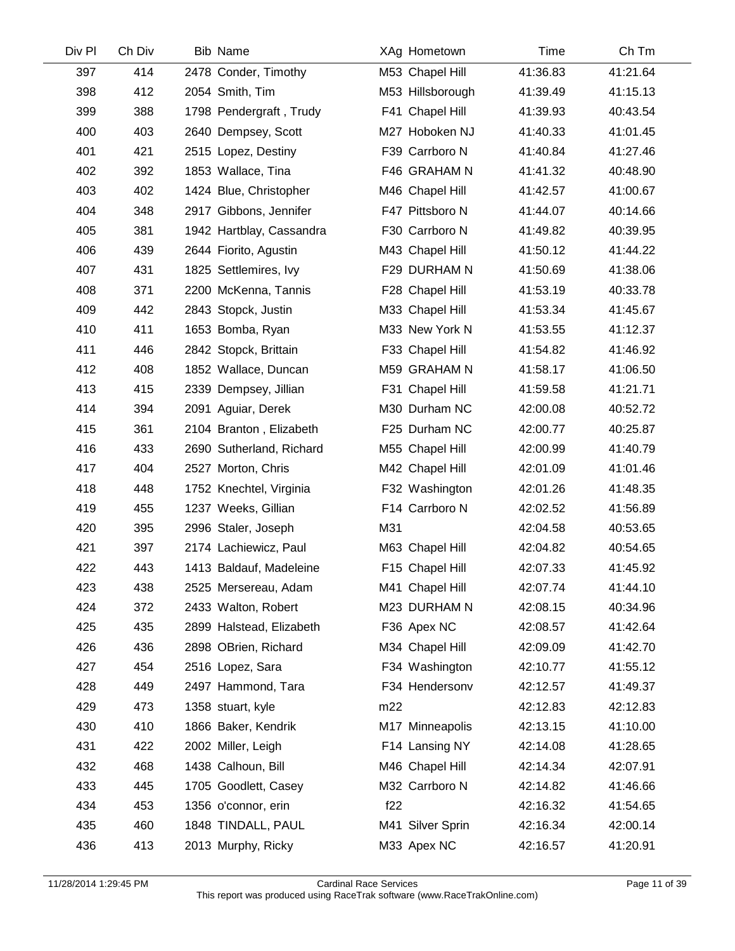| Div Pl | Ch Div | <b>Bib Name</b>          | XAg Hometown     | Time     | Ch Tm    |  |
|--------|--------|--------------------------|------------------|----------|----------|--|
| 397    | 414    | 2478 Conder, Timothy     | M53 Chapel Hill  | 41:36.83 | 41:21.64 |  |
| 398    | 412    | 2054 Smith, Tim          | M53 Hillsborough | 41:39.49 | 41:15.13 |  |
| 399    | 388    | 1798 Pendergraft, Trudy  | F41 Chapel Hill  | 41:39.93 | 40:43.54 |  |
| 400    | 403    | 2640 Dempsey, Scott      | M27 Hoboken NJ   | 41:40.33 | 41:01.45 |  |
| 401    | 421    | 2515 Lopez, Destiny      | F39 Carrboro N   | 41:40.84 | 41:27.46 |  |
| 402    | 392    | 1853 Wallace, Tina       | F46 GRAHAM N     | 41:41.32 | 40:48.90 |  |
| 403    | 402    | 1424 Blue, Christopher   | M46 Chapel Hill  | 41:42.57 | 41:00.67 |  |
| 404    | 348    | 2917 Gibbons, Jennifer   | F47 Pittsboro N  | 41:44.07 | 40:14.66 |  |
| 405    | 381    | 1942 Hartblay, Cassandra | F30 Carrboro N   | 41:49.82 | 40:39.95 |  |
| 406    | 439    | 2644 Fiorito, Agustin    | M43 Chapel Hill  | 41:50.12 | 41:44.22 |  |
| 407    | 431    | 1825 Settlemires, Ivy    | F29 DURHAM N     | 41:50.69 | 41:38.06 |  |
| 408    | 371    | 2200 McKenna, Tannis     | F28 Chapel Hill  | 41:53.19 | 40:33.78 |  |
| 409    | 442    | 2843 Stopck, Justin      | M33 Chapel Hill  | 41:53.34 | 41:45.67 |  |
| 410    | 411    | 1653 Bomba, Ryan         | M33 New York N   | 41:53.55 | 41:12.37 |  |
| 411    | 446    | 2842 Stopck, Brittain    | F33 Chapel Hill  | 41:54.82 | 41:46.92 |  |
| 412    | 408    | 1852 Wallace, Duncan     | M59 GRAHAM N     | 41:58.17 | 41:06.50 |  |
| 413    | 415    | 2339 Dempsey, Jillian    | F31 Chapel Hill  | 41:59.58 | 41:21.71 |  |
| 414    | 394    | 2091 Aguiar, Derek       | M30 Durham NC    | 42:00.08 | 40:52.72 |  |
| 415    | 361    | 2104 Branton, Elizabeth  | F25 Durham NC    | 42:00.77 | 40:25.87 |  |
| 416    | 433    | 2690 Sutherland, Richard | M55 Chapel Hill  | 42:00.99 | 41:40.79 |  |
| 417    | 404    | 2527 Morton, Chris       | M42 Chapel Hill  | 42:01.09 | 41:01.46 |  |
| 418    | 448    | 1752 Knechtel, Virginia  | F32 Washington   | 42:01.26 | 41:48.35 |  |
| 419    | 455    | 1237 Weeks, Gillian      | F14 Carrboro N   | 42:02.52 | 41:56.89 |  |
| 420    | 395    | 2996 Staler, Joseph      | M31              | 42:04.58 | 40:53.65 |  |
| 421    | 397    | 2174 Lachiewicz, Paul    | M63 Chapel Hill  | 42:04.82 | 40:54.65 |  |
| 422    | 443    | 1413 Baldauf, Madeleine  | F15 Chapel Hill  | 42:07.33 | 41:45.92 |  |
| 423    | 438    | 2525 Mersereau, Adam     | M41 Chapel Hill  | 42:07.74 | 41:44.10 |  |
| 424    | 372    | 2433 Walton, Robert      | M23 DURHAM N     | 42:08.15 | 40:34.96 |  |
| 425    | 435    | 2899 Halstead, Elizabeth | F36 Apex NC      | 42:08.57 | 41:42.64 |  |
| 426    | 436    | 2898 OBrien, Richard     | M34 Chapel Hill  | 42:09.09 | 41:42.70 |  |
| 427    | 454    | 2516 Lopez, Sara         | F34 Washington   | 42:10.77 | 41:55.12 |  |
| 428    | 449    | 2497 Hammond, Tara       | F34 Hendersonv   | 42:12.57 | 41:49.37 |  |
| 429    | 473    | 1358 stuart, kyle        | m22              | 42:12.83 | 42:12.83 |  |
| 430    | 410    | 1866 Baker, Kendrik      | M17 Minneapolis  | 42:13.15 | 41:10.00 |  |
| 431    | 422    | 2002 Miller, Leigh       | F14 Lansing NY   | 42:14.08 | 41:28.65 |  |
| 432    | 468    | 1438 Calhoun, Bill       | M46 Chapel Hill  | 42:14.34 | 42:07.91 |  |
| 433    | 445    | 1705 Goodlett, Casey     | M32 Carrboro N   | 42:14.82 | 41:46.66 |  |
| 434    | 453    | 1356 o'connor, erin      | f22              | 42:16.32 | 41:54.65 |  |
| 435    | 460    | 1848 TINDALL, PAUL       | M41 Silver Sprin | 42:16.34 | 42:00.14 |  |
| 436    | 413    | 2013 Murphy, Ricky       | M33 Apex NC      | 42:16.57 | 41:20.91 |  |
|        |        |                          |                  |          |          |  |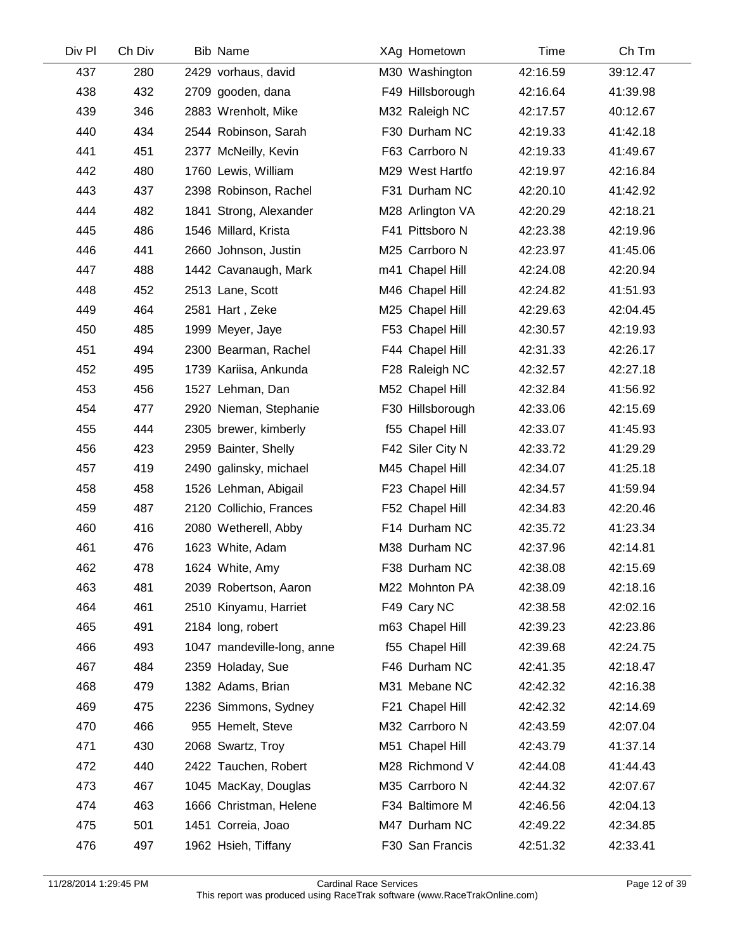| Div Pl | Ch Div | Bib Name                   | XAg Hometown     | Time     | Ch Tm    |
|--------|--------|----------------------------|------------------|----------|----------|
| 437    | 280    | 2429 vorhaus, david        | M30 Washington   | 42:16.59 | 39:12.47 |
| 438    | 432    | 2709 gooden, dana          | F49 Hillsborough | 42:16.64 | 41:39.98 |
| 439    | 346    | 2883 Wrenholt, Mike        | M32 Raleigh NC   | 42:17.57 | 40:12.67 |
| 440    | 434    | 2544 Robinson, Sarah       | F30 Durham NC    | 42:19.33 | 41:42.18 |
| 441    | 451    | 2377 McNeilly, Kevin       | F63 Carrboro N   | 42:19.33 | 41:49.67 |
| 442    | 480    | 1760 Lewis, William        | M29 West Hartfo  | 42:19.97 | 42:16.84 |
| 443    | 437    | 2398 Robinson, Rachel      | F31 Durham NC    | 42:20.10 | 41:42.92 |
| 444    | 482    | 1841 Strong, Alexander     | M28 Arlington VA | 42:20.29 | 42:18.21 |
| 445    | 486    | 1546 Millard, Krista       | F41 Pittsboro N  | 42:23.38 | 42:19.96 |
| 446    | 441    | 2660 Johnson, Justin       | M25 Carrboro N   | 42:23.97 | 41:45.06 |
| 447    | 488    | 1442 Cavanaugh, Mark       | m41 Chapel Hill  | 42:24.08 | 42:20.94 |
| 448    | 452    | 2513 Lane, Scott           | M46 Chapel Hill  | 42:24.82 | 41:51.93 |
| 449    | 464    | 2581 Hart, Zeke            | M25 Chapel Hill  | 42:29.63 | 42:04.45 |
| 450    | 485    | 1999 Meyer, Jaye           | F53 Chapel Hill  | 42:30.57 | 42:19.93 |
| 451    | 494    | 2300 Bearman, Rachel       | F44 Chapel Hill  | 42:31.33 | 42:26.17 |
| 452    | 495    | 1739 Kariisa, Ankunda      | F28 Raleigh NC   | 42:32.57 | 42:27.18 |
| 453    | 456    | 1527 Lehman, Dan           | M52 Chapel Hill  | 42:32.84 | 41:56.92 |
| 454    | 477    | 2920 Nieman, Stephanie     | F30 Hillsborough | 42:33.06 | 42:15.69 |
| 455    | 444    | 2305 brewer, kimberly      | f55 Chapel Hill  | 42:33.07 | 41:45.93 |
| 456    | 423    | 2959 Bainter, Shelly       | F42 Siler City N | 42:33.72 | 41:29.29 |
| 457    | 419    | 2490 galinsky, michael     | M45 Chapel Hill  | 42:34.07 | 41:25.18 |
| 458    | 458    | 1526 Lehman, Abigail       | F23 Chapel Hill  | 42:34.57 | 41:59.94 |
| 459    | 487    | 2120 Collichio, Frances    | F52 Chapel Hill  | 42:34.83 | 42:20.46 |
| 460    | 416    | 2080 Wetherell, Abby       | F14 Durham NC    | 42:35.72 | 41:23.34 |
| 461    | 476    | 1623 White, Adam           | M38 Durham NC    | 42:37.96 | 42:14.81 |
| 462    | 478    | 1624 White, Amy            | F38 Durham NC    | 42:38.08 | 42:15.69 |
| 463    | 481    | 2039 Robertson, Aaron      | M22 Mohnton PA   | 42:38.09 | 42:18.16 |
| 464    | 461    | 2510 Kinyamu, Harriet      | F49 Cary NC      | 42:38.58 | 42:02.16 |
| 465    | 491    | 2184 long, robert          | m63 Chapel Hill  | 42:39.23 | 42:23.86 |
| 466    | 493    | 1047 mandeville-long, anne | f55 Chapel Hill  | 42:39.68 | 42:24.75 |
| 467    | 484    | 2359 Holaday, Sue          | F46 Durham NC    | 42:41.35 | 42:18.47 |
| 468    | 479    | 1382 Adams, Brian          | M31 Mebane NC    | 42:42.32 | 42:16.38 |
| 469    | 475    | 2236 Simmons, Sydney       | F21 Chapel Hill  | 42:42.32 | 42:14.69 |
| 470    | 466    | 955 Hemelt, Steve          | M32 Carrboro N   | 42:43.59 | 42:07.04 |
| 471    | 430    | 2068 Swartz, Troy          | M51 Chapel Hill  | 42:43.79 | 41:37.14 |
| 472    | 440    | 2422 Tauchen, Robert       | M28 Richmond V   | 42:44.08 | 41:44.43 |
| 473    | 467    | 1045 MacKay, Douglas       | M35 Carrboro N   | 42:44.32 | 42:07.67 |
| 474    | 463    | 1666 Christman, Helene     | F34 Baltimore M  | 42:46.56 | 42:04.13 |
| 475    | 501    | 1451 Correia, Joao         | M47 Durham NC    | 42:49.22 | 42:34.85 |
| 476    | 497    | 1962 Hsieh, Tiffany        | F30 San Francis  | 42:51.32 | 42:33.41 |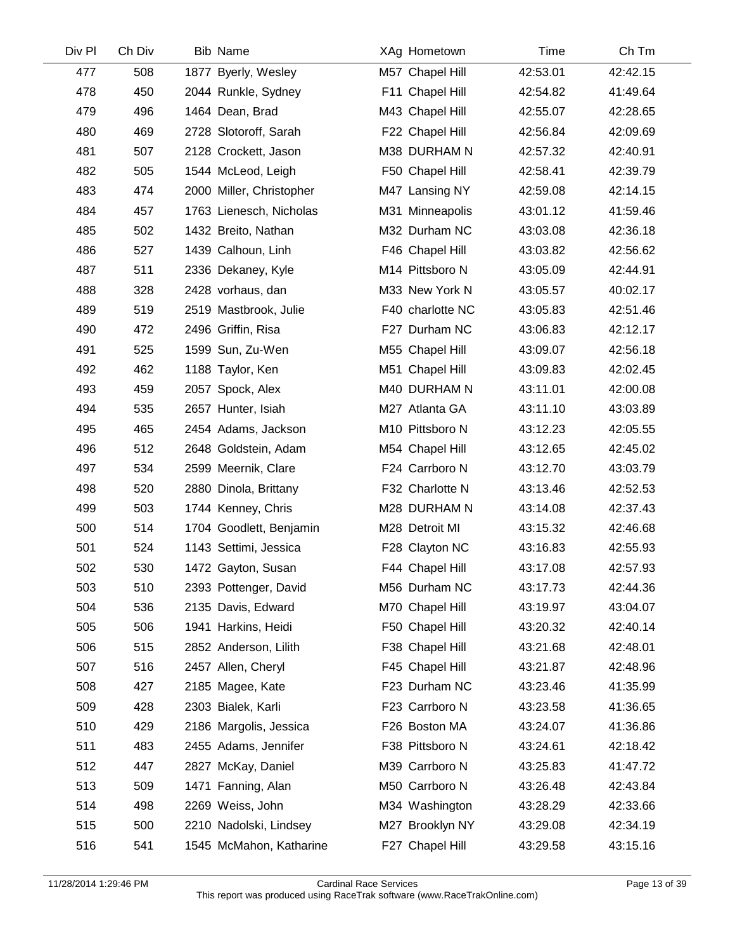| Div Pl | Ch Div | <b>Bib Name</b>          | XAg Hometown     | Time     | Ch Tm    |
|--------|--------|--------------------------|------------------|----------|----------|
| 477    | 508    | 1877 Byerly, Wesley      | M57 Chapel Hill  | 42:53.01 | 42:42.15 |
| 478    | 450    | 2044 Runkle, Sydney      | F11 Chapel Hill  | 42:54.82 | 41:49.64 |
| 479    | 496    | 1464 Dean, Brad          | M43 Chapel Hill  | 42:55.07 | 42:28.65 |
| 480    | 469    | 2728 Slotoroff, Sarah    | F22 Chapel Hill  | 42:56.84 | 42:09.69 |
| 481    | 507    | 2128 Crockett, Jason     | M38 DURHAM N     | 42:57.32 | 42:40.91 |
| 482    | 505    | 1544 McLeod, Leigh       | F50 Chapel Hill  | 42:58.41 | 42:39.79 |
| 483    | 474    | 2000 Miller, Christopher | M47 Lansing NY   | 42:59.08 | 42:14.15 |
| 484    | 457    | 1763 Lienesch, Nicholas  | M31 Minneapolis  | 43:01.12 | 41:59.46 |
| 485    | 502    | 1432 Breito, Nathan      | M32 Durham NC    | 43:03.08 | 42:36.18 |
| 486    | 527    | 1439 Calhoun, Linh       | F46 Chapel Hill  | 43:03.82 | 42:56.62 |
| 487    | 511    | 2336 Dekaney, Kyle       | M14 Pittsboro N  | 43:05.09 | 42:44.91 |
| 488    | 328    | 2428 vorhaus, dan        | M33 New York N   | 43:05.57 | 40:02.17 |
| 489    | 519    | 2519 Mastbrook, Julie    | F40 charlotte NC | 43:05.83 | 42:51.46 |
| 490    | 472    | 2496 Griffin, Risa       | F27 Durham NC    | 43:06.83 | 42:12.17 |
| 491    | 525    | 1599 Sun, Zu-Wen         | M55 Chapel Hill  | 43:09.07 | 42:56.18 |
| 492    | 462    | 1188 Taylor, Ken         | M51 Chapel Hill  | 43:09.83 | 42:02.45 |
| 493    | 459    | 2057 Spock, Alex         | M40 DURHAM N     | 43:11.01 | 42:00.08 |
| 494    | 535    | 2657 Hunter, Isiah       | M27 Atlanta GA   | 43:11.10 | 43:03.89 |
| 495    | 465    | 2454 Adams, Jackson      | M10 Pittsboro N  | 43:12.23 | 42:05.55 |
| 496    | 512    | 2648 Goldstein, Adam     | M54 Chapel Hill  | 43:12.65 | 42:45.02 |
| 497    | 534    | 2599 Meernik, Clare      | F24 Carrboro N   | 43:12.70 | 43:03.79 |
| 498    | 520    | 2880 Dinola, Brittany    | F32 Charlotte N  | 43:13.46 | 42:52.53 |
| 499    | 503    | 1744 Kenney, Chris       | M28 DURHAM N     | 43:14.08 | 42:37.43 |
| 500    | 514    | 1704 Goodlett, Benjamin  | M28 Detroit MI   | 43:15.32 | 42:46.68 |
| 501    | 524    | 1143 Settimi, Jessica    | F28 Clayton NC   | 43:16.83 | 42:55.93 |
| 502    | 530    | 1472 Gayton, Susan       | F44 Chapel Hill  | 43:17.08 | 42:57.93 |
| 503    | 510    | 2393 Pottenger, David    | M56 Durham NC    | 43:17.73 | 42:44.36 |
| 504    | 536    | 2135 Davis, Edward       | M70 Chapel Hill  | 43:19.97 | 43:04.07 |
| 505    | 506    | 1941 Harkins, Heidi      | F50 Chapel Hill  | 43:20.32 | 42:40.14 |
| 506    | 515    | 2852 Anderson, Lilith    | F38 Chapel Hill  | 43:21.68 | 42:48.01 |
| 507    | 516    | 2457 Allen, Cheryl       | F45 Chapel Hill  | 43:21.87 | 42:48.96 |
| 508    | 427    | 2185 Magee, Kate         | F23 Durham NC    | 43:23.46 | 41:35.99 |
| 509    | 428    | 2303 Bialek, Karli       | F23 Carrboro N   | 43:23.58 | 41:36.65 |
| 510    | 429    | 2186 Margolis, Jessica   | F26 Boston MA    | 43:24.07 | 41:36.86 |
| 511    | 483    | 2455 Adams, Jennifer     | F38 Pittsboro N  | 43:24.61 | 42:18.42 |
| 512    | 447    | 2827 McKay, Daniel       | M39 Carrboro N   | 43:25.83 | 41:47.72 |
| 513    | 509    | 1471 Fanning, Alan       | M50 Carrboro N   | 43:26.48 | 42:43.84 |
| 514    | 498    | 2269 Weiss, John         | M34 Washington   | 43:28.29 | 42:33.66 |
| 515    | 500    | 2210 Nadolski, Lindsey   | M27 Brooklyn NY  | 43:29.08 | 42:34.19 |
| 516    | 541    | 1545 McMahon, Katharine  | F27 Chapel Hill  | 43:29.58 | 43:15.16 |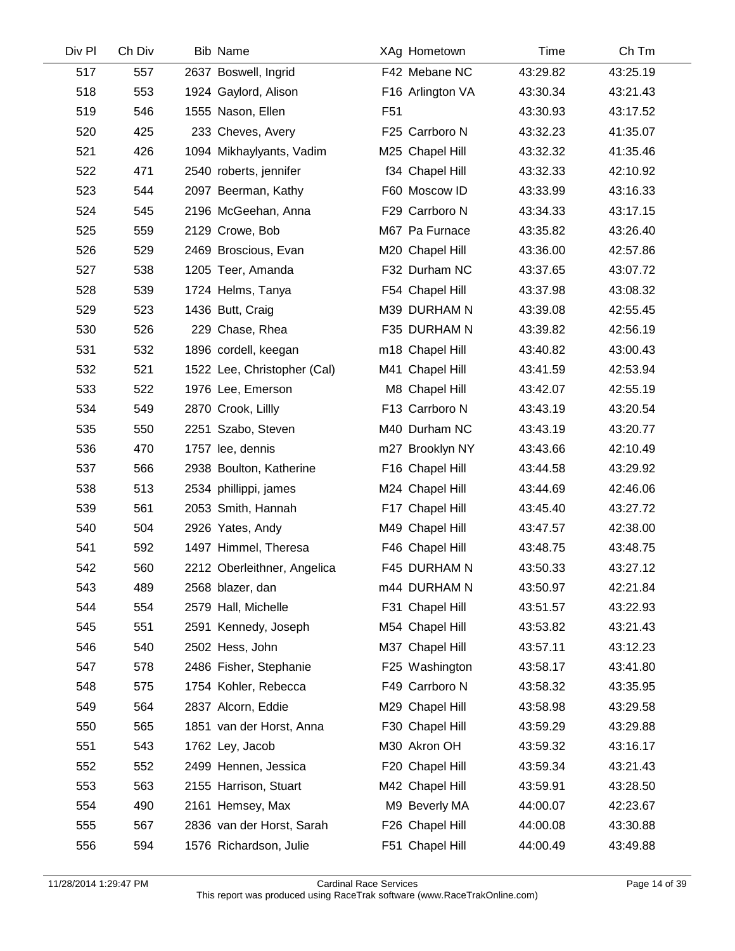| Div Pl | Ch Div | <b>Bib Name</b>             | XAg Hometown     | Time     | Ch Tm    |
|--------|--------|-----------------------------|------------------|----------|----------|
| 517    | 557    | 2637 Boswell, Ingrid        | F42 Mebane NC    | 43:29.82 | 43:25.19 |
| 518    | 553    | 1924 Gaylord, Alison        | F16 Arlington VA | 43:30.34 | 43:21.43 |
| 519    | 546    | 1555 Nason, Ellen           | F <sub>51</sub>  | 43:30.93 | 43:17.52 |
| 520    | 425    | 233 Cheves, Avery           | F25 Carrboro N   | 43:32.23 | 41:35.07 |
| 521    | 426    | 1094 Mikhaylyants, Vadim    | M25 Chapel Hill  | 43:32.32 | 41:35.46 |
| 522    | 471    | 2540 roberts, jennifer      | f34 Chapel Hill  | 43:32.33 | 42:10.92 |
| 523    | 544    | 2097 Beerman, Kathy         | F60 Moscow ID    | 43:33.99 | 43:16.33 |
| 524    | 545    | 2196 McGeehan, Anna         | F29 Carrboro N   | 43:34.33 | 43:17.15 |
| 525    | 559    | 2129 Crowe, Bob             | M67 Pa Furnace   | 43:35.82 | 43:26.40 |
| 526    | 529    | 2469 Broscious, Evan        | M20 Chapel Hill  | 43:36.00 | 42:57.86 |
| 527    | 538    | 1205 Teer, Amanda           | F32 Durham NC    | 43:37.65 | 43:07.72 |
| 528    | 539    | 1724 Helms, Tanya           | F54 Chapel Hill  | 43:37.98 | 43:08.32 |
| 529    | 523    | 1436 Butt, Craig            | M39 DURHAM N     | 43:39.08 | 42:55.45 |
| 530    | 526    | 229 Chase, Rhea             | F35 DURHAM N     | 43:39.82 | 42:56.19 |
| 531    | 532    | 1896 cordell, keegan        | m18 Chapel Hill  | 43:40.82 | 43:00.43 |
| 532    | 521    | 1522 Lee, Christopher (Cal) | M41 Chapel Hill  | 43:41.59 | 42:53.94 |
| 533    | 522    | 1976 Lee, Emerson           | M8 Chapel Hill   | 43:42.07 | 42:55.19 |
| 534    | 549    | 2870 Crook, Lillly          | F13 Carrboro N   | 43:43.19 | 43:20.54 |
| 535    | 550    | 2251 Szabo, Steven          | M40 Durham NC    | 43:43.19 | 43:20.77 |
| 536    | 470    | 1757 lee, dennis            | m27 Brooklyn NY  | 43:43.66 | 42:10.49 |
| 537    | 566    | 2938 Boulton, Katherine     | F16 Chapel Hill  | 43:44.58 | 43:29.92 |
| 538    | 513    | 2534 phillippi, james       | M24 Chapel Hill  | 43:44.69 | 42:46.06 |
| 539    | 561    | 2053 Smith, Hannah          | F17 Chapel Hill  | 43:45.40 | 43:27.72 |
| 540    | 504    | 2926 Yates, Andy            | M49 Chapel Hill  | 43:47.57 | 42:38.00 |
| 541    | 592    | 1497 Himmel, Theresa        | F46 Chapel Hill  | 43:48.75 | 43:48.75 |
| 542    | 560    | 2212 Oberleithner, Angelica | F45 DURHAM N     | 43:50.33 | 43:27.12 |
| 543    | 489    | 2568 blazer, dan            | m44 DURHAM N     | 43:50.97 | 42:21.84 |
| 544    | 554    | 2579 Hall, Michelle         | F31 Chapel Hill  | 43:51.57 | 43:22.93 |
| 545    | 551    | 2591 Kennedy, Joseph        | M54 Chapel Hill  | 43:53.82 | 43:21.43 |
| 546    | 540    | 2502 Hess, John             | M37 Chapel Hill  | 43:57.11 | 43:12.23 |
| 547    | 578    | 2486 Fisher, Stephanie      | F25 Washington   | 43:58.17 | 43:41.80 |
| 548    | 575    | 1754 Kohler, Rebecca        | F49 Carrboro N   | 43:58.32 | 43:35.95 |
| 549    | 564    | 2837 Alcorn, Eddie          | M29 Chapel Hill  | 43:58.98 | 43:29.58 |
| 550    | 565    | 1851 van der Horst, Anna    | F30 Chapel Hill  | 43:59.29 | 43:29.88 |
| 551    | 543    | 1762 Ley, Jacob             | M30 Akron OH     | 43:59.32 | 43:16.17 |
| 552    | 552    | 2499 Hennen, Jessica        | F20 Chapel Hill  | 43:59.34 | 43:21.43 |
| 553    | 563    | 2155 Harrison, Stuart       | M42 Chapel Hill  | 43:59.91 | 43:28.50 |
| 554    | 490    | 2161 Hemsey, Max            | M9 Beverly MA    | 44:00.07 | 42:23.67 |
| 555    | 567    | 2836 van der Horst, Sarah   | F26 Chapel Hill  | 44:00.08 | 43:30.88 |
| 556    | 594    | 1576 Richardson, Julie      | F51 Chapel Hill  | 44:00.49 | 43:49.88 |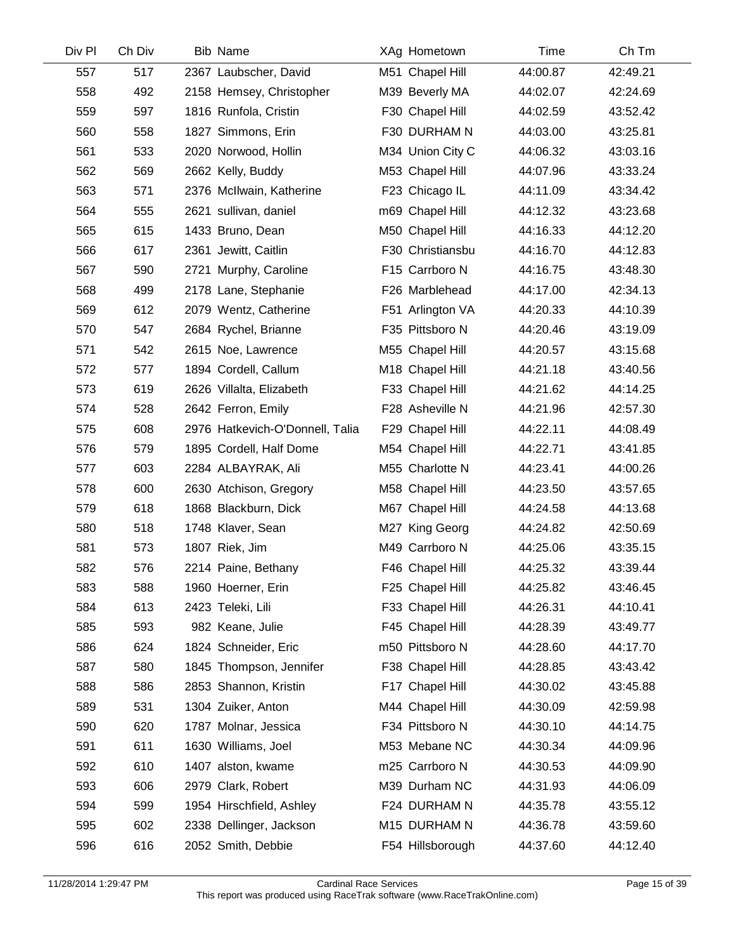| Div Pl | Ch Div | <b>Bib Name</b>                 | XAg Hometown     | Time     | Ch Tm    |
|--------|--------|---------------------------------|------------------|----------|----------|
| 557    | 517    | 2367 Laubscher, David           | M51 Chapel Hill  | 44:00.87 | 42:49.21 |
| 558    | 492    | 2158 Hemsey, Christopher        | M39 Beverly MA   | 44:02.07 | 42:24.69 |
| 559    | 597    | 1816 Runfola, Cristin           | F30 Chapel Hill  | 44:02.59 | 43:52.42 |
| 560    | 558    | 1827 Simmons, Erin              | F30 DURHAM N     | 44:03.00 | 43:25.81 |
| 561    | 533    | 2020 Norwood, Hollin            | M34 Union City C | 44:06.32 | 43:03.16 |
| 562    | 569    | 2662 Kelly, Buddy               | M53 Chapel Hill  | 44:07.96 | 43:33.24 |
| 563    | 571    | 2376 McIlwain, Katherine        | F23 Chicago IL   | 44:11.09 | 43:34.42 |
| 564    | 555    | 2621 sullivan, daniel           | m69 Chapel Hill  | 44:12.32 | 43:23.68 |
| 565    | 615    | 1433 Bruno, Dean                | M50 Chapel Hill  | 44:16.33 | 44:12.20 |
| 566    | 617    | 2361 Jewitt, Caitlin            | F30 Christiansbu | 44:16.70 | 44:12.83 |
| 567    | 590    | 2721 Murphy, Caroline           | F15 Carrboro N   | 44:16.75 | 43:48.30 |
| 568    | 499    | 2178 Lane, Stephanie            | F26 Marblehead   | 44:17.00 | 42:34.13 |
| 569    | 612    | 2079 Wentz, Catherine           | F51 Arlington VA | 44:20.33 | 44:10.39 |
| 570    | 547    | 2684 Rychel, Brianne            | F35 Pittsboro N  | 44:20.46 | 43:19.09 |
| 571    | 542    | 2615 Noe, Lawrence              | M55 Chapel Hill  | 44:20.57 | 43:15.68 |
| 572    | 577    | 1894 Cordell, Callum            | M18 Chapel Hill  | 44:21.18 | 43:40.56 |
| 573    | 619    | 2626 Villalta, Elizabeth        | F33 Chapel Hill  | 44:21.62 | 44:14.25 |
| 574    | 528    | 2642 Ferron, Emily              | F28 Asheville N  | 44:21.96 | 42:57.30 |
| 575    | 608    | 2976 Hatkevich-O'Donnell, Talia | F29 Chapel Hill  | 44:22.11 | 44:08.49 |
| 576    | 579    | 1895 Cordell, Half Dome         | M54 Chapel Hill  | 44:22.71 | 43:41.85 |
| 577    | 603    | 2284 ALBAYRAK, Ali              | M55 Charlotte N  | 44:23.41 | 44:00.26 |
| 578    | 600    | 2630 Atchison, Gregory          | M58 Chapel Hill  | 44:23.50 | 43:57.65 |
| 579    | 618    | 1868 Blackburn, Dick            | M67 Chapel Hill  | 44:24.58 | 44:13.68 |
| 580    | 518    | 1748 Klaver, Sean               | M27 King Georg   | 44:24.82 | 42:50.69 |
| 581    | 573    | 1807 Riek, Jim                  | M49 Carrboro N   | 44:25.06 | 43:35.15 |
| 582    | 576    | 2214 Paine, Bethany             | F46 Chapel Hill  | 44:25.32 | 43:39.44 |
| 583    | 588    | 1960 Hoerner, Erin              | F25 Chapel Hill  | 44:25.82 | 43:46.45 |
| 584    | 613    | 2423 Teleki, Lili               | F33 Chapel Hill  | 44:26.31 | 44:10.41 |
| 585    | 593    | 982 Keane, Julie                | F45 Chapel Hill  | 44:28.39 | 43:49.77 |
| 586    | 624    | 1824 Schneider, Eric            | m50 Pittsboro N  | 44:28.60 | 44:17.70 |
| 587    | 580    | 1845 Thompson, Jennifer         | F38 Chapel Hill  | 44:28.85 | 43:43.42 |
| 588    | 586    | 2853 Shannon, Kristin           | F17 Chapel Hill  | 44:30.02 | 43:45.88 |
| 589    | 531    | 1304 Zuiker, Anton              | M44 Chapel Hill  | 44:30.09 | 42:59.98 |
| 590    | 620    | 1787 Molnar, Jessica            | F34 Pittsboro N  | 44:30.10 | 44:14.75 |
| 591    | 611    | 1630 Williams, Joel             | M53 Mebane NC    | 44:30.34 | 44:09.96 |
| 592    | 610    | 1407 alston, kwame              | m25 Carrboro N   | 44:30.53 | 44:09.90 |
| 593    | 606    | 2979 Clark, Robert              | M39 Durham NC    | 44:31.93 | 44:06.09 |
| 594    | 599    | 1954 Hirschfield, Ashley        | F24 DURHAM N     | 44:35.78 | 43:55.12 |
| 595    | 602    | 2338 Dellinger, Jackson         | M15 DURHAM N     | 44:36.78 | 43:59.60 |
| 596    | 616    | 2052 Smith, Debbie              | F54 Hillsborough | 44:37.60 | 44:12.40 |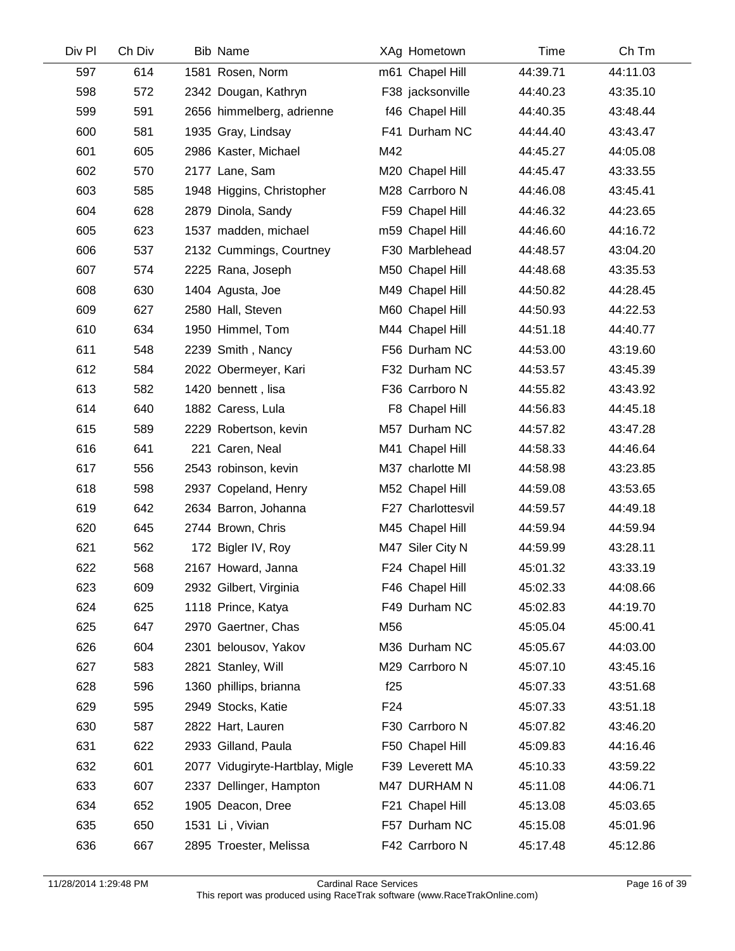| Div Pl | Ch Div | <b>Bib Name</b>                 |     | XAg Hometown      | Time     | Ch Tm    |
|--------|--------|---------------------------------|-----|-------------------|----------|----------|
| 597    | 614    | 1581 Rosen, Norm                |     | m61 Chapel Hill   | 44:39.71 | 44:11.03 |
| 598    | 572    | 2342 Dougan, Kathryn            |     | F38 jacksonville  | 44:40.23 | 43:35.10 |
| 599    | 591    | 2656 himmelberg, adrienne       |     | f46 Chapel Hill   | 44:40.35 | 43:48.44 |
| 600    | 581    | 1935 Gray, Lindsay              |     | F41 Durham NC     | 44:44.40 | 43:43.47 |
| 601    | 605    | 2986 Kaster, Michael            | M42 |                   | 44:45.27 | 44:05.08 |
| 602    | 570    | 2177 Lane, Sam                  |     | M20 Chapel Hill   | 44:45.47 | 43:33.55 |
| 603    | 585    | 1948 Higgins, Christopher       |     | M28 Carrboro N    | 44:46.08 | 43:45.41 |
| 604    | 628    | 2879 Dinola, Sandy              |     | F59 Chapel Hill   | 44:46.32 | 44:23.65 |
| 605    | 623    | 1537 madden, michael            |     | m59 Chapel Hill   | 44:46.60 | 44:16.72 |
| 606    | 537    | 2132 Cummings, Courtney         |     | F30 Marblehead    | 44:48.57 | 43:04.20 |
| 607    | 574    | 2225 Rana, Joseph               |     | M50 Chapel Hill   | 44:48.68 | 43:35.53 |
| 608    | 630    | 1404 Agusta, Joe                |     | M49 Chapel Hill   | 44:50.82 | 44:28.45 |
| 609    | 627    | 2580 Hall, Steven               |     | M60 Chapel Hill   | 44:50.93 | 44:22.53 |
| 610    | 634    | 1950 Himmel, Tom                |     | M44 Chapel Hill   | 44:51.18 | 44:40.77 |
| 611    | 548    | 2239 Smith, Nancy               |     | F56 Durham NC     | 44:53.00 | 43:19.60 |
| 612    | 584    | 2022 Obermeyer, Kari            |     | F32 Durham NC     | 44:53.57 | 43:45.39 |
| 613    | 582    | 1420 bennett, lisa              |     | F36 Carrboro N    | 44:55.82 | 43:43.92 |
| 614    | 640    | 1882 Caress, Lula               |     | F8 Chapel Hill    | 44:56.83 | 44:45.18 |
| 615    | 589    | 2229 Robertson, kevin           |     | M57 Durham NC     | 44:57.82 | 43:47.28 |
| 616    | 641    | 221 Caren, Neal                 |     | M41 Chapel Hill   | 44:58.33 | 44:46.64 |
| 617    | 556    | 2543 robinson, kevin            |     | M37 charlotte MI  | 44:58.98 | 43:23.85 |
| 618    | 598    | 2937 Copeland, Henry            |     | M52 Chapel Hill   | 44:59.08 | 43:53.65 |
| 619    | 642    | 2634 Barron, Johanna            |     | F27 Charlottesvil | 44:59.57 | 44:49.18 |
| 620    | 645    | 2744 Brown, Chris               |     | M45 Chapel Hill   | 44:59.94 | 44:59.94 |
| 621    | 562    | 172 Bigler IV, Roy              |     | M47 Siler City N  | 44:59.99 | 43:28.11 |
| 622    | 568    | 2167 Howard, Janna              |     | F24 Chapel Hill   | 45:01.32 | 43:33.19 |
| 623    | 609    | 2932 Gilbert, Virginia          |     | F46 Chapel Hill   | 45:02.33 | 44:08.66 |
| 624    | 625    | 1118 Prince, Katya              |     | F49 Durham NC     | 45:02.83 | 44:19.70 |
| 625    | 647    | 2970 Gaertner, Chas             | M56 |                   | 45:05.04 | 45:00.41 |
| 626    | 604    | 2301 belousov, Yakov            |     | M36 Durham NC     | 45:05.67 | 44:03.00 |
| 627    | 583    | 2821 Stanley, Will              |     | M29 Carrboro N    | 45:07.10 | 43:45.16 |
| 628    | 596    | 1360 phillips, brianna          | f25 |                   | 45:07.33 | 43:51.68 |
| 629    | 595    | 2949 Stocks, Katie              | F24 |                   | 45:07.33 | 43:51.18 |
| 630    | 587    | 2822 Hart, Lauren               |     | F30 Carrboro N    | 45:07.82 | 43:46.20 |
| 631    | 622    | 2933 Gilland, Paula             |     | F50 Chapel Hill   | 45:09.83 | 44:16.46 |
| 632    | 601    | 2077 Vidugiryte-Hartblay, Migle |     | F39 Leverett MA   | 45:10.33 | 43:59.22 |
| 633    | 607    | 2337 Dellinger, Hampton         |     | M47 DURHAM N      | 45:11.08 | 44:06.71 |
| 634    | 652    | 1905 Deacon, Dree               |     | F21 Chapel Hill   | 45:13.08 | 45:03.65 |
| 635    | 650    | 1531 Li, Vivian                 |     | F57 Durham NC     | 45:15.08 | 45:01.96 |
| 636    | 667    | 2895 Troester, Melissa          |     | F42 Carrboro N    | 45:17.48 | 45:12.86 |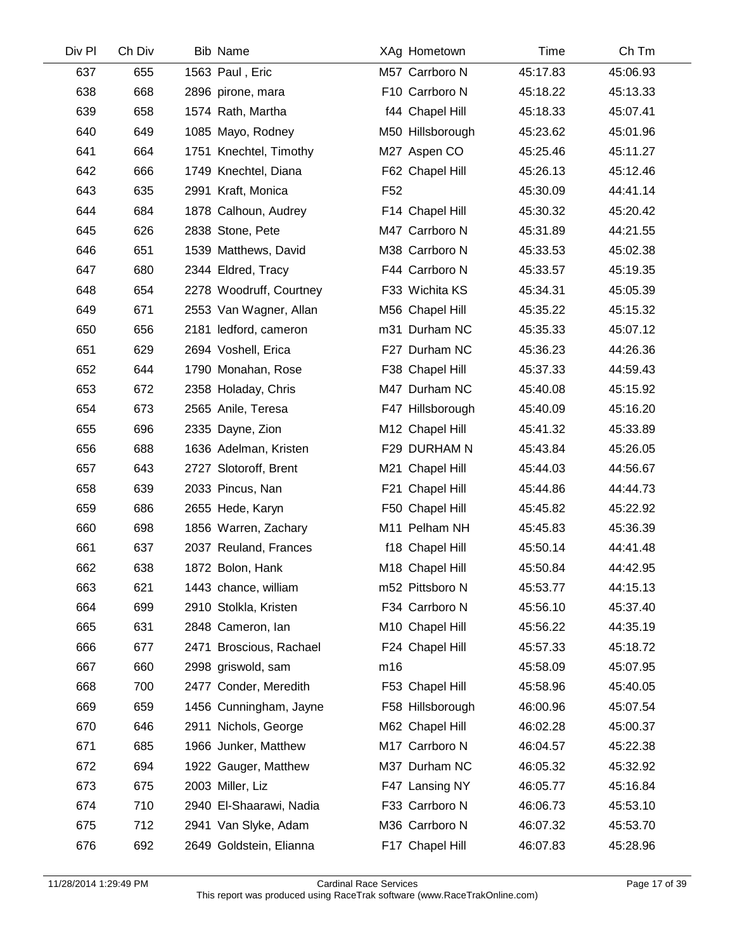| Div Pl | Ch Div | <b>Bib Name</b>         |                 | XAg Hometown     | Time     | Ch Tm    |
|--------|--------|-------------------------|-----------------|------------------|----------|----------|
| 637    | 655    | 1563 Paul, Eric         |                 | M57 Carrboro N   | 45:17.83 | 45:06.93 |
| 638    | 668    | 2896 pirone, mara       |                 | F10 Carrboro N   | 45:18.22 | 45:13.33 |
| 639    | 658    | 1574 Rath, Martha       |                 | f44 Chapel Hill  | 45:18.33 | 45:07.41 |
| 640    | 649    | 1085 Mayo, Rodney       |                 | M50 Hillsborough | 45:23.62 | 45:01.96 |
| 641    | 664    | 1751 Knechtel, Timothy  |                 | M27 Aspen CO     | 45:25.46 | 45:11.27 |
| 642    | 666    | 1749 Knechtel, Diana    |                 | F62 Chapel Hill  | 45:26.13 | 45:12.46 |
| 643    | 635    | 2991 Kraft, Monica      | F <sub>52</sub> |                  | 45:30.09 | 44:41.14 |
| 644    | 684    | 1878 Calhoun, Audrey    |                 | F14 Chapel Hill  | 45:30.32 | 45:20.42 |
| 645    | 626    | 2838 Stone, Pete        |                 | M47 Carrboro N   | 45:31.89 | 44:21.55 |
| 646    | 651    | 1539 Matthews, David    |                 | M38 Carrboro N   | 45:33.53 | 45:02.38 |
| 647    | 680    | 2344 Eldred, Tracy      |                 | F44 Carrboro N   | 45:33.57 | 45:19.35 |
| 648    | 654    | 2278 Woodruff, Courtney |                 | F33 Wichita KS   | 45:34.31 | 45:05.39 |
| 649    | 671    | 2553 Van Wagner, Allan  |                 | M56 Chapel Hill  | 45:35.22 | 45:15.32 |
| 650    | 656    | 2181 ledford, cameron   |                 | m31 Durham NC    | 45:35.33 | 45:07.12 |
| 651    | 629    | 2694 Voshell, Erica     |                 | F27 Durham NC    | 45:36.23 | 44:26.36 |
| 652    | 644    | 1790 Monahan, Rose      |                 | F38 Chapel Hill  | 45:37.33 | 44:59.43 |
| 653    | 672    | 2358 Holaday, Chris     |                 | M47 Durham NC    | 45:40.08 | 45:15.92 |
| 654    | 673    | 2565 Anile, Teresa      |                 | F47 Hillsborough | 45:40.09 | 45:16.20 |
| 655    | 696    | 2335 Dayne, Zion        |                 | M12 Chapel Hill  | 45:41.32 | 45:33.89 |
| 656    | 688    | 1636 Adelman, Kristen   |                 | F29 DURHAM N     | 45:43.84 | 45:26.05 |
| 657    | 643    | 2727 Slotoroff, Brent   |                 | M21 Chapel Hill  | 45:44.03 | 44:56.67 |
| 658    | 639    | 2033 Pincus, Nan        |                 | F21 Chapel Hill  | 45:44.86 | 44:44.73 |
| 659    | 686    | 2655 Hede, Karyn        |                 | F50 Chapel Hill  | 45:45.82 | 45:22.92 |
| 660    | 698    | 1856 Warren, Zachary    |                 | M11 Pelham NH    | 45:45.83 | 45:36.39 |
| 661    | 637    | 2037 Reuland, Frances   |                 | f18 Chapel Hill  | 45:50.14 | 44:41.48 |
| 662    | 638    | 1872 Bolon, Hank        |                 | M18 Chapel Hill  | 45:50.84 | 44:42.95 |
| 663    | 621    | 1443 chance, william    |                 | m52 Pittsboro N  | 45:53.77 | 44:15.13 |
| 664    | 699    | 2910 Stolkla, Kristen   |                 | F34 Carrboro N   | 45:56.10 | 45:37.40 |
| 665    | 631    | 2848 Cameron, lan       |                 | M10 Chapel Hill  | 45:56.22 | 44:35.19 |
| 666    | 677    | 2471 Broscious, Rachael |                 | F24 Chapel Hill  | 45:57.33 | 45:18.72 |
| 667    | 660    | 2998 griswold, sam      | m16             |                  | 45:58.09 | 45:07.95 |
| 668    | 700    | 2477 Conder, Meredith   |                 | F53 Chapel Hill  | 45:58.96 | 45:40.05 |
| 669    | 659    | 1456 Cunningham, Jayne  |                 | F58 Hillsborough | 46:00.96 | 45:07.54 |
| 670    | 646    | 2911 Nichols, George    |                 | M62 Chapel Hill  | 46:02.28 | 45:00.37 |
| 671    | 685    | 1966 Junker, Matthew    |                 | M17 Carrboro N   | 46:04.57 | 45:22.38 |
| 672    | 694    | 1922 Gauger, Matthew    |                 | M37 Durham NC    | 46:05.32 | 45:32.92 |
| 673    | 675    | 2003 Miller, Liz        |                 | F47 Lansing NY   | 46:05.77 | 45:16.84 |
| 674    | 710    | 2940 El-Shaarawi, Nadia |                 | F33 Carrboro N   | 46:06.73 | 45:53.10 |
| 675    | 712    | 2941 Van Slyke, Adam    |                 | M36 Carrboro N   | 46:07.32 | 45:53.70 |
| 676    | 692    | 2649 Goldstein, Elianna |                 | F17 Chapel Hill  | 46:07.83 | 45:28.96 |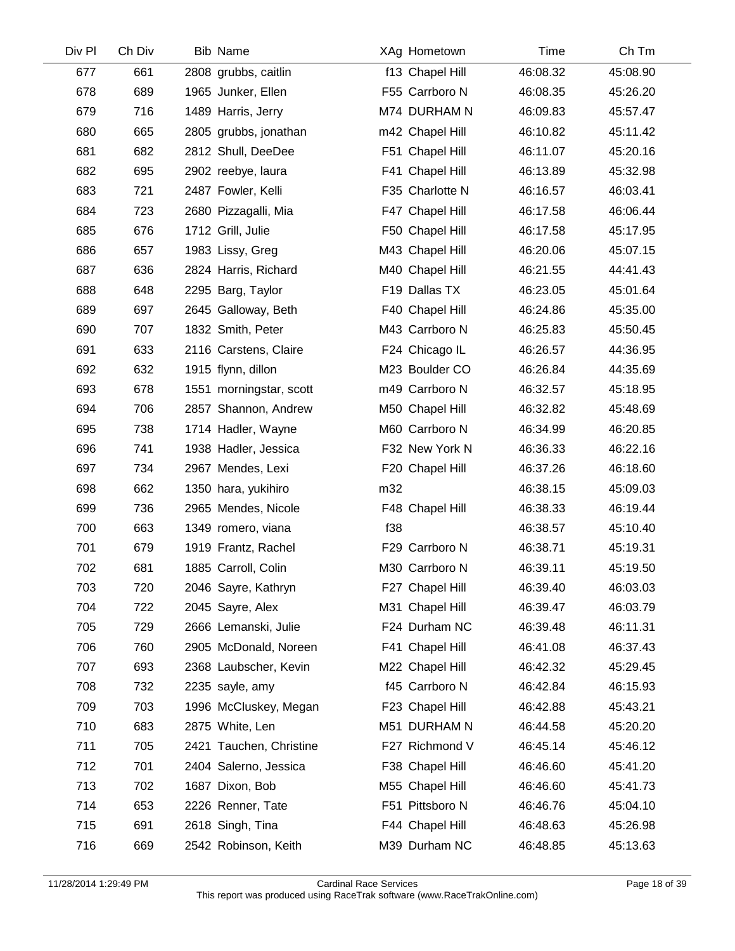| Ch Div | <b>Bib Name</b>         | XAg Hometown    | Time     | Ch Tm    |
|--------|-------------------------|-----------------|----------|----------|
| 661    | 2808 grubbs, caitlin    | f13 Chapel Hill | 46:08.32 | 45:08.90 |
| 689    | 1965 Junker, Ellen      | F55 Carrboro N  | 46:08.35 | 45:26.20 |
| 716    | 1489 Harris, Jerry      | M74 DURHAM N    | 46:09.83 | 45:57.47 |
| 665    | 2805 grubbs, jonathan   | m42 Chapel Hill | 46:10.82 | 45:11.42 |
| 682    | 2812 Shull, DeeDee      | F51 Chapel Hill | 46:11.07 | 45:20.16 |
| 695    | 2902 reebye, laura      | F41 Chapel Hill | 46:13.89 | 45:32.98 |
| 721    | 2487 Fowler, Kelli      | F35 Charlotte N | 46:16.57 | 46:03.41 |
| 723    | 2680 Pizzagalli, Mia    | F47 Chapel Hill | 46:17.58 | 46:06.44 |
| 676    | 1712 Grill, Julie       | F50 Chapel Hill | 46:17.58 | 45:17.95 |
| 657    | 1983 Lissy, Greg        | M43 Chapel Hill | 46:20.06 | 45:07.15 |
| 636    | 2824 Harris, Richard    | M40 Chapel Hill | 46:21.55 | 44:41.43 |
| 648    | 2295 Barg, Taylor       | F19 Dallas TX   | 46:23.05 | 45:01.64 |
| 697    | 2645 Galloway, Beth     | F40 Chapel Hill | 46:24.86 | 45:35.00 |
| 707    | 1832 Smith, Peter       | M43 Carrboro N  | 46:25.83 | 45:50.45 |
| 633    | 2116 Carstens, Claire   | F24 Chicago IL  | 46:26.57 | 44:36.95 |
| 632    | 1915 flynn, dillon      | M23 Boulder CO  | 46:26.84 | 44:35.69 |
| 678    | 1551 morningstar, scott | m49 Carrboro N  | 46:32.57 | 45:18.95 |
| 706    | 2857 Shannon, Andrew    | M50 Chapel Hill | 46:32.82 | 45:48.69 |
| 738    | 1714 Hadler, Wayne      | M60 Carrboro N  | 46:34.99 | 46:20.85 |
| 741    | 1938 Hadler, Jessica    | F32 New York N  | 46:36.33 | 46:22.16 |
| 734    | 2967 Mendes, Lexi       | F20 Chapel Hill | 46:37.26 | 46:18.60 |
| 662    | 1350 hara, yukihiro     | m32             | 46:38.15 | 45:09.03 |
| 736    | 2965 Mendes, Nicole     | F48 Chapel Hill | 46:38.33 | 46:19.44 |
| 663    | 1349 romero, viana      | f38             | 46:38.57 | 45:10.40 |
| 679    | 1919 Frantz, Rachel     | F29 Carrboro N  | 46:38.71 | 45:19.31 |
| 681    | 1885 Carroll, Colin     | M30 Carrboro N  | 46:39.11 | 45:19.50 |
| 720    | 2046 Sayre, Kathryn     | F27 Chapel Hill | 46:39.40 | 46:03.03 |
| 722    | 2045 Sayre, Alex        | M31 Chapel Hill | 46:39.47 | 46:03.79 |
| 729    | 2666 Lemanski, Julie    | F24 Durham NC   | 46:39.48 | 46:11.31 |
| 760    | 2905 McDonald, Noreen   | F41 Chapel Hill | 46:41.08 | 46:37.43 |
| 693    | 2368 Laubscher, Kevin   | M22 Chapel Hill | 46:42.32 | 45:29.45 |
| 732    | 2235 sayle, amy         | f45 Carrboro N  | 46:42.84 | 46:15.93 |
| 703    | 1996 McCluskey, Megan   | F23 Chapel Hill | 46:42.88 | 45:43.21 |
| 683    | 2875 White, Len         | M51 DURHAM N    | 46:44.58 | 45:20.20 |
| 705    | 2421 Tauchen, Christine | F27 Richmond V  | 46:45.14 | 45:46.12 |
| 701    | 2404 Salerno, Jessica   | F38 Chapel Hill | 46:46.60 | 45:41.20 |
| 702    | 1687 Dixon, Bob         | M55 Chapel Hill | 46:46.60 | 45:41.73 |
| 653    | 2226 Renner, Tate       | F51 Pittsboro N | 46:46.76 | 45:04.10 |
| 691    | 2618 Singh, Tina        | F44 Chapel Hill | 46:48.63 | 45:26.98 |
| 669    | 2542 Robinson, Keith    | M39 Durham NC   | 46:48.85 | 45:13.63 |
|        |                         |                 |          |          |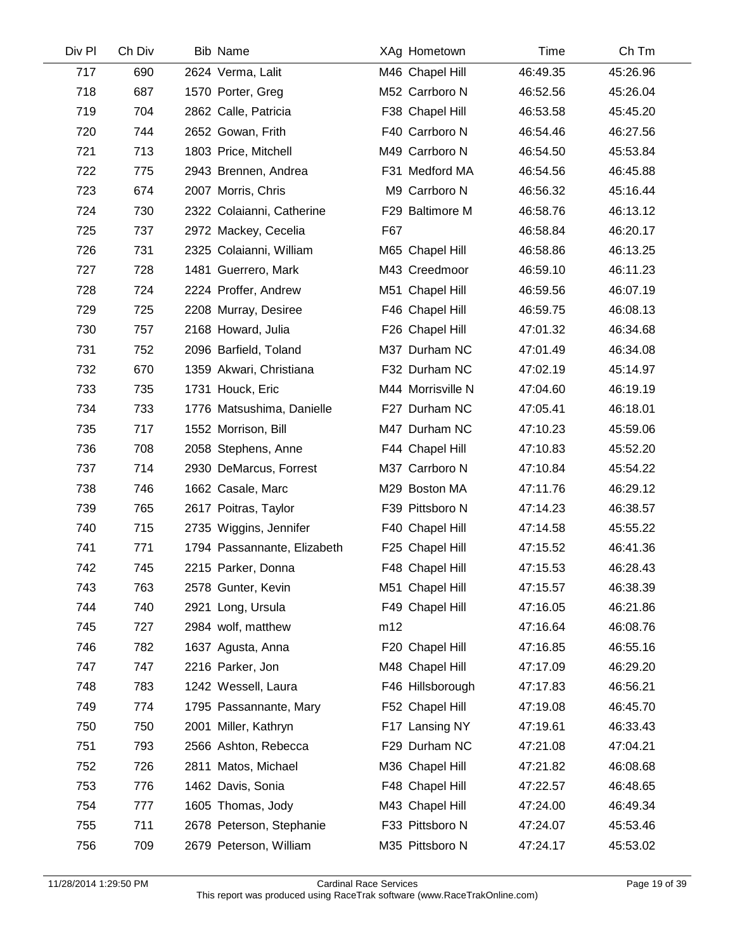| Div Pl | Ch Div | <b>Bib Name</b>             | XAg Hometown      | Time     | Ch Tm    |
|--------|--------|-----------------------------|-------------------|----------|----------|
| 717    | 690    | 2624 Verma, Lalit           | M46 Chapel Hill   | 46:49.35 | 45:26.96 |
| 718    | 687    | 1570 Porter, Greg           | M52 Carrboro N    | 46:52.56 | 45:26.04 |
| 719    | 704    | 2862 Calle, Patricia        | F38 Chapel Hill   | 46:53.58 | 45:45.20 |
| 720    | 744    | 2652 Gowan, Frith           | F40 Carrboro N    | 46:54.46 | 46:27.56 |
| 721    | 713    | 1803 Price, Mitchell        | M49 Carrboro N    | 46:54.50 | 45:53.84 |
| 722    | 775    | 2943 Brennen, Andrea        | F31 Medford MA    | 46:54.56 | 46:45.88 |
| 723    | 674    | 2007 Morris, Chris          | M9 Carrboro N     | 46:56.32 | 45:16.44 |
| 724    | 730    | 2322 Colaianni, Catherine   | F29 Baltimore M   | 46:58.76 | 46:13.12 |
| 725    | 737    | 2972 Mackey, Cecelia        | F67               | 46:58.84 | 46:20.17 |
| 726    | 731    | 2325 Colaianni, William     | M65 Chapel Hill   | 46:58.86 | 46:13.25 |
| 727    | 728    | 1481 Guerrero, Mark         | M43 Creedmoor     | 46:59.10 | 46:11.23 |
| 728    | 724    | 2224 Proffer, Andrew        | M51 Chapel Hill   | 46:59.56 | 46:07.19 |
| 729    | 725    | 2208 Murray, Desiree        | F46 Chapel Hill   | 46:59.75 | 46:08.13 |
| 730    | 757    | 2168 Howard, Julia          | F26 Chapel Hill   | 47:01.32 | 46:34.68 |
| 731    | 752    | 2096 Barfield, Toland       | M37 Durham NC     | 47:01.49 | 46:34.08 |
| 732    | 670    | 1359 Akwari, Christiana     | F32 Durham NC     | 47:02.19 | 45:14.97 |
| 733    | 735    | 1731 Houck, Eric            | M44 Morrisville N | 47:04.60 | 46:19.19 |
| 734    | 733    | 1776 Matsushima, Danielle   | F27 Durham NC     | 47:05.41 | 46:18.01 |
| 735    | 717    | 1552 Morrison, Bill         | M47 Durham NC     | 47:10.23 | 45:59.06 |
| 736    | 708    | 2058 Stephens, Anne         | F44 Chapel Hill   | 47:10.83 | 45:52.20 |
| 737    | 714    | 2930 DeMarcus, Forrest      | M37 Carrboro N    | 47:10.84 | 45:54.22 |
| 738    | 746    | 1662 Casale, Marc           | M29 Boston MA     | 47:11.76 | 46:29.12 |
| 739    | 765    | 2617 Poitras, Taylor        | F39 Pittsboro N   | 47:14.23 | 46:38.57 |
| 740    | 715    | 2735 Wiggins, Jennifer      | F40 Chapel Hill   | 47:14.58 | 45:55.22 |
| 741    | 771    | 1794 Passannante, Elizabeth | F25 Chapel Hill   | 47:15.52 | 46:41.36 |
| 742    | 745    | 2215 Parker, Donna          | F48 Chapel Hill   | 47:15.53 | 46:28.43 |
| 743    | 763    | 2578 Gunter, Kevin          | M51 Chapel Hill   | 47:15.57 | 46:38.39 |
| 744    | 740    | 2921 Long, Ursula           | F49 Chapel Hill   | 47:16.05 | 46:21.86 |
| 745    | 727    | 2984 wolf, matthew          | m12               | 47:16.64 | 46:08.76 |
| 746    | 782    | 1637 Agusta, Anna           | F20 Chapel Hill   | 47:16.85 | 46:55.16 |
| 747    | 747    | 2216 Parker, Jon            | M48 Chapel Hill   | 47:17.09 | 46:29.20 |
| 748    | 783    | 1242 Wessell, Laura         | F46 Hillsborough  | 47:17.83 | 46:56.21 |
| 749    | 774    | 1795 Passannante, Mary      | F52 Chapel Hill   | 47:19.08 | 46:45.70 |
| 750    | 750    | 2001 Miller, Kathryn        | F17 Lansing NY    | 47:19.61 | 46:33.43 |
| 751    | 793    | 2566 Ashton, Rebecca        | F29 Durham NC     | 47:21.08 | 47:04.21 |
| 752    | 726    | 2811 Matos, Michael         | M36 Chapel Hill   | 47:21.82 | 46:08.68 |
| 753    | 776    | 1462 Davis, Sonia           | F48 Chapel Hill   | 47:22.57 | 46:48.65 |
| 754    | 777    | 1605 Thomas, Jody           | M43 Chapel Hill   | 47:24.00 | 46:49.34 |
| 755    | 711    | 2678 Peterson, Stephanie    | F33 Pittsboro N   | 47:24.07 | 45:53.46 |
| 756    | 709    | 2679 Peterson, William      | M35 Pittsboro N   | 47:24.17 | 45:53.02 |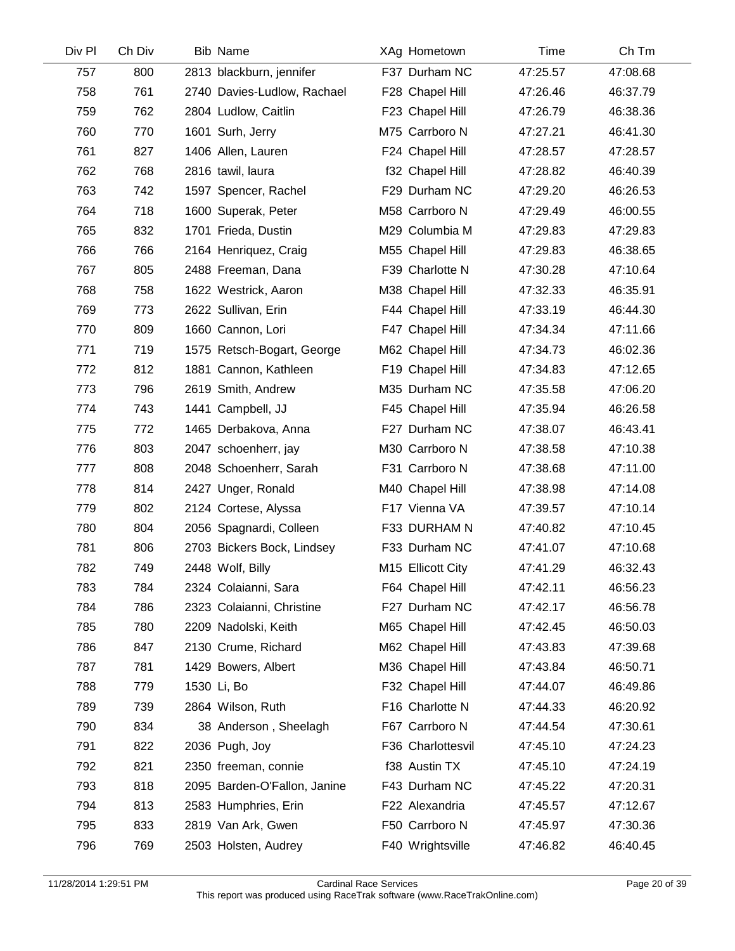| Div Pl | Ch Div | <b>Bib Name</b>              | XAg Hometown      | Time     | Ch Tm    |  |
|--------|--------|------------------------------|-------------------|----------|----------|--|
| 757    | 800    | 2813 blackburn, jennifer     | F37 Durham NC     | 47:25.57 | 47:08.68 |  |
| 758    | 761    | 2740 Davies-Ludlow, Rachael  | F28 Chapel Hill   | 47:26.46 | 46:37.79 |  |
| 759    | 762    | 2804 Ludlow, Caitlin         | F23 Chapel Hill   | 47:26.79 | 46:38.36 |  |
| 760    | 770    | 1601 Surh, Jerry             | M75 Carrboro N    | 47:27.21 | 46:41.30 |  |
| 761    | 827    | 1406 Allen, Lauren           | F24 Chapel Hill   | 47:28.57 | 47:28.57 |  |
| 762    | 768    | 2816 tawil, laura            | f32 Chapel Hill   | 47:28.82 | 46:40.39 |  |
| 763    | 742    | 1597 Spencer, Rachel         | F29 Durham NC     | 47:29.20 | 46:26.53 |  |
| 764    | 718    | 1600 Superak, Peter          | M58 Carrboro N    | 47:29.49 | 46:00.55 |  |
| 765    | 832    | 1701 Frieda, Dustin          | M29 Columbia M    | 47:29.83 | 47:29.83 |  |
| 766    | 766    | 2164 Henriquez, Craig        | M55 Chapel Hill   | 47:29.83 | 46:38.65 |  |
| 767    | 805    | 2488 Freeman, Dana           | F39 Charlotte N   | 47:30.28 | 47:10.64 |  |
| 768    | 758    | 1622 Westrick, Aaron         | M38 Chapel Hill   | 47:32.33 | 46:35.91 |  |
| 769    | 773    | 2622 Sullivan, Erin          | F44 Chapel Hill   | 47:33.19 | 46:44.30 |  |
| 770    | 809    | 1660 Cannon, Lori            | F47 Chapel Hill   | 47:34.34 | 47:11.66 |  |
| 771    | 719    | 1575 Retsch-Bogart, George   | M62 Chapel Hill   | 47:34.73 | 46:02.36 |  |
| 772    | 812    | 1881 Cannon, Kathleen        | F19 Chapel Hill   | 47:34.83 | 47:12.65 |  |
| 773    | 796    | 2619 Smith, Andrew           | M35 Durham NC     | 47:35.58 | 47:06.20 |  |
| 774    | 743    | 1441 Campbell, JJ            | F45 Chapel Hill   | 47:35.94 | 46:26.58 |  |
| 775    | 772    | 1465 Derbakova, Anna         | F27 Durham NC     | 47:38.07 | 46:43.41 |  |
| 776    | 803    | 2047 schoenherr, jay         | M30 Carrboro N    | 47:38.58 | 47:10.38 |  |
| 777    | 808    | 2048 Schoenherr, Sarah       | F31 Carrboro N    | 47:38.68 | 47:11.00 |  |
| 778    | 814    | 2427 Unger, Ronald           | M40 Chapel Hill   | 47:38.98 | 47:14.08 |  |
| 779    | 802    | 2124 Cortese, Alyssa         | F17 Vienna VA     | 47:39.57 | 47:10.14 |  |
| 780    | 804    | 2056 Spagnardi, Colleen      | F33 DURHAM N      | 47:40.82 | 47:10.45 |  |
| 781    | 806    | 2703 Bickers Bock, Lindsey   | F33 Durham NC     | 47:41.07 | 47:10.68 |  |
| 782    | 749    | 2448 Wolf, Billy             | M15 Ellicott City | 47:41.29 | 46:32.43 |  |
| 783    | 784    | 2324 Colaianni, Sara         | F64 Chapel Hill   | 47:42.11 | 46:56.23 |  |
| 784    | 786    | 2323 Colaianni, Christine    | F27 Durham NC     | 47:42.17 | 46:56.78 |  |
| 785    | 780    | 2209 Nadolski, Keith         | M65 Chapel Hill   | 47:42.45 | 46:50.03 |  |
| 786    | 847    | 2130 Crume, Richard          | M62 Chapel Hill   | 47:43.83 | 47:39.68 |  |
| 787    | 781    | 1429 Bowers, Albert          | M36 Chapel Hill   | 47:43.84 | 46:50.71 |  |
| 788    | 779    | 1530 Li, Bo                  | F32 Chapel Hill   | 47:44.07 | 46:49.86 |  |
| 789    | 739    | 2864 Wilson, Ruth            | F16 Charlotte N   | 47:44.33 | 46:20.92 |  |
| 790    | 834    | 38 Anderson, Sheelagh        | F67 Carrboro N    | 47:44.54 | 47:30.61 |  |
| 791    | 822    | 2036 Pugh, Joy               | F36 Charlottesvil | 47:45.10 | 47:24.23 |  |
| 792    | 821    | 2350 freeman, connie         | f38 Austin TX     | 47:45.10 | 47:24.19 |  |
| 793    | 818    | 2095 Barden-O'Fallon, Janine | F43 Durham NC     | 47:45.22 | 47:20.31 |  |
| 794    | 813    | 2583 Humphries, Erin         | F22 Alexandria    | 47:45.57 | 47:12.67 |  |
| 795    | 833    | 2819 Van Ark, Gwen           | F50 Carrboro N    | 47:45.97 | 47:30.36 |  |
| 796    | 769    | 2503 Holsten, Audrey         | F40 Wrightsville  | 47:46.82 | 46:40.45 |  |
|        |        |                              |                   |          |          |  |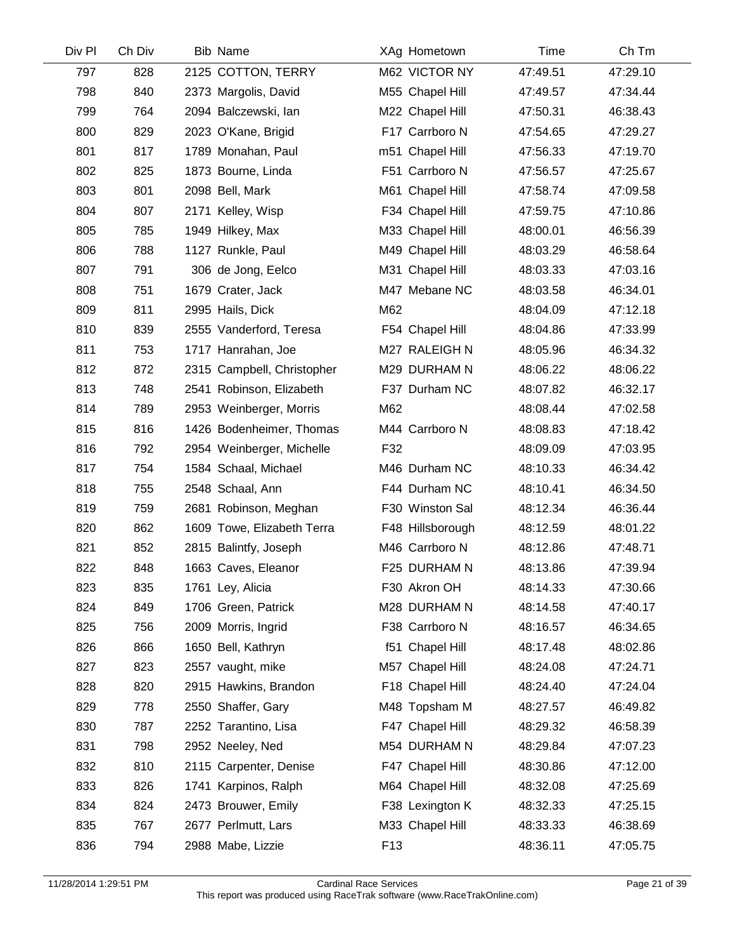| Div Pl | Ch Div | <b>Bib Name</b>            |                 | XAg Hometown     | Time     | Ch Tm    |
|--------|--------|----------------------------|-----------------|------------------|----------|----------|
| 797    | 828    | 2125 COTTON, TERRY         |                 | M62 VICTOR NY    | 47:49.51 | 47:29.10 |
| 798    | 840    | 2373 Margolis, David       |                 | M55 Chapel Hill  | 47:49.57 | 47:34.44 |
| 799    | 764    | 2094 Balczewski, lan       |                 | M22 Chapel Hill  | 47:50.31 | 46:38.43 |
| 800    | 829    | 2023 O'Kane, Brigid        |                 | F17 Carrboro N   | 47:54.65 | 47:29.27 |
| 801    | 817    | 1789 Monahan, Paul         |                 | m51 Chapel Hill  | 47:56.33 | 47:19.70 |
| 802    | 825    | 1873 Bourne, Linda         |                 | F51 Carrboro N   | 47:56.57 | 47:25.67 |
| 803    | 801    | 2098 Bell, Mark            |                 | M61 Chapel Hill  | 47:58.74 | 47:09.58 |
| 804    | 807    | 2171 Kelley, Wisp          |                 | F34 Chapel Hill  | 47:59.75 | 47:10.86 |
| 805    | 785    | 1949 Hilkey, Max           |                 | M33 Chapel Hill  | 48:00.01 | 46:56.39 |
| 806    | 788    | 1127 Runkle, Paul          |                 | M49 Chapel Hill  | 48:03.29 | 46:58.64 |
| 807    | 791    | 306 de Jong, Eelco         |                 | M31 Chapel Hill  | 48:03.33 | 47:03.16 |
| 808    | 751    | 1679 Crater, Jack          |                 | M47 Mebane NC    | 48:03.58 | 46:34.01 |
| 809    | 811    | 2995 Hails, Dick           | M62             |                  | 48:04.09 | 47:12.18 |
| 810    | 839    | 2555 Vanderford, Teresa    |                 | F54 Chapel Hill  | 48:04.86 | 47:33.99 |
| 811    | 753    | 1717 Hanrahan, Joe         |                 | M27 RALEIGH N    | 48:05.96 | 46:34.32 |
| 812    | 872    | 2315 Campbell, Christopher |                 | M29 DURHAM N     | 48:06.22 | 48:06.22 |
| 813    | 748    | 2541 Robinson, Elizabeth   |                 | F37 Durham NC    | 48:07.82 | 46:32.17 |
| 814    | 789    | 2953 Weinberger, Morris    | M62             |                  | 48:08.44 | 47:02.58 |
| 815    | 816    | 1426 Bodenheimer, Thomas   |                 | M44 Carrboro N   | 48:08.83 | 47:18.42 |
| 816    | 792    | 2954 Weinberger, Michelle  | F32             |                  | 48:09.09 | 47:03.95 |
| 817    | 754    | 1584 Schaal, Michael       |                 | M46 Durham NC    | 48:10.33 | 46:34.42 |
| 818    | 755    | 2548 Schaal, Ann           |                 | F44 Durham NC    | 48:10.41 | 46:34.50 |
| 819    | 759    | 2681 Robinson, Meghan      |                 | F30 Winston Sal  | 48:12.34 | 46:36.44 |
| 820    | 862    | 1609 Towe, Elizabeth Terra |                 | F48 Hillsborough | 48:12.59 | 48:01.22 |
| 821    | 852    | 2815 Balintfy, Joseph      |                 | M46 Carrboro N   | 48:12.86 | 47:48.71 |
| 822    | 848    | 1663 Caves, Eleanor        |                 | F25 DURHAM N     | 48:13.86 | 47:39.94 |
| 823    | 835    | 1761 Ley, Alicia           |                 | F30 Akron OH     | 48:14.33 | 47:30.66 |
| 824    | 849    | 1706 Green, Patrick        |                 | M28 DURHAM N     | 48:14.58 | 47:40.17 |
| 825    | 756    | 2009 Morris, Ingrid        |                 | F38 Carrboro N   | 48:16.57 | 46:34.65 |
| 826    | 866    | 1650 Bell, Kathryn         |                 | f51 Chapel Hill  | 48:17.48 | 48:02.86 |
| 827    | 823    | 2557 vaught, mike          |                 | M57 Chapel Hill  | 48:24.08 | 47:24.71 |
| 828    | 820    | 2915 Hawkins, Brandon      |                 | F18 Chapel Hill  | 48:24.40 | 47:24.04 |
| 829    | 778    | 2550 Shaffer, Gary         |                 | M48 Topsham M    | 48:27.57 | 46:49.82 |
| 830    | 787    | 2252 Tarantino, Lisa       |                 | F47 Chapel Hill  | 48:29.32 | 46:58.39 |
| 831    | 798    | 2952 Neeley, Ned           |                 | M54 DURHAM N     | 48:29.84 | 47:07.23 |
| 832    | 810    | 2115 Carpenter, Denise     |                 | F47 Chapel Hill  | 48:30.86 | 47:12.00 |
| 833    | 826    | 1741 Karpinos, Ralph       |                 | M64 Chapel Hill  | 48:32.08 | 47:25.69 |
| 834    | 824    | 2473 Brouwer, Emily        |                 | F38 Lexington K  | 48:32.33 | 47:25.15 |
| 835    | 767    | 2677 Perlmutt, Lars        |                 | M33 Chapel Hill  | 48:33.33 | 46:38.69 |
| 836    | 794    | 2988 Mabe, Lizzie          | F <sub>13</sub> |                  | 48:36.11 | 47:05.75 |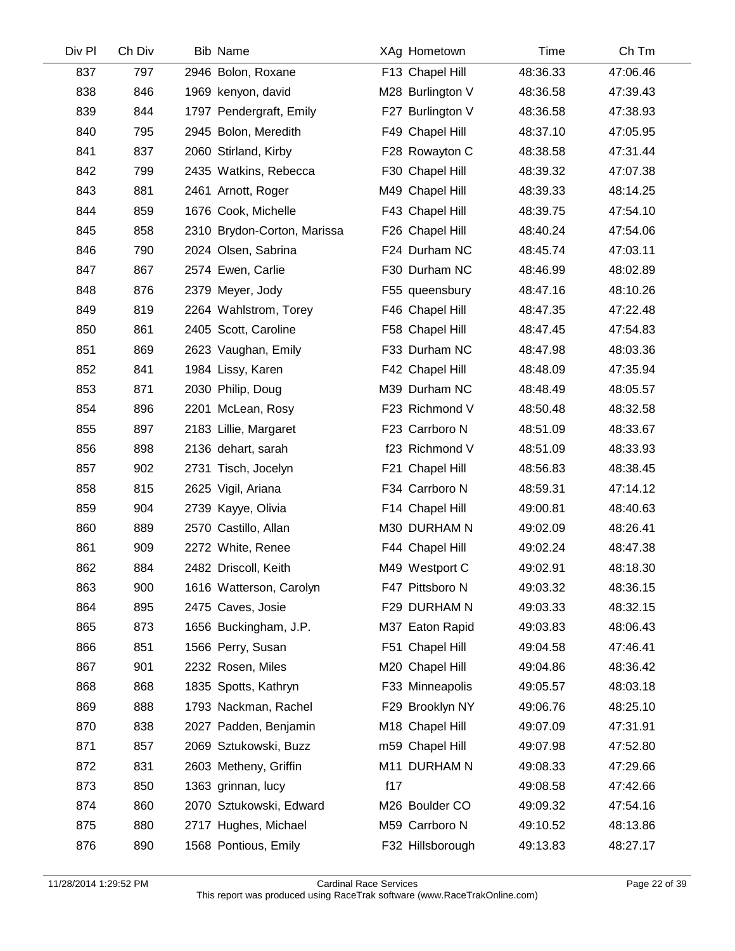| Div Pl | Ch Div | <b>Bib Name</b>             |     | XAg Hometown     | Time     | Ch Tm    |
|--------|--------|-----------------------------|-----|------------------|----------|----------|
| 837    | 797    | 2946 Bolon, Roxane          |     | F13 Chapel Hill  | 48:36.33 | 47:06.46 |
| 838    | 846    | 1969 kenyon, david          |     | M28 Burlington V | 48:36.58 | 47:39.43 |
| 839    | 844    | 1797 Pendergraft, Emily     |     | F27 Burlington V | 48:36.58 | 47:38.93 |
| 840    | 795    | 2945 Bolon, Meredith        |     | F49 Chapel Hill  | 48:37.10 | 47:05.95 |
| 841    | 837    | 2060 Stirland, Kirby        |     | F28 Rowayton C   | 48:38.58 | 47:31.44 |
| 842    | 799    | 2435 Watkins, Rebecca       |     | F30 Chapel Hill  | 48:39.32 | 47:07.38 |
| 843    | 881    | 2461 Arnott, Roger          |     | M49 Chapel Hill  | 48:39.33 | 48:14.25 |
| 844    | 859    | 1676 Cook, Michelle         |     | F43 Chapel Hill  | 48:39.75 | 47:54.10 |
| 845    | 858    | 2310 Brydon-Corton, Marissa |     | F26 Chapel Hill  | 48:40.24 | 47:54.06 |
| 846    | 790    | 2024 Olsen, Sabrina         |     | F24 Durham NC    | 48:45.74 | 47:03.11 |
| 847    | 867    | 2574 Ewen, Carlie           |     | F30 Durham NC    | 48:46.99 | 48:02.89 |
| 848    | 876    | 2379 Meyer, Jody            |     | F55 queensbury   | 48:47.16 | 48:10.26 |
| 849    | 819    | 2264 Wahlstrom, Torey       |     | F46 Chapel Hill  | 48:47.35 | 47:22.48 |
| 850    | 861    | 2405 Scott, Caroline        |     | F58 Chapel Hill  | 48:47.45 | 47:54.83 |
| 851    | 869    | 2623 Vaughan, Emily         |     | F33 Durham NC    | 48:47.98 | 48:03.36 |
| 852    | 841    | 1984 Lissy, Karen           |     | F42 Chapel Hill  | 48:48.09 | 47:35.94 |
| 853    | 871    | 2030 Philip, Doug           |     | M39 Durham NC    | 48:48.49 | 48:05.57 |
| 854    | 896    | 2201 McLean, Rosy           |     | F23 Richmond V   | 48:50.48 | 48:32.58 |
| 855    | 897    | 2183 Lillie, Margaret       |     | F23 Carrboro N   | 48:51.09 | 48:33.67 |
| 856    | 898    | 2136 dehart, sarah          |     | f23 Richmond V   | 48:51.09 | 48:33.93 |
| 857    | 902    | 2731 Tisch, Jocelyn         |     | F21 Chapel Hill  | 48:56.83 | 48:38.45 |
| 858    | 815    | 2625 Vigil, Ariana          |     | F34 Carrboro N   | 48:59.31 | 47:14.12 |
| 859    | 904    | 2739 Kayye, Olivia          |     | F14 Chapel Hill  | 49:00.81 | 48:40.63 |
| 860    | 889    | 2570 Castillo, Allan        |     | M30 DURHAM N     | 49:02.09 | 48:26.41 |
| 861    | 909    | 2272 White, Renee           |     | F44 Chapel Hill  | 49:02.24 | 48:47.38 |
| 862    | 884    | 2482 Driscoll, Keith        |     | M49 Westport C   | 49:02.91 | 48:18.30 |
| 863    | 900    | 1616 Watterson, Carolyn     |     | F47 Pittsboro N  | 49:03.32 | 48:36.15 |
| 864    | 895    | 2475 Caves, Josie           |     | F29 DURHAM N     | 49:03.33 | 48:32.15 |
| 865    | 873    | 1656 Buckingham, J.P.       |     | M37 Eaton Rapid  | 49:03.83 | 48:06.43 |
| 866    | 851    | 1566 Perry, Susan           |     | F51 Chapel Hill  | 49:04.58 | 47:46.41 |
| 867    | 901    | 2232 Rosen, Miles           |     | M20 Chapel Hill  | 49:04.86 | 48:36.42 |
| 868    | 868    | 1835 Spotts, Kathryn        |     | F33 Minneapolis  | 49:05.57 | 48:03.18 |
| 869    | 888    | 1793 Nackman, Rachel        |     | F29 Brooklyn NY  | 49:06.76 | 48:25.10 |
| 870    | 838    | 2027 Padden, Benjamin       |     | M18 Chapel Hill  | 49:07.09 | 47:31.91 |
| 871    | 857    | 2069 Sztukowski, Buzz       |     | m59 Chapel Hill  | 49:07.98 | 47:52.80 |
| 872    | 831    | 2603 Metheny, Griffin       |     | M11 DURHAM N     | 49:08.33 | 47:29.66 |
| 873    | 850    | 1363 grinnan, lucy          | f17 |                  | 49:08.58 | 47:42.66 |
| 874    | 860    | 2070 Sztukowski, Edward     |     | M26 Boulder CO   | 49:09.32 | 47:54.16 |
| 875    | 880    | 2717 Hughes, Michael        |     | M59 Carrboro N   | 49:10.52 | 48:13.86 |
| 876    | 890    | 1568 Pontious, Emily        |     | F32 Hillsborough | 49:13.83 | 48:27.17 |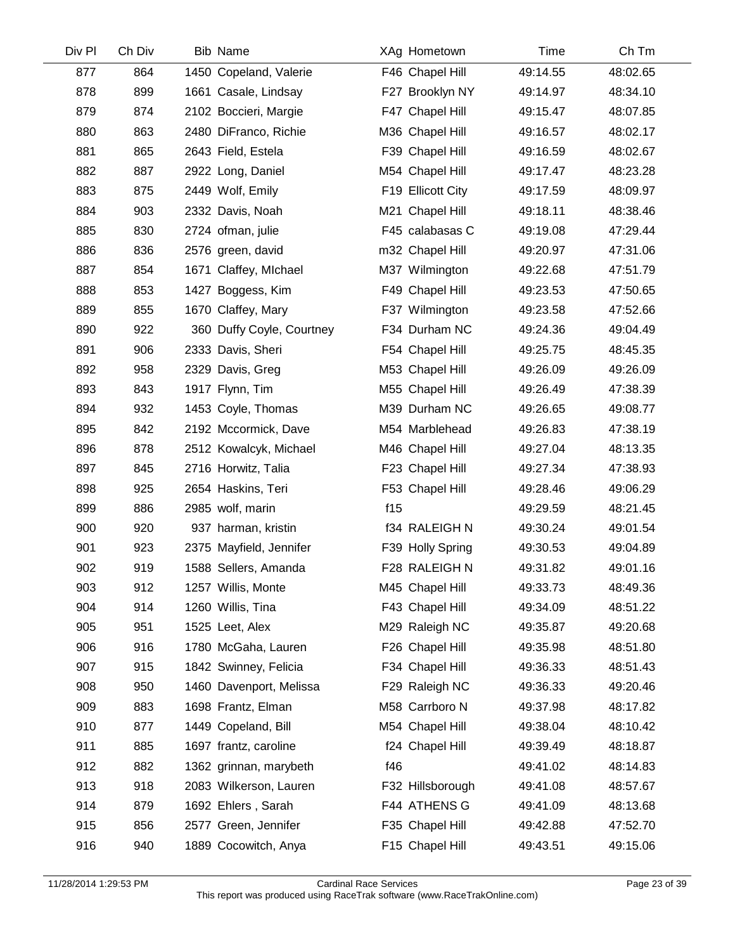| Div Pl | Ch Div | <b>Bib Name</b>           |     | XAg Hometown      | Time     | Ch Tm    |
|--------|--------|---------------------------|-----|-------------------|----------|----------|
| 877    | 864    | 1450 Copeland, Valerie    |     | F46 Chapel Hill   | 49:14.55 | 48:02.65 |
| 878    | 899    | 1661 Casale, Lindsay      |     | F27 Brooklyn NY   | 49:14.97 | 48:34.10 |
| 879    | 874    | 2102 Boccieri, Margie     |     | F47 Chapel Hill   | 49:15.47 | 48:07.85 |
| 880    | 863    | 2480 DiFranco, Richie     |     | M36 Chapel Hill   | 49:16.57 | 48:02.17 |
| 881    | 865    | 2643 Field, Estela        |     | F39 Chapel Hill   | 49:16.59 | 48:02.67 |
| 882    | 887    | 2922 Long, Daniel         |     | M54 Chapel Hill   | 49:17.47 | 48:23.28 |
| 883    | 875    | 2449 Wolf, Emily          |     | F19 Ellicott City | 49:17.59 | 48:09.97 |
| 884    | 903    | 2332 Davis, Noah          |     | M21 Chapel Hill   | 49:18.11 | 48:38.46 |
| 885    | 830    | 2724 ofman, julie         |     | F45 calabasas C   | 49:19.08 | 47:29.44 |
| 886    | 836    | 2576 green, david         |     | m32 Chapel Hill   | 49:20.97 | 47:31.06 |
| 887    | 854    | 1671 Claffey, Michael     |     | M37 Wilmington    | 49:22.68 | 47:51.79 |
| 888    | 853    | 1427 Boggess, Kim         |     | F49 Chapel Hill   | 49:23.53 | 47:50.65 |
| 889    | 855    | 1670 Claffey, Mary        |     | F37 Wilmington    | 49:23.58 | 47:52.66 |
| 890    | 922    | 360 Duffy Coyle, Courtney |     | F34 Durham NC     | 49:24.36 | 49:04.49 |
| 891    | 906    | 2333 Davis, Sheri         |     | F54 Chapel Hill   | 49:25.75 | 48:45.35 |
| 892    | 958    | 2329 Davis, Greg          |     | M53 Chapel Hill   | 49:26.09 | 49:26.09 |
| 893    | 843    | 1917 Flynn, Tim           |     | M55 Chapel Hill   | 49:26.49 | 47:38.39 |
| 894    | 932    | 1453 Coyle, Thomas        |     | M39 Durham NC     | 49:26.65 | 49:08.77 |
| 895    | 842    | 2192 Mccormick, Dave      |     | M54 Marblehead    | 49:26.83 | 47:38.19 |
| 896    | 878    | 2512 Kowalcyk, Michael    |     | M46 Chapel Hill   | 49:27.04 | 48:13.35 |
| 897    | 845    | 2716 Horwitz, Talia       |     | F23 Chapel Hill   | 49:27.34 | 47:38.93 |
| 898    | 925    | 2654 Haskins, Teri        |     | F53 Chapel Hill   | 49:28.46 | 49:06.29 |
| 899    | 886    | 2985 wolf, marin          | f15 |                   | 49:29.59 | 48:21.45 |
| 900    | 920    | 937 harman, kristin       |     | f34 RALEIGH N     | 49:30.24 | 49:01.54 |
| 901    | 923    | 2375 Mayfield, Jennifer   |     | F39 Holly Spring  | 49:30.53 | 49:04.89 |
| 902    | 919    | 1588 Sellers, Amanda      |     | F28 RALEIGH N     | 49:31.82 | 49:01.16 |
| 903    | 912    | 1257 Willis, Monte        |     | M45 Chapel Hill   | 49:33.73 | 48:49.36 |
| 904    | 914    | 1260 Willis, Tina         |     | F43 Chapel Hill   | 49:34.09 | 48:51.22 |
| 905    | 951    | 1525 Leet, Alex           |     | M29 Raleigh NC    | 49:35.87 | 49:20.68 |
| 906    | 916    | 1780 McGaha, Lauren       |     | F26 Chapel Hill   | 49:35.98 | 48:51.80 |
| 907    | 915    | 1842 Swinney, Felicia     |     | F34 Chapel Hill   | 49:36.33 | 48:51.43 |
| 908    | 950    | 1460 Davenport, Melissa   |     | F29 Raleigh NC    | 49:36.33 | 49:20.46 |
| 909    | 883    | 1698 Frantz, Elman        |     | M58 Carrboro N    | 49:37.98 | 48:17.82 |
| 910    | 877    | 1449 Copeland, Bill       |     | M54 Chapel Hill   | 49:38.04 | 48:10.42 |
| 911    | 885    | 1697 frantz, caroline     |     | f24 Chapel Hill   | 49:39.49 | 48:18.87 |
| 912    | 882    | 1362 grinnan, marybeth    | f46 |                   | 49:41.02 | 48:14.83 |
| 913    | 918    | 2083 Wilkerson, Lauren    |     | F32 Hillsborough  | 49:41.08 | 48:57.67 |
| 914    | 879    | 1692 Ehlers, Sarah        |     | F44 ATHENS G      | 49:41.09 | 48:13.68 |
| 915    | 856    | 2577 Green, Jennifer      |     | F35 Chapel Hill   | 49:42.88 | 47:52.70 |
| 916    | 940    | 1889 Cocowitch, Anya      |     | F15 Chapel Hill   | 49:43.51 | 49:15.06 |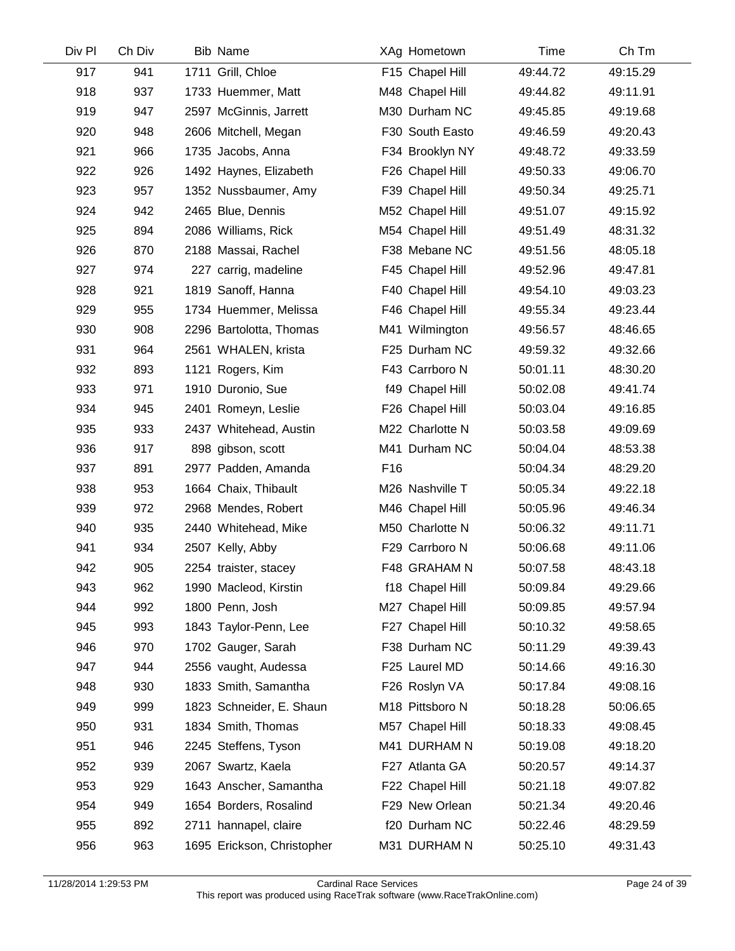| Div Pl | Ch Div | <b>Bib Name</b>            |     | XAg Hometown    | Time     | Ch Tm    |  |
|--------|--------|----------------------------|-----|-----------------|----------|----------|--|
| 917    | 941    | 1711 Grill, Chloe          |     | F15 Chapel Hill | 49:44.72 | 49:15.29 |  |
| 918    | 937    | 1733 Huemmer, Matt         |     | M48 Chapel Hill | 49:44.82 | 49:11.91 |  |
| 919    | 947    | 2597 McGinnis, Jarrett     |     | M30 Durham NC   | 49:45.85 | 49:19.68 |  |
| 920    | 948    | 2606 Mitchell, Megan       |     | F30 South Easto | 49:46.59 | 49:20.43 |  |
| 921    | 966    | 1735 Jacobs, Anna          |     | F34 Brooklyn NY | 49:48.72 | 49:33.59 |  |
| 922    | 926    | 1492 Haynes, Elizabeth     |     | F26 Chapel Hill | 49:50.33 | 49:06.70 |  |
| 923    | 957    | 1352 Nussbaumer, Amy       |     | F39 Chapel Hill | 49:50.34 | 49:25.71 |  |
| 924    | 942    | 2465 Blue, Dennis          |     | M52 Chapel Hill | 49:51.07 | 49:15.92 |  |
| 925    | 894    | 2086 Williams, Rick        |     | M54 Chapel Hill | 49:51.49 | 48:31.32 |  |
| 926    | 870    | 2188 Massai, Rachel        |     | F38 Mebane NC   | 49:51.56 | 48:05.18 |  |
| 927    | 974    | 227 carrig, madeline       |     | F45 Chapel Hill | 49:52.96 | 49:47.81 |  |
| 928    | 921    | 1819 Sanoff, Hanna         |     | F40 Chapel Hill | 49:54.10 | 49:03.23 |  |
| 929    | 955    | 1734 Huemmer, Melissa      |     | F46 Chapel Hill | 49:55.34 | 49:23.44 |  |
| 930    | 908    | 2296 Bartolotta, Thomas    |     | M41 Wilmington  | 49:56.57 | 48:46.65 |  |
| 931    | 964    | 2561 WHALEN, krista        |     | F25 Durham NC   | 49:59.32 | 49:32.66 |  |
| 932    | 893    | 1121 Rogers, Kim           |     | F43 Carrboro N  | 50:01.11 | 48:30.20 |  |
| 933    | 971    | 1910 Duronio, Sue          |     | f49 Chapel Hill | 50:02.08 | 49:41.74 |  |
| 934    | 945    | 2401 Romeyn, Leslie        |     | F26 Chapel Hill | 50:03.04 | 49:16.85 |  |
| 935    | 933    | 2437 Whitehead, Austin     |     | M22 Charlotte N | 50:03.58 | 49:09.69 |  |
| 936    | 917    | 898 gibson, scott          |     | M41 Durham NC   | 50:04.04 | 48:53.38 |  |
| 937    | 891    | 2977 Padden, Amanda        | F16 |                 | 50:04.34 | 48:29.20 |  |
| 938    | 953    | 1664 Chaix, Thibault       |     | M26 Nashville T | 50:05.34 | 49:22.18 |  |
| 939    | 972    | 2968 Mendes, Robert        |     | M46 Chapel Hill | 50:05.96 | 49:46.34 |  |
| 940    | 935    | 2440 Whitehead, Mike       |     | M50 Charlotte N | 50:06.32 | 49:11.71 |  |
| 941    | 934    | 2507 Kelly, Abby           |     | F29 Carrboro N  | 50:06.68 | 49:11.06 |  |
| 942    | 905    | 2254 traister, stacey      |     | F48 GRAHAM N    | 50:07.58 | 48:43.18 |  |
| 943    | 962    | 1990 Macleod, Kirstin      |     | f18 Chapel Hill | 50:09.84 | 49:29.66 |  |
| 944    | 992    | 1800 Penn, Josh            |     | M27 Chapel Hill | 50:09.85 | 49:57.94 |  |
| 945    | 993    | 1843 Taylor-Penn, Lee      |     | F27 Chapel Hill | 50:10.32 | 49:58.65 |  |
| 946    | 970    | 1702 Gauger, Sarah         |     | F38 Durham NC   | 50:11.29 | 49:39.43 |  |
| 947    | 944    | 2556 vaught, Audessa       |     | F25 Laurel MD   | 50:14.66 | 49:16.30 |  |
| 948    | 930    | 1833 Smith, Samantha       |     | F26 Roslyn VA   | 50:17.84 | 49:08.16 |  |
| 949    | 999    | 1823 Schneider, E. Shaun   |     | M18 Pittsboro N | 50:18.28 | 50:06.65 |  |
| 950    | 931    | 1834 Smith, Thomas         |     | M57 Chapel Hill | 50:18.33 | 49:08.45 |  |
| 951    | 946    | 2245 Steffens, Tyson       |     | M41 DURHAM N    | 50:19.08 | 49:18.20 |  |
| 952    | 939    | 2067 Swartz, Kaela         |     | F27 Atlanta GA  | 50:20.57 | 49:14.37 |  |
| 953    | 929    | 1643 Anscher, Samantha     |     | F22 Chapel Hill | 50:21.18 | 49:07.82 |  |
| 954    | 949    | 1654 Borders, Rosalind     |     | F29 New Orlean  | 50:21.34 | 49:20.46 |  |
| 955    | 892    | 2711 hannapel, claire      |     | f20 Durham NC   | 50:22.46 | 48:29.59 |  |
| 956    | 963    | 1695 Erickson, Christopher |     | M31 DURHAM N    | 50:25.10 | 49:31.43 |  |
|        |        |                            |     |                 |          |          |  |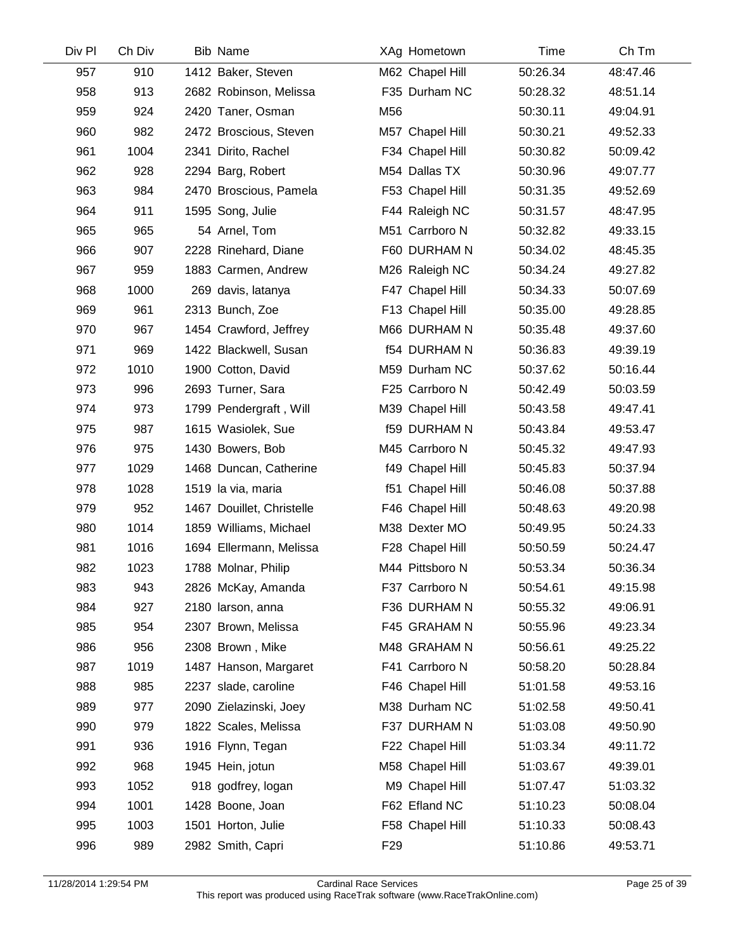| Div Pl | Ch Div | <b>Bib Name</b>           |                 | XAg Hometown        | Time     | Ch Tm    |  |
|--------|--------|---------------------------|-----------------|---------------------|----------|----------|--|
| 957    | 910    | 1412 Baker, Steven        |                 | M62 Chapel Hill     | 50:26.34 | 48:47.46 |  |
| 958    | 913    | 2682 Robinson, Melissa    |                 | F35 Durham NC       | 50:28.32 | 48:51.14 |  |
| 959    | 924    | 2420 Taner, Osman         | M56             |                     | 50:30.11 | 49:04.91 |  |
| 960    | 982    | 2472 Broscious, Steven    |                 | M57 Chapel Hill     | 50:30.21 | 49:52.33 |  |
| 961    | 1004   | 2341 Dirito, Rachel       |                 | F34 Chapel Hill     | 50:30.82 | 50:09.42 |  |
| 962    | 928    | 2294 Barg, Robert         |                 | M54 Dallas TX       | 50:30.96 | 49:07.77 |  |
| 963    | 984    | 2470 Broscious, Pamela    |                 | F53 Chapel Hill     | 50:31.35 | 49:52.69 |  |
| 964    | 911    | 1595 Song, Julie          |                 | F44 Raleigh NC      | 50:31.57 | 48:47.95 |  |
| 965    | 965    | 54 Arnel, Tom             |                 | M51 Carrboro N      | 50:32.82 | 49:33.15 |  |
| 966    | 907    | 2228 Rinehard, Diane      |                 | F60 DURHAM N        | 50:34.02 | 48:45.35 |  |
| 967    | 959    | 1883 Carmen, Andrew       |                 | M26 Raleigh NC      | 50:34.24 | 49:27.82 |  |
| 968    | 1000   | 269 davis, latanya        |                 | F47 Chapel Hill     | 50:34.33 | 50:07.69 |  |
| 969    | 961    | 2313 Bunch, Zoe           |                 | F13 Chapel Hill     | 50:35.00 | 49:28.85 |  |
| 970    | 967    | 1454 Crawford, Jeffrey    |                 | M66 DURHAM N        | 50:35.48 | 49:37.60 |  |
| 971    | 969    | 1422 Blackwell, Susan     |                 | <b>f54 DURHAM N</b> | 50:36.83 | 49:39.19 |  |
| 972    | 1010   | 1900 Cotton, David        |                 | M59 Durham NC       | 50:37.62 | 50:16.44 |  |
| 973    | 996    | 2693 Turner, Sara         |                 | F25 Carrboro N      | 50:42.49 | 50:03.59 |  |
| 974    | 973    | 1799 Pendergraft, Will    |                 | M39 Chapel Hill     | 50:43.58 | 49:47.41 |  |
| 975    | 987    | 1615 Wasiolek, Sue        |                 | <b>f59 DURHAM N</b> | 50:43.84 | 49:53.47 |  |
| 976    | 975    | 1430 Bowers, Bob          |                 | M45 Carrboro N      | 50:45.32 | 49:47.93 |  |
| 977    | 1029   | 1468 Duncan, Catherine    |                 | f49 Chapel Hill     | 50:45.83 | 50:37.94 |  |
| 978    | 1028   | 1519 la via, maria        |                 | f51 Chapel Hill     | 50:46.08 | 50:37.88 |  |
| 979    | 952    | 1467 Douillet, Christelle |                 | F46 Chapel Hill     | 50:48.63 | 49:20.98 |  |
| 980    | 1014   | 1859 Williams, Michael    |                 | M38 Dexter MO       | 50:49.95 | 50:24.33 |  |
| 981    | 1016   | 1694 Ellermann, Melissa   |                 | F28 Chapel Hill     | 50:50.59 | 50:24.47 |  |
| 982    | 1023   | 1788 Molnar, Philip       |                 | M44 Pittsboro N     | 50:53.34 | 50:36.34 |  |
| 983    | 943    | 2826 McKay, Amanda        |                 | F37 Carrboro N      | 50:54.61 | 49:15.98 |  |
| 984    | 927    | 2180 larson, anna         |                 | F36 DURHAM N        | 50:55.32 | 49:06.91 |  |
| 985    | 954    | 2307 Brown, Melissa       |                 | F45 GRAHAM N        | 50:55.96 | 49:23.34 |  |
| 986    | 956    | 2308 Brown, Mike          |                 | M48 GRAHAM N        | 50:56.61 | 49:25.22 |  |
| 987    | 1019   | 1487 Hanson, Margaret     |                 | F41 Carrboro N      | 50:58.20 | 50:28.84 |  |
| 988    | 985    | 2237 slade, caroline      |                 | F46 Chapel Hill     | 51:01.58 | 49:53.16 |  |
| 989    | 977    | 2090 Zielazinski, Joey    |                 | M38 Durham NC       | 51:02.58 | 49:50.41 |  |
| 990    | 979    | 1822 Scales, Melissa      |                 | F37 DURHAM N        | 51:03.08 | 49:50.90 |  |
| 991    | 936    | 1916 Flynn, Tegan         |                 | F22 Chapel Hill     | 51:03.34 | 49:11.72 |  |
| 992    | 968    | 1945 Hein, jotun          |                 | M58 Chapel Hill     | 51:03.67 | 49:39.01 |  |
| 993    | 1052   | 918 godfrey, logan        |                 | M9 Chapel Hill      | 51:07.47 | 51:03.32 |  |
| 994    | 1001   | 1428 Boone, Joan          |                 | F62 Efland NC       | 51:10.23 | 50:08.04 |  |
| 995    | 1003   | 1501 Horton, Julie        |                 | F58 Chapel Hill     | 51:10.33 | 50:08.43 |  |
| 996    | 989    | 2982 Smith, Capri         | F <sub>29</sub> |                     | 51:10.86 | 49:53.71 |  |
|        |        |                           |                 |                     |          |          |  |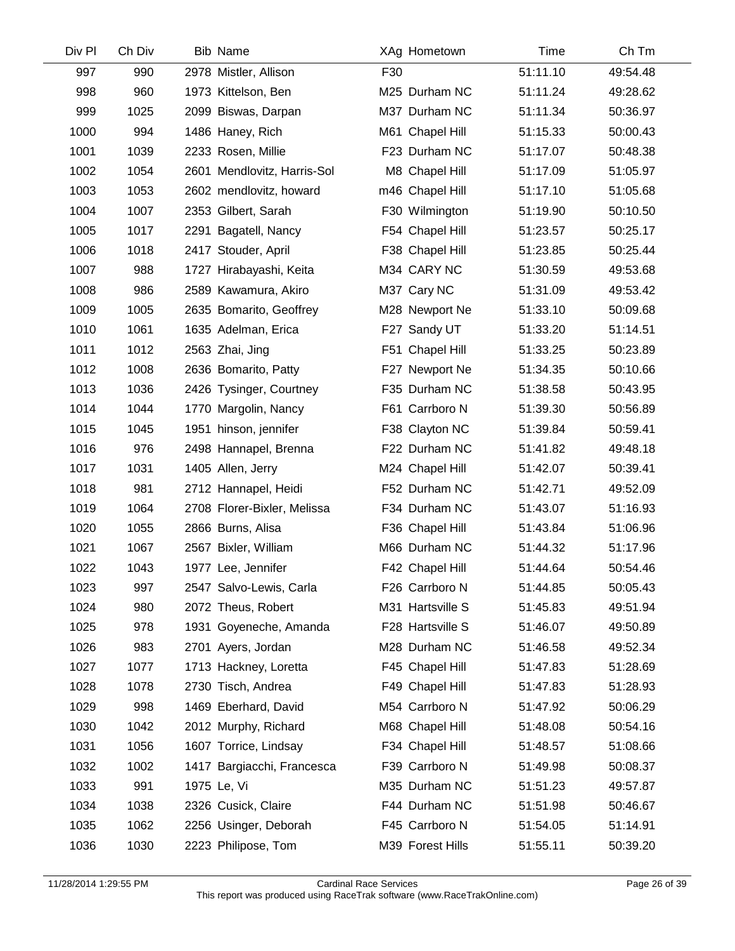| Div Pl | Ch Div | <b>Bib Name</b>             |     | XAg Hometown     | Time     | Ch Tm    |
|--------|--------|-----------------------------|-----|------------------|----------|----------|
| 997    | 990    | 2978 Mistler, Allison       | F30 |                  | 51:11.10 | 49:54.48 |
| 998    | 960    | 1973 Kittelson, Ben         |     | M25 Durham NC    | 51:11.24 | 49:28.62 |
| 999    | 1025   | 2099 Biswas, Darpan         |     | M37 Durham NC    | 51:11.34 | 50:36.97 |
| 1000   | 994    | 1486 Haney, Rich            |     | M61 Chapel Hill  | 51:15.33 | 50:00.43 |
| 1001   | 1039   | 2233 Rosen, Millie          |     | F23 Durham NC    | 51:17.07 | 50:48.38 |
| 1002   | 1054   | 2601 Mendlovitz, Harris-Sol |     | M8 Chapel Hill   | 51:17.09 | 51:05.97 |
| 1003   | 1053   | 2602 mendlovitz, howard     |     | m46 Chapel Hill  | 51:17.10 | 51:05.68 |
| 1004   | 1007   | 2353 Gilbert, Sarah         |     | F30 Wilmington   | 51:19.90 | 50:10.50 |
| 1005   | 1017   | 2291 Bagatell, Nancy        |     | F54 Chapel Hill  | 51:23.57 | 50:25.17 |
| 1006   | 1018   | 2417 Stouder, April         |     | F38 Chapel Hill  | 51:23.85 | 50:25.44 |
| 1007   | 988    | 1727 Hirabayashi, Keita     |     | M34 CARY NC      | 51:30.59 | 49:53.68 |
| 1008   | 986    | 2589 Kawamura, Akiro        |     | M37 Cary NC      | 51:31.09 | 49:53.42 |
| 1009   | 1005   | 2635 Bomarito, Geoffrey     |     | M28 Newport Ne   | 51:33.10 | 50:09.68 |
| 1010   | 1061   | 1635 Adelman, Erica         |     | F27 Sandy UT     | 51:33.20 | 51:14.51 |
| 1011   | 1012   | 2563 Zhai, Jing             |     | F51 Chapel Hill  | 51:33.25 | 50:23.89 |
| 1012   | 1008   | 2636 Bomarito, Patty        |     | F27 Newport Ne   | 51:34.35 | 50:10.66 |
| 1013   | 1036   | 2426 Tysinger, Courtney     |     | F35 Durham NC    | 51:38.58 | 50:43.95 |
| 1014   | 1044   | 1770 Margolin, Nancy        |     | F61 Carrboro N   | 51:39.30 | 50:56.89 |
| 1015   | 1045   | 1951 hinson, jennifer       |     | F38 Clayton NC   | 51:39.84 | 50:59.41 |
| 1016   | 976    | 2498 Hannapel, Brenna       |     | F22 Durham NC    | 51:41.82 | 49:48.18 |
| 1017   | 1031   | 1405 Allen, Jerry           |     | M24 Chapel Hill  | 51:42.07 | 50:39.41 |
| 1018   | 981    | 2712 Hannapel, Heidi        |     | F52 Durham NC    | 51:42.71 | 49:52.09 |
| 1019   | 1064   | 2708 Florer-Bixler, Melissa |     | F34 Durham NC    | 51:43.07 | 51:16.93 |
| 1020   | 1055   | 2866 Burns, Alisa           |     | F36 Chapel Hill  | 51:43.84 | 51:06.96 |
| 1021   | 1067   | 2567 Bixler, William        |     | M66 Durham NC    | 51:44.32 | 51:17.96 |
| 1022   | 1043   | 1977 Lee, Jennifer          |     | F42 Chapel Hill  | 51:44.64 | 50:54.46 |
| 1023   | 997    | 2547 Salvo-Lewis, Carla     |     | F26 Carrboro N   | 51:44.85 | 50:05.43 |
| 1024   | 980    | 2072 Theus, Robert          |     | M31 Hartsville S | 51:45.83 | 49:51.94 |
| 1025   | 978    | 1931 Goyeneche, Amanda      |     | F28 Hartsville S | 51:46.07 | 49:50.89 |
| 1026   | 983    | 2701 Ayers, Jordan          |     | M28 Durham NC    | 51:46.58 | 49:52.34 |
| 1027   | 1077   | 1713 Hackney, Loretta       |     | F45 Chapel Hill  | 51:47.83 | 51:28.69 |
| 1028   | 1078   | 2730 Tisch, Andrea          |     | F49 Chapel Hill  | 51:47.83 | 51:28.93 |
| 1029   | 998    | 1469 Eberhard, David        |     | M54 Carrboro N   | 51:47.92 | 50:06.29 |
| 1030   | 1042   | 2012 Murphy, Richard        |     | M68 Chapel Hill  | 51:48.08 | 50:54.16 |
| 1031   | 1056   | 1607 Torrice, Lindsay       |     | F34 Chapel Hill  | 51:48.57 | 51:08.66 |
| 1032   | 1002   | 1417 Bargiacchi, Francesca  |     | F39 Carrboro N   | 51:49.98 | 50:08.37 |
| 1033   | 991    | 1975 Le, Vi                 |     | M35 Durham NC    | 51:51.23 | 49:57.87 |
| 1034   | 1038   | 2326 Cusick, Claire         |     | F44 Durham NC    | 51:51.98 | 50:46.67 |
| 1035   | 1062   | 2256 Usinger, Deborah       |     | F45 Carrboro N   | 51:54.05 | 51:14.91 |
| 1036   | 1030   | 2223 Philipose, Tom         |     | M39 Forest Hills | 51:55.11 | 50:39.20 |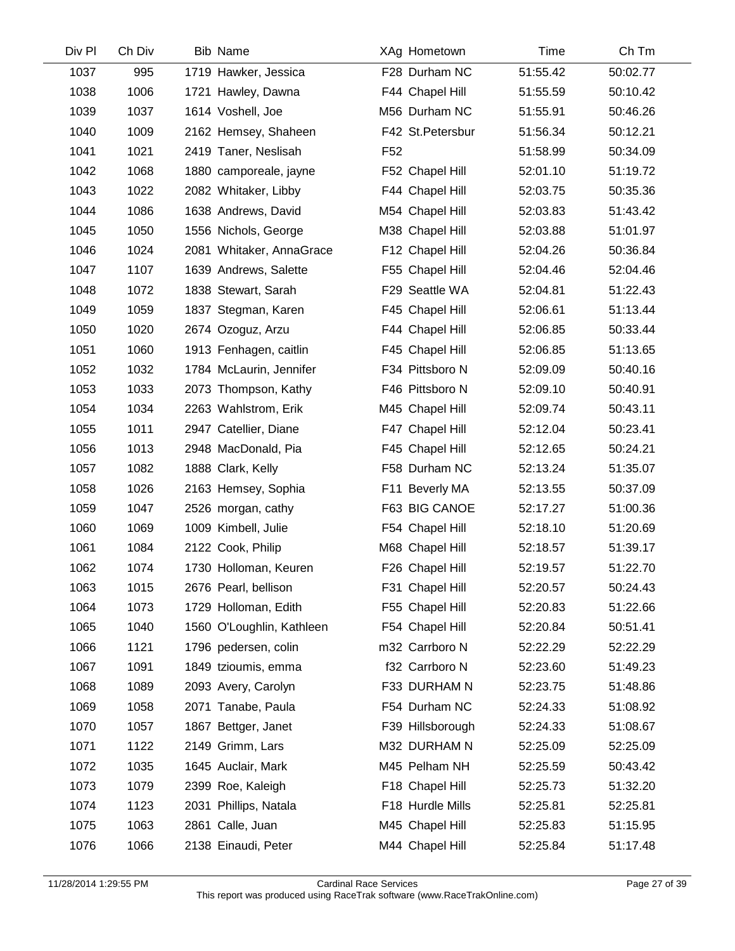| Div Pl | Ch Div | <b>Bib Name</b>           |                 | XAg Hometown     | Time     | Ch Tm    |
|--------|--------|---------------------------|-----------------|------------------|----------|----------|
| 1037   | 995    | 1719 Hawker, Jessica      |                 | F28 Durham NC    | 51:55.42 | 50:02.77 |
| 1038   | 1006   | 1721 Hawley, Dawna        |                 | F44 Chapel Hill  | 51:55.59 | 50:10.42 |
| 1039   | 1037   | 1614 Voshell, Joe         |                 | M56 Durham NC    | 51:55.91 | 50:46.26 |
| 1040   | 1009   | 2162 Hemsey, Shaheen      |                 | F42 St.Petersbur | 51:56.34 | 50:12.21 |
| 1041   | 1021   | 2419 Taner, Neslisah      | F <sub>52</sub> |                  | 51:58.99 | 50:34.09 |
| 1042   | 1068   | 1880 camporeale, jayne    |                 | F52 Chapel Hill  | 52:01.10 | 51:19.72 |
| 1043   | 1022   | 2082 Whitaker, Libby      |                 | F44 Chapel Hill  | 52:03.75 | 50:35.36 |
| 1044   | 1086   | 1638 Andrews, David       |                 | M54 Chapel Hill  | 52:03.83 | 51:43.42 |
| 1045   | 1050   | 1556 Nichols, George      |                 | M38 Chapel Hill  | 52:03.88 | 51:01.97 |
| 1046   | 1024   | 2081 Whitaker, AnnaGrace  |                 | F12 Chapel Hill  | 52:04.26 | 50:36.84 |
| 1047   | 1107   | 1639 Andrews, Salette     |                 | F55 Chapel Hill  | 52:04.46 | 52:04.46 |
| 1048   | 1072   | 1838 Stewart, Sarah       |                 | F29 Seattle WA   | 52:04.81 | 51:22.43 |
| 1049   | 1059   | 1837 Stegman, Karen       |                 | F45 Chapel Hill  | 52:06.61 | 51:13.44 |
| 1050   | 1020   | 2674 Ozoguz, Arzu         |                 | F44 Chapel Hill  | 52:06.85 | 50:33.44 |
| 1051   | 1060   | 1913 Fenhagen, caitlin    |                 | F45 Chapel Hill  | 52:06.85 | 51:13.65 |
| 1052   | 1032   | 1784 McLaurin, Jennifer   |                 | F34 Pittsboro N  | 52:09.09 | 50:40.16 |
| 1053   | 1033   | 2073 Thompson, Kathy      |                 | F46 Pittsboro N  | 52:09.10 | 50:40.91 |
| 1054   | 1034   | 2263 Wahlstrom, Erik      |                 | M45 Chapel Hill  | 52:09.74 | 50:43.11 |
| 1055   | 1011   | 2947 Catellier, Diane     |                 | F47 Chapel Hill  | 52:12.04 | 50:23.41 |
| 1056   | 1013   | 2948 MacDonald, Pia       |                 | F45 Chapel Hill  | 52:12.65 | 50:24.21 |
| 1057   | 1082   | 1888 Clark, Kelly         |                 | F58 Durham NC    | 52:13.24 | 51:35.07 |
| 1058   | 1026   | 2163 Hemsey, Sophia       |                 | F11 Beverly MA   | 52:13.55 | 50:37.09 |
| 1059   | 1047   | 2526 morgan, cathy        |                 | F63 BIG CANOE    | 52:17.27 | 51:00.36 |
| 1060   | 1069   | 1009 Kimbell, Julie       |                 | F54 Chapel Hill  | 52:18.10 | 51:20.69 |
| 1061   | 1084   | 2122 Cook, Philip         |                 | M68 Chapel Hill  | 52:18.57 | 51:39.17 |
| 1062   | 1074   | 1730 Holloman, Keuren     |                 | F26 Chapel Hill  | 52:19.57 | 51:22.70 |
| 1063   | 1015   | 2676 Pearl, bellison      |                 | F31 Chapel Hill  | 52:20.57 | 50:24.43 |
| 1064   | 1073   | 1729 Holloman, Edith      |                 | F55 Chapel Hill  | 52:20.83 | 51:22.66 |
| 1065   | 1040   | 1560 O'Loughlin, Kathleen |                 | F54 Chapel Hill  | 52:20.84 | 50:51.41 |
| 1066   | 1121   | 1796 pedersen, colin      |                 | m32 Carrboro N   | 52:22.29 | 52:22.29 |
| 1067   | 1091   | 1849 tzioumis, emma       |                 | f32 Carrboro N   | 52:23.60 | 51:49.23 |
| 1068   | 1089   | 2093 Avery, Carolyn       |                 | F33 DURHAM N     | 52:23.75 | 51:48.86 |
| 1069   | 1058   | 2071 Tanabe, Paula        |                 | F54 Durham NC    | 52:24.33 | 51:08.92 |
| 1070   | 1057   | 1867 Bettger, Janet       |                 | F39 Hillsborough | 52:24.33 | 51:08.67 |
| 1071   | 1122   | 2149 Grimm, Lars          |                 | M32 DURHAM N     | 52:25.09 | 52:25.09 |
| 1072   | 1035   | 1645 Auclair, Mark        |                 | M45 Pelham NH    | 52:25.59 | 50:43.42 |
| 1073   | 1079   | 2399 Roe, Kaleigh         |                 | F18 Chapel Hill  | 52:25.73 | 51:32.20 |
| 1074   | 1123   | 2031 Phillips, Natala     |                 | F18 Hurdle Mills | 52:25.81 | 52:25.81 |
| 1075   | 1063   | 2861 Calle, Juan          |                 | M45 Chapel Hill  | 52:25.83 | 51:15.95 |
| 1076   | 1066   | 2138 Einaudi, Peter       |                 | M44 Chapel Hill  | 52:25.84 | 51:17.48 |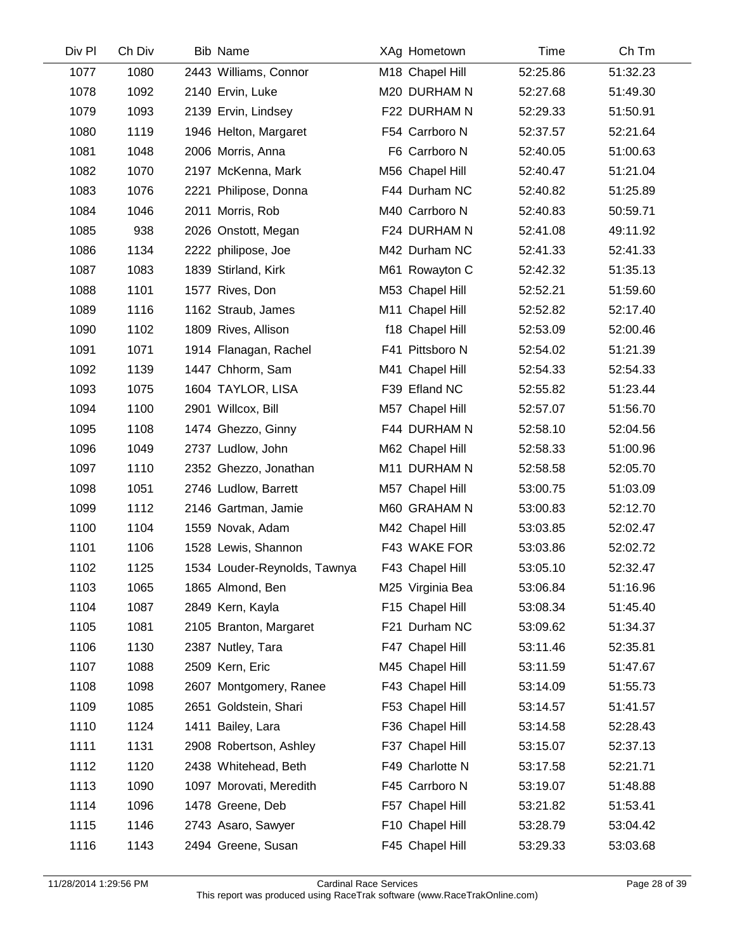| Div Pl | Ch Div | <b>Bib Name</b>              | XAg Hometown     | Time     | Ch Tm    |  |
|--------|--------|------------------------------|------------------|----------|----------|--|
| 1077   | 1080   | 2443 Williams, Connor        | M18 Chapel Hill  | 52:25.86 | 51:32.23 |  |
| 1078   | 1092   | 2140 Ervin, Luke             | M20 DURHAM N     | 52:27.68 | 51:49.30 |  |
| 1079   | 1093   | 2139 Ervin, Lindsey          | F22 DURHAM N     | 52:29.33 | 51:50.91 |  |
| 1080   | 1119   | 1946 Helton, Margaret        | F54 Carrboro N   | 52:37.57 | 52:21.64 |  |
| 1081   | 1048   | 2006 Morris, Anna            | F6 Carrboro N    | 52:40.05 | 51:00.63 |  |
| 1082   | 1070   | 2197 McKenna, Mark           | M56 Chapel Hill  | 52:40.47 | 51:21.04 |  |
| 1083   | 1076   | 2221 Philipose, Donna        | F44 Durham NC    | 52:40.82 | 51:25.89 |  |
| 1084   | 1046   | 2011 Morris, Rob             | M40 Carrboro N   | 52:40.83 | 50:59.71 |  |
| 1085   | 938    | 2026 Onstott, Megan          | F24 DURHAM N     | 52:41.08 | 49:11.92 |  |
| 1086   | 1134   | 2222 philipose, Joe          | M42 Durham NC    | 52:41.33 | 52:41.33 |  |
| 1087   | 1083   | 1839 Stirland, Kirk          | M61 Rowayton C   | 52:42.32 | 51:35.13 |  |
| 1088   | 1101   | 1577 Rives, Don              | M53 Chapel Hill  | 52:52.21 | 51:59.60 |  |
| 1089   | 1116   | 1162 Straub, James           | M11 Chapel Hill  | 52:52.82 | 52:17.40 |  |
| 1090   | 1102   | 1809 Rives, Allison          | f18 Chapel Hill  | 52:53.09 | 52:00.46 |  |
| 1091   | 1071   | 1914 Flanagan, Rachel        | F41 Pittsboro N  | 52:54.02 | 51:21.39 |  |
| 1092   | 1139   | 1447 Chhorm, Sam             | M41 Chapel Hill  | 52:54.33 | 52:54.33 |  |
| 1093   | 1075   | 1604 TAYLOR, LISA            | F39 Efland NC    | 52:55.82 | 51:23.44 |  |
| 1094   | 1100   | 2901 Willcox, Bill           | M57 Chapel Hill  | 52:57.07 | 51:56.70 |  |
| 1095   | 1108   | 1474 Ghezzo, Ginny           | F44 DURHAM N     | 52:58.10 | 52:04.56 |  |
| 1096   | 1049   | 2737 Ludlow, John            | M62 Chapel Hill  | 52:58.33 | 51:00.96 |  |
| 1097   | 1110   | 2352 Ghezzo, Jonathan        | M11 DURHAM N     | 52:58.58 | 52:05.70 |  |
| 1098   | 1051   | 2746 Ludlow, Barrett         | M57 Chapel Hill  | 53:00.75 | 51:03.09 |  |
| 1099   | 1112   | 2146 Gartman, Jamie          | M60 GRAHAM N     | 53:00.83 | 52:12.70 |  |
| 1100   | 1104   | 1559 Novak, Adam             | M42 Chapel Hill  | 53:03.85 | 52:02.47 |  |
| 1101   | 1106   | 1528 Lewis, Shannon          | F43 WAKE FOR     | 53:03.86 | 52:02.72 |  |
| 1102   | 1125   | 1534 Louder-Reynolds, Tawnya | F43 Chapel Hill  | 53:05.10 | 52:32.47 |  |
| 1103   | 1065   | 1865 Almond, Ben             | M25 Virginia Bea | 53:06.84 | 51:16.96 |  |
| 1104   | 1087   | 2849 Kern, Kayla             | F15 Chapel Hill  | 53:08.34 | 51:45.40 |  |
| 1105   | 1081   | 2105 Branton, Margaret       | F21 Durham NC    | 53:09.62 | 51:34.37 |  |
| 1106   | 1130   | 2387 Nutley, Tara            | F47 Chapel Hill  | 53:11.46 | 52:35.81 |  |
| 1107   | 1088   | 2509 Kern, Eric              | M45 Chapel Hill  | 53:11.59 | 51:47.67 |  |
| 1108   | 1098   | 2607 Montgomery, Ranee       | F43 Chapel Hill  | 53:14.09 | 51:55.73 |  |
| 1109   | 1085   | 2651 Goldstein, Shari        | F53 Chapel Hill  | 53:14.57 | 51:41.57 |  |
| 1110   | 1124   | 1411 Bailey, Lara            | F36 Chapel Hill  | 53:14.58 | 52:28.43 |  |
| 1111   | 1131   | 2908 Robertson, Ashley       | F37 Chapel Hill  | 53:15.07 | 52:37.13 |  |
| 1112   | 1120   | 2438 Whitehead, Beth         | F49 Charlotte N  | 53:17.58 | 52:21.71 |  |
| 1113   | 1090   | 1097 Morovati, Meredith      | F45 Carrboro N   | 53:19.07 | 51:48.88 |  |
| 1114   | 1096   | 1478 Greene, Deb             | F57 Chapel Hill  | 53:21.82 | 51:53.41 |  |
| 1115   | 1146   | 2743 Asaro, Sawyer           | F10 Chapel Hill  | 53:28.79 | 53:04.42 |  |
| 1116   | 1143   | 2494 Greene, Susan           | F45 Chapel Hill  | 53:29.33 | 53:03.68 |  |
|        |        |                              |                  |          |          |  |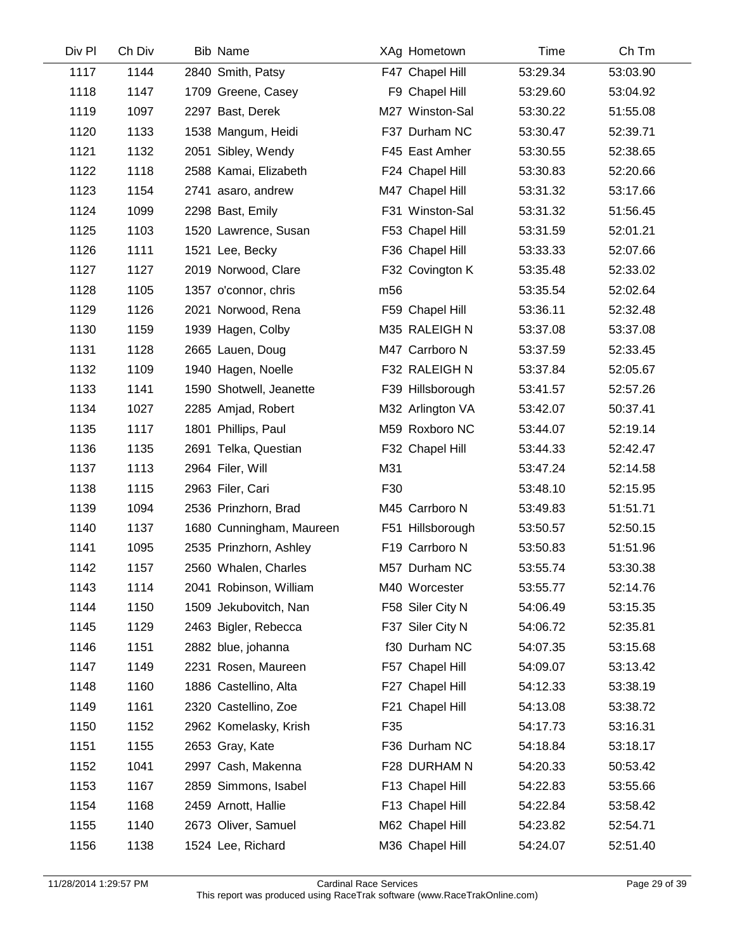| Div Pl | Ch Div | <b>Bib Name</b>          | XAg Hometown     | Time     | Ch Tm    |  |
|--------|--------|--------------------------|------------------|----------|----------|--|
| 1117   | 1144   | 2840 Smith, Patsy        | F47 Chapel Hill  | 53:29.34 | 53:03.90 |  |
| 1118   | 1147   | 1709 Greene, Casey       | F9 Chapel Hill   | 53:29.60 | 53:04.92 |  |
| 1119   | 1097   | 2297 Bast, Derek         | M27 Winston-Sal  | 53:30.22 | 51:55.08 |  |
| 1120   | 1133   | 1538 Mangum, Heidi       | F37 Durham NC    | 53:30.47 | 52:39.71 |  |
| 1121   | 1132   | 2051 Sibley, Wendy       | F45 East Amher   | 53:30.55 | 52:38.65 |  |
| 1122   | 1118   | 2588 Kamai, Elizabeth    | F24 Chapel Hill  | 53:30.83 | 52:20.66 |  |
| 1123   | 1154   | 2741 asaro, andrew       | M47 Chapel Hill  | 53:31.32 | 53:17.66 |  |
| 1124   | 1099   | 2298 Bast, Emily         | F31 Winston-Sal  | 53:31.32 | 51:56.45 |  |
| 1125   | 1103   | 1520 Lawrence, Susan     | F53 Chapel Hill  | 53:31.59 | 52:01.21 |  |
| 1126   | 1111   | 1521 Lee, Becky          | F36 Chapel Hill  | 53:33.33 | 52:07.66 |  |
| 1127   | 1127   | 2019 Norwood, Clare      | F32 Covington K  | 53:35.48 | 52:33.02 |  |
| 1128   | 1105   | 1357 o'connor, chris     | m <sub>56</sub>  | 53:35.54 | 52:02.64 |  |
| 1129   | 1126   | 2021 Norwood, Rena       | F59 Chapel Hill  | 53:36.11 | 52:32.48 |  |
| 1130   | 1159   | 1939 Hagen, Colby        | M35 RALEIGH N    | 53:37.08 | 53:37.08 |  |
| 1131   | 1128   | 2665 Lauen, Doug         | M47 Carrboro N   | 53:37.59 | 52:33.45 |  |
| 1132   | 1109   | 1940 Hagen, Noelle       | F32 RALEIGH N    | 53:37.84 | 52:05.67 |  |
| 1133   | 1141   | 1590 Shotwell, Jeanette  | F39 Hillsborough | 53:41.57 | 52:57.26 |  |
| 1134   | 1027   | 2285 Amjad, Robert       | M32 Arlington VA | 53:42.07 | 50:37.41 |  |
| 1135   | 1117   | 1801 Phillips, Paul      | M59 Roxboro NC   | 53:44.07 | 52:19.14 |  |
| 1136   | 1135   | 2691 Telka, Questian     | F32 Chapel Hill  | 53:44.33 | 52:42.47 |  |
| 1137   | 1113   | 2964 Filer, Will         | M31              | 53:47.24 | 52:14.58 |  |
| 1138   | 1115   | 2963 Filer, Cari         | F30              | 53:48.10 | 52:15.95 |  |
| 1139   | 1094   | 2536 Prinzhorn, Brad     | M45 Carrboro N   | 53:49.83 | 51:51.71 |  |
| 1140   | 1137   | 1680 Cunningham, Maureen | F51 Hillsborough | 53:50.57 | 52:50.15 |  |
| 1141   | 1095   | 2535 Prinzhorn, Ashley   | F19 Carrboro N   | 53:50.83 | 51:51.96 |  |
| 1142   | 1157   | 2560 Whalen, Charles     | M57 Durham NC    | 53:55.74 | 53:30.38 |  |
| 1143   | 1114   | 2041 Robinson, William   | M40 Worcester    | 53:55.77 | 52:14.76 |  |
| 1144   | 1150   | 1509 Jekubovitch, Nan    | F58 Siler City N | 54:06.49 | 53:15.35 |  |
| 1145   | 1129   | 2463 Bigler, Rebecca     | F37 Siler City N | 54:06.72 | 52:35.81 |  |
| 1146   | 1151   | 2882 blue, johanna       | f30 Durham NC    | 54:07.35 | 53:15.68 |  |
| 1147   | 1149   | 2231 Rosen, Maureen      | F57 Chapel Hill  | 54:09.07 | 53:13.42 |  |
| 1148   | 1160   | 1886 Castellino, Alta    | F27 Chapel Hill  | 54:12.33 | 53:38.19 |  |
| 1149   | 1161   | 2320 Castellino, Zoe     | F21 Chapel Hill  | 54:13.08 | 53:38.72 |  |
| 1150   | 1152   | 2962 Komelasky, Krish    | F35              | 54:17.73 | 53:16.31 |  |
| 1151   | 1155   | 2653 Gray, Kate          | F36 Durham NC    | 54:18.84 | 53:18.17 |  |
| 1152   | 1041   | 2997 Cash, Makenna       | F28 DURHAM N     | 54:20.33 | 50:53.42 |  |
| 1153   | 1167   | 2859 Simmons, Isabel     | F13 Chapel Hill  | 54:22.83 | 53:55.66 |  |
| 1154   | 1168   | 2459 Arnott, Hallie      | F13 Chapel Hill  | 54:22.84 | 53:58.42 |  |
| 1155   | 1140   | 2673 Oliver, Samuel      | M62 Chapel Hill  | 54:23.82 | 52:54.71 |  |
| 1156   | 1138   | 1524 Lee, Richard        | M36 Chapel Hill  | 54:24.07 | 52:51.40 |  |
|        |        |                          |                  |          |          |  |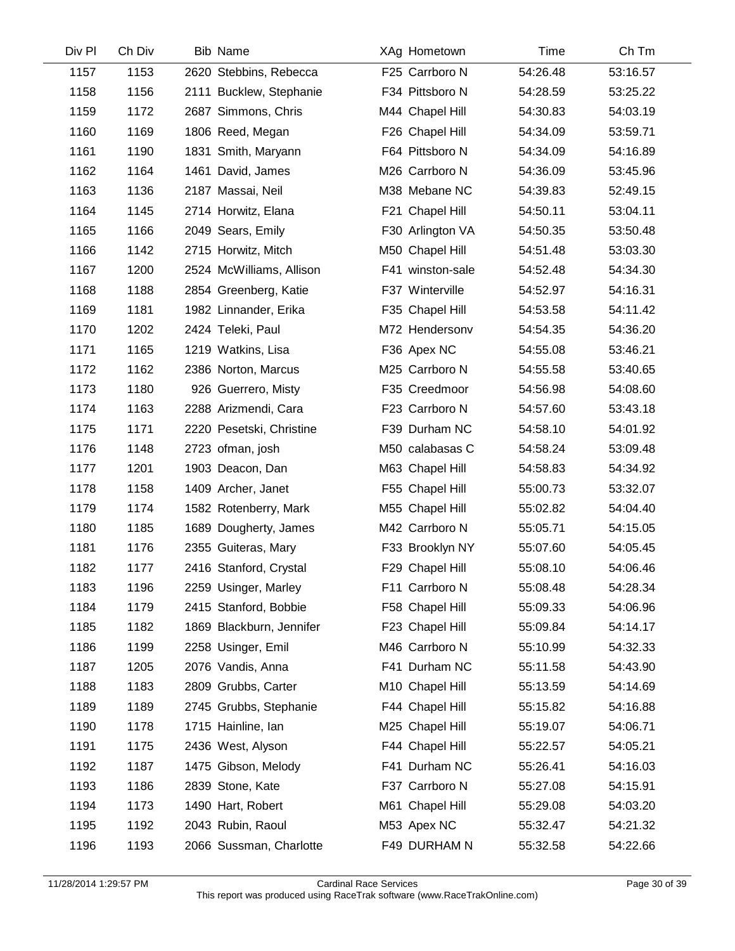| Div Pl | Ch Div | <b>Bib Name</b>          | XAg Hometown     | Time     | Ch Tm    |
|--------|--------|--------------------------|------------------|----------|----------|
| 1157   | 1153   | 2620 Stebbins, Rebecca   | F25 Carrboro N   | 54:26.48 | 53:16.57 |
| 1158   | 1156   | 2111 Bucklew, Stephanie  | F34 Pittsboro N  | 54:28.59 | 53:25.22 |
| 1159   | 1172   | 2687 Simmons, Chris      | M44 Chapel Hill  | 54:30.83 | 54:03.19 |
| 1160   | 1169   | 1806 Reed, Megan         | F26 Chapel Hill  | 54:34.09 | 53:59.71 |
| 1161   | 1190   | 1831 Smith, Maryann      | F64 Pittsboro N  | 54:34.09 | 54:16.89 |
| 1162   | 1164   | 1461 David, James        | M26 Carrboro N   | 54:36.09 | 53:45.96 |
| 1163   | 1136   | 2187 Massai, Neil        | M38 Mebane NC    | 54:39.83 | 52:49.15 |
| 1164   | 1145   | 2714 Horwitz, Elana      | F21 Chapel Hill  | 54:50.11 | 53:04.11 |
| 1165   | 1166   | 2049 Sears, Emily        | F30 Arlington VA | 54:50.35 | 53:50.48 |
| 1166   | 1142   | 2715 Horwitz, Mitch      | M50 Chapel Hill  | 54:51.48 | 53:03.30 |
| 1167   | 1200   | 2524 McWilliams, Allison | F41 winston-sale | 54:52.48 | 54:34.30 |
| 1168   | 1188   | 2854 Greenberg, Katie    | F37 Winterville  | 54:52.97 | 54:16.31 |
| 1169   | 1181   | 1982 Linnander, Erika    | F35 Chapel Hill  | 54:53.58 | 54:11.42 |
| 1170   | 1202   | 2424 Teleki, Paul        | M72 Hendersonv   | 54:54.35 | 54:36.20 |
| 1171   | 1165   | 1219 Watkins, Lisa       | F36 Apex NC      | 54:55.08 | 53:46.21 |
| 1172   | 1162   | 2386 Norton, Marcus      | M25 Carrboro N   | 54:55.58 | 53:40.65 |
| 1173   | 1180   | 926 Guerrero, Misty      | F35 Creedmoor    | 54:56.98 | 54:08.60 |
| 1174   | 1163   | 2288 Arizmendi, Cara     | F23 Carrboro N   | 54:57.60 | 53:43.18 |
| 1175   | 1171   | 2220 Pesetski, Christine | F39 Durham NC    | 54:58.10 | 54:01.92 |
| 1176   | 1148   | 2723 ofman, josh         | M50 calabasas C  | 54:58.24 | 53:09.48 |
| 1177   | 1201   | 1903 Deacon, Dan         | M63 Chapel Hill  | 54:58.83 | 54:34.92 |
| 1178   | 1158   | 1409 Archer, Janet       | F55 Chapel Hill  | 55:00.73 | 53:32.07 |
| 1179   | 1174   | 1582 Rotenberry, Mark    | M55 Chapel Hill  | 55:02.82 | 54:04.40 |
| 1180   | 1185   | 1689 Dougherty, James    | M42 Carrboro N   | 55:05.71 | 54:15.05 |
| 1181   | 1176   | 2355 Guiteras, Mary      | F33 Brooklyn NY  | 55:07.60 | 54:05.45 |
| 1182   | 1177   | 2416 Stanford, Crystal   | F29 Chapel Hill  | 55:08.10 | 54:06.46 |
| 1183   | 1196   | 2259 Usinger, Marley     | F11 Carrboro N   | 55:08.48 | 54:28.34 |
| 1184   | 1179   | 2415 Stanford, Bobbie    | F58 Chapel Hill  | 55:09.33 | 54:06.96 |
| 1185   | 1182   | 1869 Blackburn, Jennifer | F23 Chapel Hill  | 55:09.84 | 54:14.17 |
| 1186   | 1199   | 2258 Usinger, Emil       | M46 Carrboro N   | 55:10.99 | 54:32.33 |
| 1187   | 1205   | 2076 Vandis, Anna        | F41 Durham NC    | 55:11.58 | 54:43.90 |
| 1188   | 1183   | 2809 Grubbs, Carter      | M10 Chapel Hill  | 55:13.59 | 54:14.69 |
| 1189   | 1189   | 2745 Grubbs, Stephanie   | F44 Chapel Hill  | 55:15.82 | 54:16.88 |
| 1190   | 1178   | 1715 Hainline, Ian       | M25 Chapel Hill  | 55:19.07 | 54:06.71 |
| 1191   | 1175   | 2436 West, Alyson        | F44 Chapel Hill  | 55:22.57 | 54:05.21 |
| 1192   | 1187   | 1475 Gibson, Melody      | F41 Durham NC    | 55:26.41 | 54:16.03 |
| 1193   | 1186   | 2839 Stone, Kate         | F37 Carrboro N   | 55:27.08 | 54:15.91 |
| 1194   | 1173   | 1490 Hart, Robert        | M61 Chapel Hill  | 55:29.08 | 54:03.20 |
| 1195   | 1192   | 2043 Rubin, Raoul        | M53 Apex NC      | 55:32.47 | 54:21.32 |
| 1196   | 1193   | 2066 Sussman, Charlotte  | F49 DURHAM N     | 55:32.58 | 54:22.66 |
|        |        |                          |                  |          |          |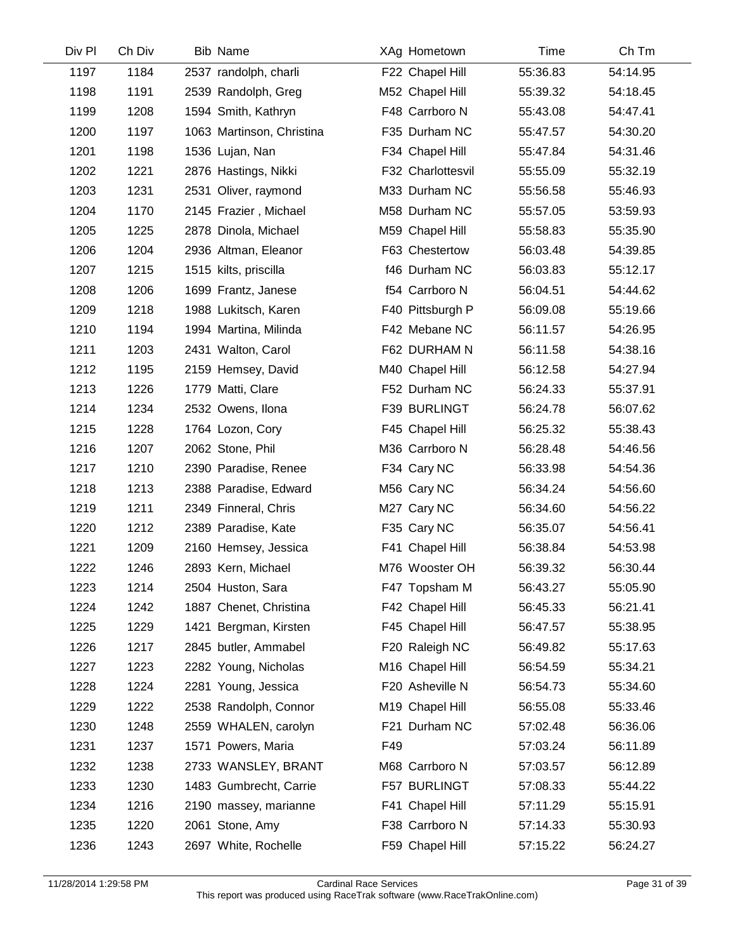| Div Pl | Ch Div | <b>Bib Name</b>           |     | XAg Hometown      | Time     | Ch Tm    |  |
|--------|--------|---------------------------|-----|-------------------|----------|----------|--|
| 1197   | 1184   | 2537 randolph, charli     |     | F22 Chapel Hill   | 55:36.83 | 54:14.95 |  |
| 1198   | 1191   | 2539 Randolph, Greg       |     | M52 Chapel Hill   | 55:39.32 | 54:18.45 |  |
| 1199   | 1208   | 1594 Smith, Kathryn       |     | F48 Carrboro N    | 55:43.08 | 54:47.41 |  |
| 1200   | 1197   | 1063 Martinson, Christina |     | F35 Durham NC     | 55:47.57 | 54:30.20 |  |
| 1201   | 1198   | 1536 Lujan, Nan           |     | F34 Chapel Hill   | 55:47.84 | 54:31.46 |  |
| 1202   | 1221   | 2876 Hastings, Nikki      |     | F32 Charlottesvil | 55:55.09 | 55:32.19 |  |
| 1203   | 1231   | 2531 Oliver, raymond      |     | M33 Durham NC     | 55:56.58 | 55:46.93 |  |
| 1204   | 1170   | 2145 Frazier, Michael     |     | M58 Durham NC     | 55:57.05 | 53:59.93 |  |
| 1205   | 1225   | 2878 Dinola, Michael      |     | M59 Chapel Hill   | 55:58.83 | 55:35.90 |  |
| 1206   | 1204   | 2936 Altman, Eleanor      |     | F63 Chestertow    | 56:03.48 | 54:39.85 |  |
| 1207   | 1215   | 1515 kilts, priscilla     |     | f46 Durham NC     | 56:03.83 | 55:12.17 |  |
| 1208   | 1206   | 1699 Frantz, Janese       |     | f54 Carrboro N    | 56:04.51 | 54:44.62 |  |
| 1209   | 1218   | 1988 Lukitsch, Karen      |     | F40 Pittsburgh P  | 56:09.08 | 55:19.66 |  |
| 1210   | 1194   | 1994 Martina, Milinda     |     | F42 Mebane NC     | 56:11.57 | 54:26.95 |  |
| 1211   | 1203   | 2431 Walton, Carol        |     | F62 DURHAM N      | 56:11.58 | 54:38.16 |  |
| 1212   | 1195   | 2159 Hemsey, David        |     | M40 Chapel Hill   | 56:12.58 | 54:27.94 |  |
| 1213   | 1226   | 1779 Matti, Clare         |     | F52 Durham NC     | 56:24.33 | 55:37.91 |  |
| 1214   | 1234   | 2532 Owens, Ilona         |     | F39 BURLINGT      | 56:24.78 | 56:07.62 |  |
| 1215   | 1228   | 1764 Lozon, Cory          |     | F45 Chapel Hill   | 56:25.32 | 55:38.43 |  |
| 1216   | 1207   | 2062 Stone, Phil          |     | M36 Carrboro N    | 56:28.48 | 54:46.56 |  |
| 1217   | 1210   | 2390 Paradise, Renee      |     | F34 Cary NC       | 56:33.98 | 54:54.36 |  |
| 1218   | 1213   | 2388 Paradise, Edward     |     | M56 Cary NC       | 56:34.24 | 54:56.60 |  |
| 1219   | 1211   | 2349 Finneral, Chris      |     | M27 Cary NC       | 56:34.60 | 54:56.22 |  |
| 1220   | 1212   | 2389 Paradise, Kate       |     | F35 Cary NC       | 56:35.07 | 54:56.41 |  |
| 1221   | 1209   | 2160 Hemsey, Jessica      |     | F41 Chapel Hill   | 56:38.84 | 54:53.98 |  |
| 1222   | 1246   | 2893 Kern, Michael        |     | M76 Wooster OH    | 56:39.32 | 56:30.44 |  |
| 1223   | 1214   | 2504 Huston, Sara         |     | F47 Topsham M     | 56:43.27 | 55:05.90 |  |
| 1224   | 1242   | 1887 Chenet, Christina    |     | F42 Chapel Hill   | 56:45.33 | 56:21.41 |  |
| 1225   | 1229   | 1421 Bergman, Kirsten     |     | F45 Chapel Hill   | 56:47.57 | 55:38.95 |  |
| 1226   | 1217   | 2845 butler, Ammabel      |     | F20 Raleigh NC    | 56:49.82 | 55:17.63 |  |
| 1227   | 1223   | 2282 Young, Nicholas      |     | M16 Chapel Hill   | 56:54.59 | 55:34.21 |  |
| 1228   | 1224   | 2281 Young, Jessica       |     | F20 Asheville N   | 56:54.73 | 55:34.60 |  |
| 1229   | 1222   | 2538 Randolph, Connor     |     | M19 Chapel Hill   | 56:55.08 | 55:33.46 |  |
| 1230   | 1248   | 2559 WHALEN, carolyn      |     | F21 Durham NC     | 57:02.48 | 56:36.06 |  |
| 1231   | 1237   | 1571 Powers, Maria        | F49 |                   | 57:03.24 | 56:11.89 |  |
| 1232   | 1238   | 2733 WANSLEY, BRANT       |     | M68 Carrboro N    | 57:03.57 | 56:12.89 |  |
| 1233   | 1230   | 1483 Gumbrecht, Carrie    |     | F57 BURLINGT      | 57:08.33 | 55:44.22 |  |
| 1234   | 1216   | 2190 massey, marianne     |     | F41 Chapel Hill   | 57:11.29 | 55:15.91 |  |
| 1235   | 1220   | 2061 Stone, Amy           |     | F38 Carrboro N    | 57:14.33 | 55:30.93 |  |
| 1236   | 1243   | 2697 White, Rochelle      |     | F59 Chapel Hill   | 57:15.22 | 56:24.27 |  |
|        |        |                           |     |                   |          |          |  |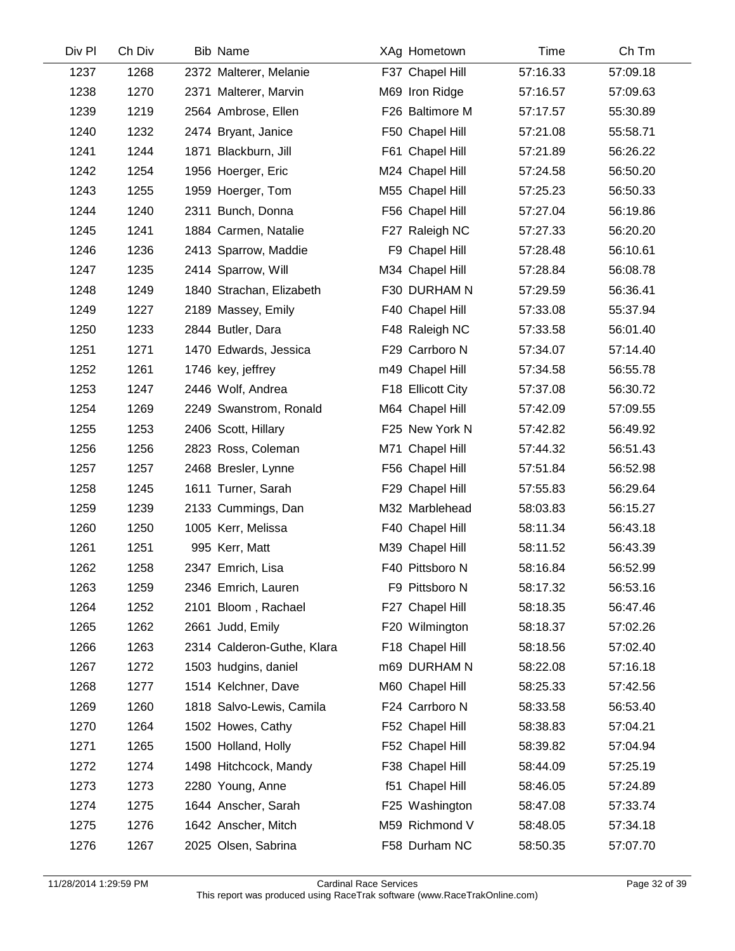| Div Pl | Ch Div | <b>Bib Name</b>            | XAg Hometown      | Time     | Ch Tm    |
|--------|--------|----------------------------|-------------------|----------|----------|
| 1237   | 1268   | 2372 Malterer, Melanie     | F37 Chapel Hill   | 57:16.33 | 57:09.18 |
| 1238   | 1270   | 2371 Malterer, Marvin      | M69 Iron Ridge    | 57:16.57 | 57:09.63 |
| 1239   | 1219   | 2564 Ambrose, Ellen        | F26 Baltimore M   | 57:17.57 | 55:30.89 |
| 1240   | 1232   | 2474 Bryant, Janice        | F50 Chapel Hill   | 57:21.08 | 55:58.71 |
| 1241   | 1244   | 1871 Blackburn, Jill       | F61 Chapel Hill   | 57:21.89 | 56:26.22 |
| 1242   | 1254   | 1956 Hoerger, Eric         | M24 Chapel Hill   | 57:24.58 | 56:50.20 |
| 1243   | 1255   | 1959 Hoerger, Tom          | M55 Chapel Hill   | 57:25.23 | 56:50.33 |
| 1244   | 1240   | 2311 Bunch, Donna          | F56 Chapel Hill   | 57:27.04 | 56:19.86 |
| 1245   | 1241   | 1884 Carmen, Natalie       | F27 Raleigh NC    | 57:27.33 | 56:20.20 |
| 1246   | 1236   | 2413 Sparrow, Maddie       | F9 Chapel Hill    | 57:28.48 | 56:10.61 |
| 1247   | 1235   | 2414 Sparrow, Will         | M34 Chapel Hill   | 57:28.84 | 56:08.78 |
| 1248   | 1249   | 1840 Strachan, Elizabeth   | F30 DURHAM N      | 57:29.59 | 56:36.41 |
| 1249   | 1227   | 2189 Massey, Emily         | F40 Chapel Hill   | 57:33.08 | 55:37.94 |
| 1250   | 1233   | 2844 Butler, Dara          | F48 Raleigh NC    | 57:33.58 | 56:01.40 |
| 1251   | 1271   | 1470 Edwards, Jessica      | F29 Carrboro N    | 57:34.07 | 57:14.40 |
| 1252   | 1261   | 1746 key, jeffrey          | m49 Chapel Hill   | 57:34.58 | 56:55.78 |
| 1253   | 1247   | 2446 Wolf, Andrea          | F18 Ellicott City | 57:37.08 | 56:30.72 |
| 1254   | 1269   | 2249 Swanstrom, Ronald     | M64 Chapel Hill   | 57:42.09 | 57:09.55 |
| 1255   | 1253   | 2406 Scott, Hillary        | F25 New York N    | 57:42.82 | 56:49.92 |
| 1256   | 1256   | 2823 Ross, Coleman         | M71 Chapel Hill   | 57:44.32 | 56:51.43 |
| 1257   | 1257   | 2468 Bresler, Lynne        | F56 Chapel Hill   | 57:51.84 | 56:52.98 |
| 1258   | 1245   | 1611 Turner, Sarah         | F29 Chapel Hill   | 57:55.83 | 56:29.64 |
| 1259   | 1239   | 2133 Cummings, Dan         | M32 Marblehead    | 58:03.83 | 56:15.27 |
| 1260   | 1250   | 1005 Kerr, Melissa         | F40 Chapel Hill   | 58:11.34 | 56:43.18 |
| 1261   | 1251   | 995 Kerr, Matt             | M39 Chapel Hill   | 58:11.52 | 56:43.39 |
| 1262   | 1258   | 2347 Emrich, Lisa          | F40 Pittsboro N   | 58:16.84 | 56:52.99 |
| 1263   | 1259   | 2346 Emrich, Lauren        | F9 Pittsboro N    | 58:17.32 | 56:53.16 |
| 1264   | 1252   | 2101 Bloom, Rachael        | F27 Chapel Hill   | 58:18.35 | 56:47.46 |
| 1265   | 1262   | 2661 Judd, Emily           | F20 Wilmington    | 58:18.37 | 57:02.26 |
| 1266   | 1263   | 2314 Calderon-Guthe, Klara | F18 Chapel Hill   | 58:18.56 | 57:02.40 |
| 1267   | 1272   | 1503 hudgins, daniel       | m69 DURHAM N      | 58:22.08 | 57:16.18 |
| 1268   | 1277   | 1514 Kelchner, Dave        | M60 Chapel Hill   | 58:25.33 | 57:42.56 |
| 1269   | 1260   | 1818 Salvo-Lewis, Camila   | F24 Carrboro N    | 58:33.58 | 56:53.40 |
| 1270   | 1264   | 1502 Howes, Cathy          | F52 Chapel Hill   | 58:38.83 | 57:04.21 |
| 1271   | 1265   | 1500 Holland, Holly        | F52 Chapel Hill   | 58:39.82 | 57:04.94 |
| 1272   | 1274   | 1498 Hitchcock, Mandy      | F38 Chapel Hill   | 58:44.09 | 57:25.19 |
| 1273   | 1273   | 2280 Young, Anne           | f51 Chapel Hill   | 58:46.05 | 57:24.89 |
| 1274   | 1275   | 1644 Anscher, Sarah        | F25 Washington    | 58:47.08 | 57:33.74 |
| 1275   | 1276   | 1642 Anscher, Mitch        | M59 Richmond V    | 58:48.05 | 57:34.18 |
| 1276   | 1267   | 2025 Olsen, Sabrina        | F58 Durham NC     | 58:50.35 | 57:07.70 |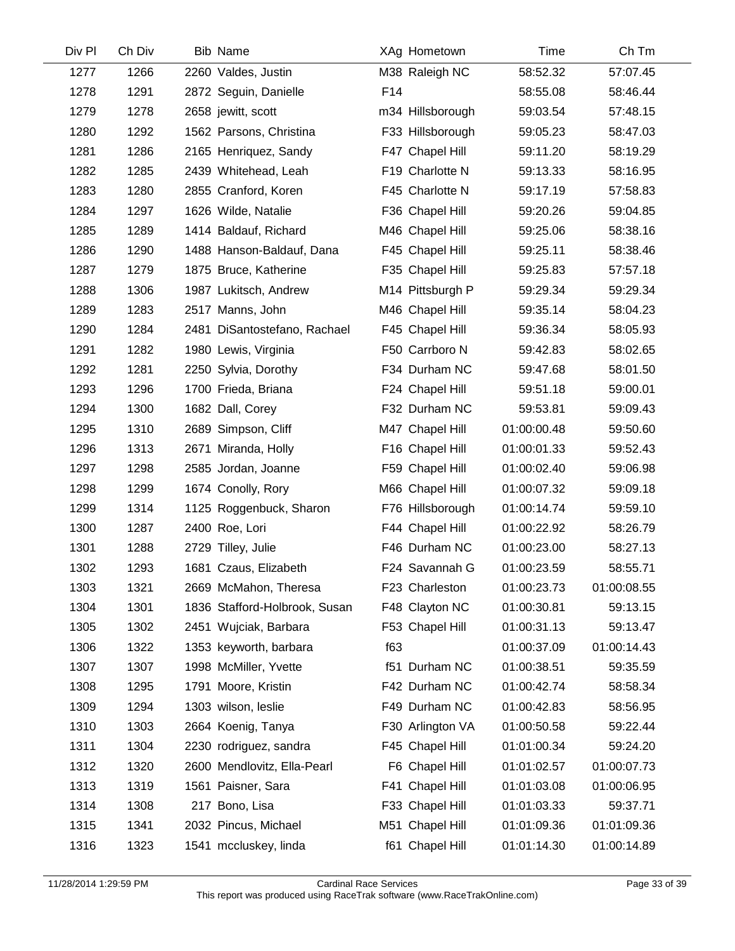| Div Pl | Ch Div | <b>Bib Name</b>               | XAg Hometown     | Time        | Ch Tm       |
|--------|--------|-------------------------------|------------------|-------------|-------------|
| 1277   | 1266   | 2260 Valdes, Justin           | M38 Raleigh NC   | 58:52.32    | 57:07.45    |
| 1278   | 1291   | 2872 Seguin, Danielle         | F14              | 58:55.08    | 58:46.44    |
| 1279   | 1278   | 2658 jewitt, scott            | m34 Hillsborough | 59:03.54    | 57:48.15    |
| 1280   | 1292   | 1562 Parsons, Christina       | F33 Hillsborough | 59:05.23    | 58:47.03    |
| 1281   | 1286   | 2165 Henriquez, Sandy         | F47 Chapel Hill  | 59:11.20    | 58:19.29    |
| 1282   | 1285   | 2439 Whitehead, Leah          | F19 Charlotte N  | 59:13.33    | 58:16.95    |
| 1283   | 1280   | 2855 Cranford, Koren          | F45 Charlotte N  | 59:17.19    | 57:58.83    |
| 1284   | 1297   | 1626 Wilde, Natalie           | F36 Chapel Hill  | 59:20.26    | 59:04.85    |
| 1285   | 1289   | 1414 Baldauf, Richard         | M46 Chapel Hill  | 59:25.06    | 58:38.16    |
| 1286   | 1290   | 1488 Hanson-Baldauf, Dana     | F45 Chapel Hill  | 59:25.11    | 58:38.46    |
| 1287   | 1279   | 1875 Bruce, Katherine         | F35 Chapel Hill  | 59:25.83    | 57:57.18    |
| 1288   | 1306   | 1987 Lukitsch, Andrew         | M14 Pittsburgh P | 59:29.34    | 59:29.34    |
| 1289   | 1283   | 2517 Manns, John              | M46 Chapel Hill  | 59:35.14    | 58:04.23    |
| 1290   | 1284   | 2481 DiSantostefano, Rachael  | F45 Chapel Hill  | 59:36.34    | 58:05.93    |
| 1291   | 1282   | 1980 Lewis, Virginia          | F50 Carrboro N   | 59:42.83    | 58:02.65    |
| 1292   | 1281   | 2250 Sylvia, Dorothy          | F34 Durham NC    | 59:47.68    | 58:01.50    |
| 1293   | 1296   | 1700 Frieda, Briana           | F24 Chapel Hill  | 59:51.18    | 59:00.01    |
| 1294   | 1300   | 1682 Dall, Corey              | F32 Durham NC    | 59:53.81    | 59:09.43    |
| 1295   | 1310   | 2689 Simpson, Cliff           | M47 Chapel Hill  | 01:00:00.48 | 59:50.60    |
| 1296   | 1313   | 2671 Miranda, Holly           | F16 Chapel Hill  | 01:00:01.33 | 59:52.43    |
| 1297   | 1298   | 2585 Jordan, Joanne           | F59 Chapel Hill  | 01:00:02.40 | 59:06.98    |
| 1298   | 1299   | 1674 Conolly, Rory            | M66 Chapel Hill  | 01:00:07.32 | 59:09.18    |
| 1299   | 1314   | 1125 Roggenbuck, Sharon       | F76 Hillsborough | 01:00:14.74 | 59:59.10    |
| 1300   | 1287   | 2400 Roe, Lori                | F44 Chapel Hill  | 01:00:22.92 | 58:26.79    |
| 1301   | 1288   | 2729 Tilley, Julie            | F46 Durham NC    | 01:00:23.00 | 58:27.13    |
| 1302   | 1293   | 1681 Czaus, Elizabeth         | F24 Savannah G   | 01:00:23.59 | 58:55.71    |
| 1303   | 1321   | 2669 McMahon, Theresa         | F23 Charleston   | 01:00:23.73 | 01:00:08.55 |
| 1304   | 1301   | 1836 Stafford-Holbrook, Susan | F48 Clayton NC   | 01:00:30.81 | 59:13.15    |
| 1305   | 1302   | 2451 Wujciak, Barbara         | F53 Chapel Hill  | 01:00:31.13 | 59:13.47    |
| 1306   | 1322   | 1353 keyworth, barbara        | f63              | 01:00:37.09 | 01:00:14.43 |
| 1307   | 1307   | 1998 McMiller, Yvette         | f51 Durham NC    | 01:00:38.51 | 59:35.59    |
| 1308   | 1295   | 1791 Moore, Kristin           | F42 Durham NC    | 01:00:42.74 | 58:58.34    |
| 1309   | 1294   | 1303 wilson, leslie           | F49 Durham NC    | 01:00:42.83 | 58:56.95    |
| 1310   | 1303   | 2664 Koenig, Tanya            | F30 Arlington VA | 01:00:50.58 | 59:22.44    |
| 1311   | 1304   | 2230 rodriguez, sandra        | F45 Chapel Hill  | 01:01:00.34 | 59:24.20    |
| 1312   | 1320   | 2600 Mendlovitz, Ella-Pearl   | F6 Chapel Hill   | 01:01:02.57 | 01:00:07.73 |
| 1313   | 1319   | 1561 Paisner, Sara            | F41 Chapel Hill  | 01:01:03.08 | 01:00:06.95 |
| 1314   | 1308   | 217 Bono, Lisa                | F33 Chapel Hill  | 01:01:03.33 | 59:37.71    |
| 1315   | 1341   | 2032 Pincus, Michael          | M51 Chapel Hill  | 01:01:09.36 | 01:01:09.36 |
| 1316   | 1323   | 1541 mccluskey, linda         | f61 Chapel Hill  | 01:01:14.30 | 01:00:14.89 |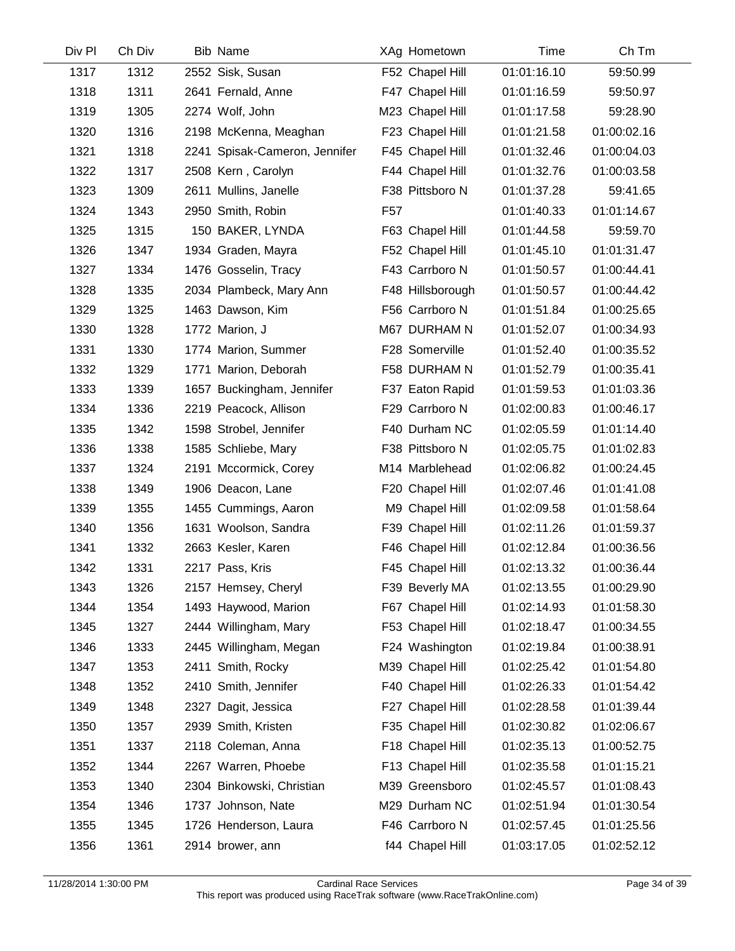| Div Pl | Ch Div | <b>Bib Name</b>               | XAg Hometown     | Time        | Ch Tm       |  |
|--------|--------|-------------------------------|------------------|-------------|-------------|--|
| 1317   | 1312   | 2552 Sisk, Susan              | F52 Chapel Hill  | 01:01:16.10 | 59:50.99    |  |
| 1318   | 1311   | 2641 Fernald, Anne            | F47 Chapel Hill  | 01:01:16.59 | 59:50.97    |  |
| 1319   | 1305   | 2274 Wolf, John               | M23 Chapel Hill  | 01:01:17.58 | 59:28.90    |  |
| 1320   | 1316   | 2198 McKenna, Meaghan         | F23 Chapel Hill  | 01:01:21.58 | 01:00:02.16 |  |
| 1321   | 1318   | 2241 Spisak-Cameron, Jennifer | F45 Chapel Hill  | 01:01:32.46 | 01:00:04.03 |  |
| 1322   | 1317   | 2508 Kern, Carolyn            | F44 Chapel Hill  | 01:01:32.76 | 01:00:03.58 |  |
| 1323   | 1309   | 2611 Mullins, Janelle         | F38 Pittsboro N  | 01:01:37.28 | 59:41.65    |  |
| 1324   | 1343   | 2950 Smith, Robin             | F <sub>57</sub>  | 01:01:40.33 | 01:01:14.67 |  |
| 1325   | 1315   | 150 BAKER, LYNDA              | F63 Chapel Hill  | 01:01:44.58 | 59:59.70    |  |
| 1326   | 1347   | 1934 Graden, Mayra            | F52 Chapel Hill  | 01:01:45.10 | 01:01:31.47 |  |
| 1327   | 1334   | 1476 Gosselin, Tracy          | F43 Carrboro N   | 01:01:50.57 | 01:00:44.41 |  |
| 1328   | 1335   | 2034 Plambeck, Mary Ann       | F48 Hillsborough | 01:01:50.57 | 01:00:44.42 |  |
| 1329   | 1325   | 1463 Dawson, Kim              | F56 Carrboro N   | 01:01:51.84 | 01:00:25.65 |  |
| 1330   | 1328   | 1772 Marion, J                | M67 DURHAM N     | 01:01:52.07 | 01:00:34.93 |  |
| 1331   | 1330   | 1774 Marion, Summer           | F28 Somerville   | 01:01:52.40 | 01:00:35.52 |  |
| 1332   | 1329   | 1771 Marion, Deborah          | F58 DURHAM N     | 01:01:52.79 | 01:00:35.41 |  |
| 1333   | 1339   | 1657 Buckingham, Jennifer     | F37 Eaton Rapid  | 01:01:59.53 | 01:01:03.36 |  |
| 1334   | 1336   | 2219 Peacock, Allison         | F29 Carrboro N   | 01:02:00.83 | 01:00:46.17 |  |
| 1335   | 1342   | 1598 Strobel, Jennifer        | F40 Durham NC    | 01:02:05.59 | 01:01:14.40 |  |
| 1336   | 1338   | 1585 Schliebe, Mary           | F38 Pittsboro N  | 01:02:05.75 | 01:01:02.83 |  |
| 1337   | 1324   | 2191 Mccormick, Corey         | M14 Marblehead   | 01:02:06.82 | 01:00:24.45 |  |
| 1338   | 1349   | 1906 Deacon, Lane             | F20 Chapel Hill  | 01:02:07.46 | 01:01:41.08 |  |
| 1339   | 1355   | 1455 Cummings, Aaron          | M9 Chapel Hill   | 01:02:09.58 | 01:01:58.64 |  |
| 1340   | 1356   | 1631 Woolson, Sandra          | F39 Chapel Hill  | 01:02:11.26 | 01:01:59.37 |  |
| 1341   | 1332   | 2663 Kesler, Karen            | F46 Chapel Hill  | 01:02:12.84 | 01:00:36.56 |  |
| 1342   | 1331   | 2217 Pass, Kris               | F45 Chapel Hill  | 01:02:13.32 | 01:00:36.44 |  |
| 1343   | 1326   | 2157 Hemsey, Cheryl           | F39 Beverly MA   | 01:02:13.55 | 01:00:29.90 |  |
| 1344   | 1354   | 1493 Haywood, Marion          | F67 Chapel Hill  | 01:02:14.93 | 01:01:58.30 |  |
| 1345   | 1327   | 2444 Willingham, Mary         | F53 Chapel Hill  | 01:02:18.47 | 01:00:34.55 |  |
| 1346   | 1333   | 2445 Willingham, Megan        | F24 Washington   | 01:02:19.84 | 01:00:38.91 |  |
| 1347   | 1353   | 2411 Smith, Rocky             | M39 Chapel Hill  | 01:02:25.42 | 01:01:54.80 |  |
| 1348   | 1352   | 2410 Smith, Jennifer          | F40 Chapel Hill  | 01:02:26.33 | 01:01:54.42 |  |
| 1349   | 1348   | 2327 Dagit, Jessica           | F27 Chapel Hill  | 01:02:28.58 | 01:01:39.44 |  |
| 1350   | 1357   | 2939 Smith, Kristen           | F35 Chapel Hill  | 01:02:30.82 | 01:02:06.67 |  |
| 1351   | 1337   | 2118 Coleman, Anna            | F18 Chapel Hill  | 01:02:35.13 | 01:00:52.75 |  |
| 1352   | 1344   | 2267 Warren, Phoebe           | F13 Chapel Hill  | 01:02:35.58 | 01:01:15.21 |  |
| 1353   | 1340   | 2304 Binkowski, Christian     | M39 Greensboro   | 01:02:45.57 | 01:01:08.43 |  |
| 1354   | 1346   | 1737 Johnson, Nate            | M29 Durham NC    | 01:02:51.94 | 01:01:30.54 |  |
| 1355   | 1345   | 1726 Henderson, Laura         | F46 Carrboro N   | 01:02:57.45 | 01:01:25.56 |  |
| 1356   | 1361   | 2914 brower, ann              | f44 Chapel Hill  | 01:03:17.05 | 01:02:52.12 |  |
|        |        |                               |                  |             |             |  |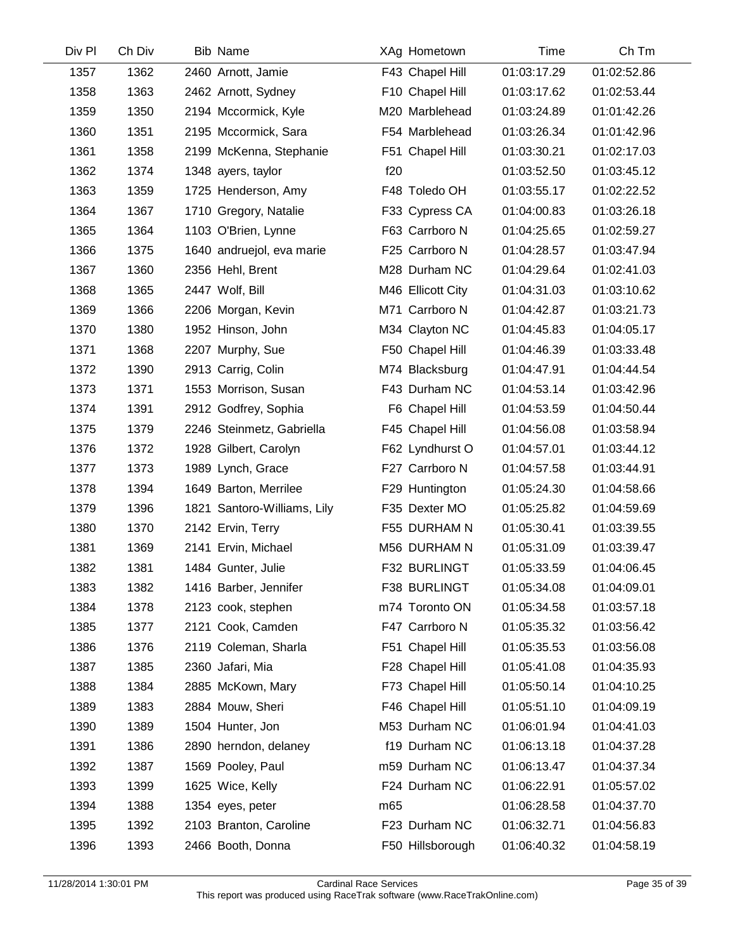| Div Pl | Ch Div | <b>Bib Name</b>             | XAg Hometown      | Time        | Ch Tm       |  |
|--------|--------|-----------------------------|-------------------|-------------|-------------|--|
| 1357   | 1362   | 2460 Arnott, Jamie          | F43 Chapel Hill   | 01:03:17.29 | 01:02:52.86 |  |
| 1358   | 1363   | 2462 Arnott, Sydney         | F10 Chapel Hill   | 01:03:17.62 | 01:02:53.44 |  |
| 1359   | 1350   | 2194 Mccormick, Kyle        | M20 Marblehead    | 01:03:24.89 | 01:01:42.26 |  |
| 1360   | 1351   | 2195 Mccormick, Sara        | F54 Marblehead    | 01:03:26.34 | 01:01:42.96 |  |
| 1361   | 1358   | 2199 McKenna, Stephanie     | F51 Chapel Hill   | 01:03:30.21 | 01:02:17.03 |  |
| 1362   | 1374   | 1348 ayers, taylor          | f20               | 01:03:52.50 | 01:03:45.12 |  |
| 1363   | 1359   | 1725 Henderson, Amy         | F48 Toledo OH     | 01:03:55.17 | 01:02:22.52 |  |
| 1364   | 1367   | 1710 Gregory, Natalie       | F33 Cypress CA    | 01:04:00.83 | 01:03:26.18 |  |
| 1365   | 1364   | 1103 O'Brien, Lynne         | F63 Carrboro N    | 01:04:25.65 | 01:02:59.27 |  |
| 1366   | 1375   | 1640 andruejol, eva marie   | F25 Carrboro N    | 01:04:28.57 | 01:03:47.94 |  |
| 1367   | 1360   | 2356 Hehl, Brent            | M28 Durham NC     | 01:04:29.64 | 01:02:41.03 |  |
| 1368   | 1365   | 2447 Wolf, Bill             | M46 Ellicott City | 01:04:31.03 | 01:03:10.62 |  |
| 1369   | 1366   | 2206 Morgan, Kevin          | M71 Carrboro N    | 01:04:42.87 | 01:03:21.73 |  |
| 1370   | 1380   | 1952 Hinson, John           | M34 Clayton NC    | 01:04:45.83 | 01:04:05.17 |  |
| 1371   | 1368   | 2207 Murphy, Sue            | F50 Chapel Hill   | 01:04:46.39 | 01:03:33.48 |  |
| 1372   | 1390   | 2913 Carrig, Colin          | M74 Blacksburg    | 01:04:47.91 | 01:04:44.54 |  |
| 1373   | 1371   | 1553 Morrison, Susan        | F43 Durham NC     | 01:04:53.14 | 01:03:42.96 |  |
| 1374   | 1391   | 2912 Godfrey, Sophia        | F6 Chapel Hill    | 01:04:53.59 | 01:04:50.44 |  |
| 1375   | 1379   | 2246 Steinmetz, Gabriella   | F45 Chapel Hill   | 01:04:56.08 | 01:03:58.94 |  |
| 1376   | 1372   | 1928 Gilbert, Carolyn       | F62 Lyndhurst O   | 01:04:57.01 | 01:03:44.12 |  |
| 1377   | 1373   | 1989 Lynch, Grace           | F27 Carrboro N    | 01:04:57.58 | 01:03:44.91 |  |
| 1378   | 1394   | 1649 Barton, Merrilee       | F29 Huntington    | 01:05:24.30 | 01:04:58.66 |  |
| 1379   | 1396   | 1821 Santoro-Williams, Lily | F35 Dexter MO     | 01:05:25.82 | 01:04:59.69 |  |
| 1380   | 1370   | 2142 Ervin, Terry           | F55 DURHAM N      | 01:05:30.41 | 01:03:39.55 |  |
| 1381   | 1369   | 2141 Ervin, Michael         | M56 DURHAM N      | 01:05:31.09 | 01:03:39.47 |  |
| 1382   | 1381   | 1484 Gunter, Julie          | F32 BURLINGT      | 01:05:33.59 | 01:04:06.45 |  |
| 1383   | 1382   | 1416 Barber, Jennifer       | F38 BURLINGT      | 01:05:34.08 | 01:04:09.01 |  |
| 1384   | 1378   | 2123 cook, stephen          | m74 Toronto ON    | 01:05:34.58 | 01:03:57.18 |  |
| 1385   | 1377   | 2121 Cook, Camden           | F47 Carrboro N    | 01:05:35.32 | 01:03:56.42 |  |
| 1386   | 1376   | 2119 Coleman, Sharla        | F51 Chapel Hill   | 01:05:35.53 | 01:03:56.08 |  |
| 1387   | 1385   | 2360 Jafari, Mia            | F28 Chapel Hill   | 01:05:41.08 | 01:04:35.93 |  |
| 1388   | 1384   | 2885 McKown, Mary           | F73 Chapel Hill   | 01:05:50.14 | 01:04:10.25 |  |
| 1389   | 1383   | 2884 Mouw, Sheri            | F46 Chapel Hill   | 01:05:51.10 | 01:04:09.19 |  |
| 1390   | 1389   | 1504 Hunter, Jon            | M53 Durham NC     | 01:06:01.94 | 01:04:41.03 |  |
| 1391   | 1386   | 2890 herndon, delaney       | f19 Durham NC     | 01:06:13.18 | 01:04:37.28 |  |
| 1392   | 1387   | 1569 Pooley, Paul           | m59 Durham NC     | 01:06:13.47 | 01:04:37.34 |  |
| 1393   | 1399   | 1625 Wice, Kelly            | F24 Durham NC     | 01:06:22.91 | 01:05:57.02 |  |
| 1394   | 1388   | 1354 eyes, peter            | m65               | 01:06:28.58 | 01:04:37.70 |  |
| 1395   | 1392   | 2103 Branton, Caroline      | F23 Durham NC     | 01:06:32.71 | 01:04:56.83 |  |
| 1396   | 1393   | 2466 Booth, Donna           | F50 Hillsborough  | 01:06:40.32 | 01:04:58.19 |  |
|        |        |                             |                   |             |             |  |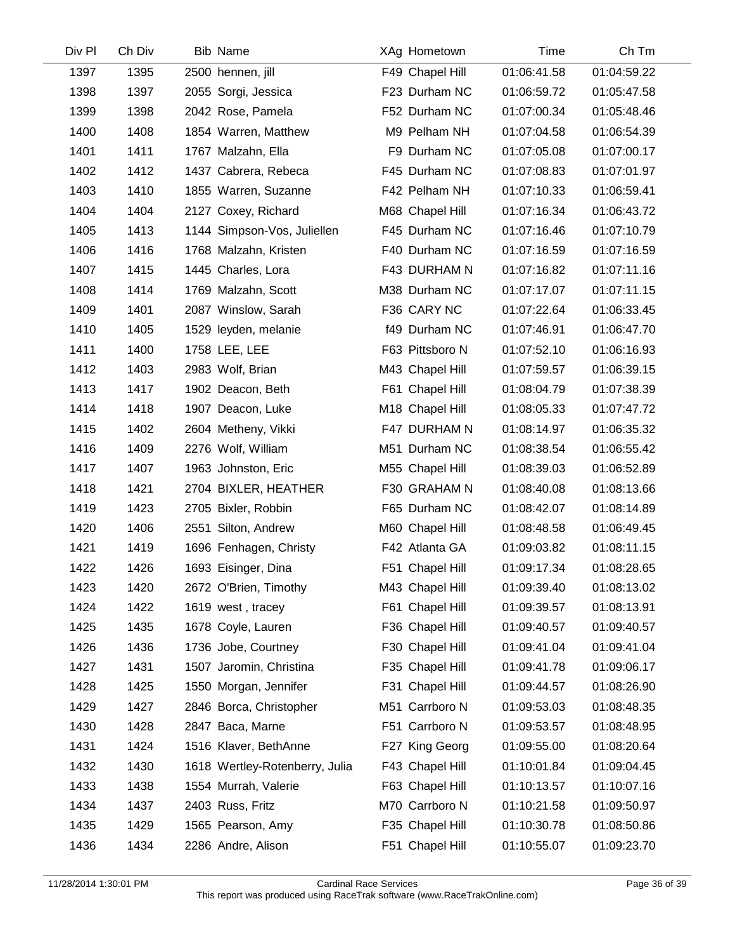| Div Pl | Ch Div | <b>Bib Name</b>                | XAg Hometown    | Time        | Ch Tm       |
|--------|--------|--------------------------------|-----------------|-------------|-------------|
| 1397   | 1395   | 2500 hennen, jill              | F49 Chapel Hill | 01:06:41.58 | 01:04:59.22 |
| 1398   | 1397   | 2055 Sorgi, Jessica            | F23 Durham NC   | 01:06:59.72 | 01:05:47.58 |
| 1399   | 1398   | 2042 Rose, Pamela              | F52 Durham NC   | 01:07:00.34 | 01:05:48.46 |
| 1400   | 1408   | 1854 Warren, Matthew           | M9 Pelham NH    | 01:07:04.58 | 01:06:54.39 |
| 1401   | 1411   | 1767 Malzahn, Ella             | F9 Durham NC    | 01:07:05.08 | 01:07:00.17 |
| 1402   | 1412   | 1437 Cabrera, Rebeca           | F45 Durham NC   | 01:07:08.83 | 01:07:01.97 |
| 1403   | 1410   | 1855 Warren, Suzanne           | F42 Pelham NH   | 01:07:10.33 | 01:06:59.41 |
| 1404   | 1404   | 2127 Coxey, Richard            | M68 Chapel Hill | 01:07:16.34 | 01:06:43.72 |
| 1405   | 1413   | 1144 Simpson-Vos, Juliellen    | F45 Durham NC   | 01:07:16.46 | 01:07:10.79 |
| 1406   | 1416   | 1768 Malzahn, Kristen          | F40 Durham NC   | 01:07:16.59 | 01:07:16.59 |
| 1407   | 1415   | 1445 Charles, Lora             | F43 DURHAM N    | 01:07:16.82 | 01:07:11.16 |
| 1408   | 1414   | 1769 Malzahn, Scott            | M38 Durham NC   | 01:07:17.07 | 01:07:11.15 |
| 1409   | 1401   | 2087 Winslow, Sarah            | F36 CARY NC     | 01:07:22.64 | 01:06:33.45 |
| 1410   | 1405   | 1529 leyden, melanie           | f49 Durham NC   | 01:07:46.91 | 01:06:47.70 |
| 1411   | 1400   | 1758 LEE, LEE                  | F63 Pittsboro N | 01:07:52.10 | 01:06:16.93 |
| 1412   | 1403   | 2983 Wolf, Brian               | M43 Chapel Hill | 01:07:59.57 | 01:06:39.15 |
| 1413   | 1417   | 1902 Deacon, Beth              | F61 Chapel Hill | 01:08:04.79 | 01:07:38.39 |
| 1414   | 1418   | 1907 Deacon, Luke              | M18 Chapel Hill | 01:08:05.33 | 01:07:47.72 |
| 1415   | 1402   | 2604 Metheny, Vikki            | F47 DURHAM N    | 01:08:14.97 | 01:06:35.32 |
| 1416   | 1409   | 2276 Wolf, William             | M51 Durham NC   | 01:08:38.54 | 01:06:55.42 |
| 1417   | 1407   | 1963 Johnston, Eric            | M55 Chapel Hill | 01:08:39.03 | 01:06:52.89 |
| 1418   | 1421   | 2704 BIXLER, HEATHER           | F30 GRAHAM N    | 01:08:40.08 | 01:08:13.66 |
| 1419   | 1423   | 2705 Bixler, Robbin            | F65 Durham NC   | 01:08:42.07 | 01:08:14.89 |
| 1420   | 1406   | 2551 Silton, Andrew            | M60 Chapel Hill | 01:08:48.58 | 01:06:49.45 |
| 1421   | 1419   | 1696 Fenhagen, Christy         | F42 Atlanta GA  | 01:09:03.82 | 01:08:11.15 |
| 1422   | 1426   | 1693 Eisinger, Dina            | F51 Chapel Hill | 01:09:17.34 | 01:08:28.65 |
| 1423   | 1420   | 2672 O'Brien, Timothy          | M43 Chapel Hill | 01:09:39.40 | 01:08:13.02 |
| 1424   | 1422   | 1619 west, tracey              | F61 Chapel Hill | 01:09:39.57 | 01:08:13.91 |
| 1425   | 1435   | 1678 Coyle, Lauren             | F36 Chapel Hill | 01:09:40.57 | 01:09:40.57 |
| 1426   | 1436   | 1736 Jobe, Courtney            | F30 Chapel Hill | 01:09:41.04 | 01:09:41.04 |
| 1427   | 1431   | 1507 Jaromin, Christina        | F35 Chapel Hill | 01:09:41.78 | 01:09:06.17 |
| 1428   | 1425   | 1550 Morgan, Jennifer          | F31 Chapel Hill | 01:09:44.57 | 01:08:26.90 |
| 1429   | 1427   | 2846 Borca, Christopher        | M51 Carrboro N  | 01:09:53.03 | 01:08:48.35 |
| 1430   | 1428   | 2847 Baca, Marne               | F51 Carrboro N  | 01:09:53.57 | 01:08:48.95 |
| 1431   | 1424   | 1516 Klaver, BethAnne          | F27 King Georg  | 01:09:55.00 | 01:08:20.64 |
| 1432   | 1430   | 1618 Wertley-Rotenberry, Julia | F43 Chapel Hill | 01:10:01.84 | 01:09:04.45 |
| 1433   | 1438   | 1554 Murrah, Valerie           | F63 Chapel Hill | 01:10:13.57 | 01:10:07.16 |
| 1434   | 1437   | 2403 Russ, Fritz               | M70 Carrboro N  | 01:10:21.58 | 01:09:50.97 |
| 1435   | 1429   | 1565 Pearson, Amy              | F35 Chapel Hill | 01:10:30.78 | 01:08:50.86 |
| 1436   | 1434   | 2286 Andre, Alison             | F51 Chapel Hill | 01:10:55.07 | 01:09:23.70 |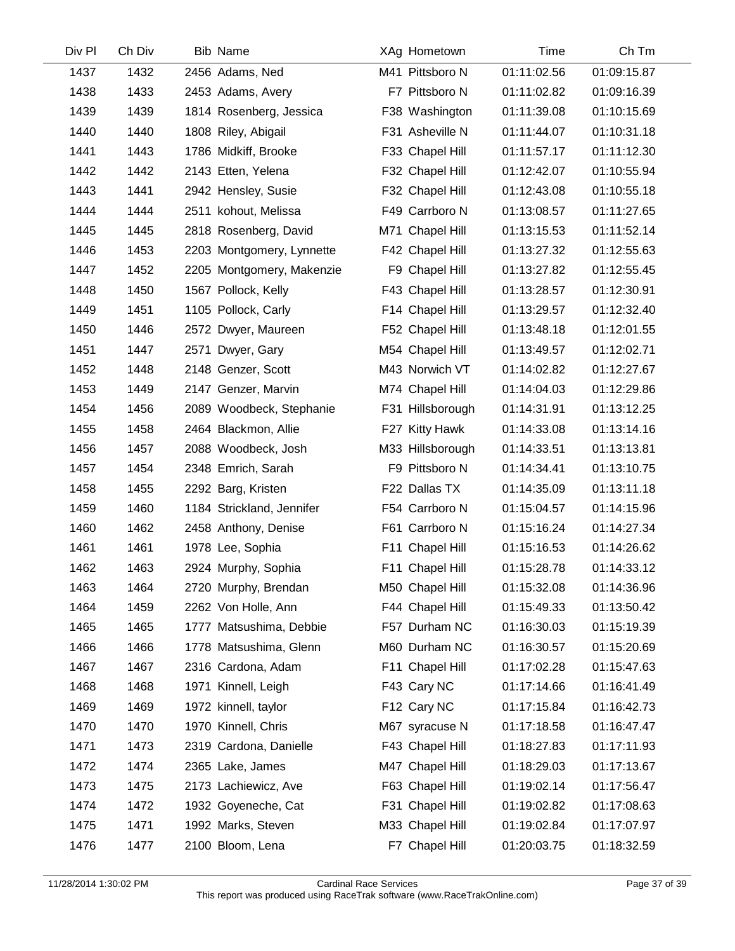| Div Pl | Ch Div | <b>Bib Name</b>           | XAg Hometown     | Time        | Ch Tm       |
|--------|--------|---------------------------|------------------|-------------|-------------|
| 1437   | 1432   | 2456 Adams, Ned           | M41 Pittsboro N  | 01:11:02.56 | 01:09:15.87 |
| 1438   | 1433   | 2453 Adams, Avery         | F7 Pittsboro N   | 01:11:02.82 | 01:09:16.39 |
| 1439   | 1439   | 1814 Rosenberg, Jessica   | F38 Washington   | 01:11:39.08 | 01:10:15.69 |
| 1440   | 1440   | 1808 Riley, Abigail       | F31 Asheville N  | 01:11:44.07 | 01:10:31.18 |
| 1441   | 1443   | 1786 Midkiff, Brooke      | F33 Chapel Hill  | 01:11:57.17 | 01:11:12.30 |
| 1442   | 1442   | 2143 Etten, Yelena        | F32 Chapel Hill  | 01:12:42.07 | 01:10:55.94 |
| 1443   | 1441   | 2942 Hensley, Susie       | F32 Chapel Hill  | 01:12:43.08 | 01:10:55.18 |
| 1444   | 1444   | 2511 kohout, Melissa      | F49 Carrboro N   | 01:13:08.57 | 01:11:27.65 |
| 1445   | 1445   | 2818 Rosenberg, David     | M71 Chapel Hill  | 01:13:15.53 | 01:11:52.14 |
| 1446   | 1453   | 2203 Montgomery, Lynnette | F42 Chapel Hill  | 01:13:27.32 | 01:12:55.63 |
| 1447   | 1452   | 2205 Montgomery, Makenzie | F9 Chapel Hill   | 01:13:27.82 | 01:12:55.45 |
| 1448   | 1450   | 1567 Pollock, Kelly       | F43 Chapel Hill  | 01:13:28.57 | 01:12:30.91 |
| 1449   | 1451   | 1105 Pollock, Carly       | F14 Chapel Hill  | 01:13:29.57 | 01:12:32.40 |
| 1450   | 1446   | 2572 Dwyer, Maureen       | F52 Chapel Hill  | 01:13:48.18 | 01:12:01.55 |
| 1451   | 1447   | 2571 Dwyer, Gary          | M54 Chapel Hill  | 01:13:49.57 | 01:12:02.71 |
| 1452   | 1448   | 2148 Genzer, Scott        | M43 Norwich VT   | 01:14:02.82 | 01:12:27.67 |
| 1453   | 1449   | 2147 Genzer, Marvin       | M74 Chapel Hill  | 01:14:04.03 | 01:12:29.86 |
| 1454   | 1456   | 2089 Woodbeck, Stephanie  | F31 Hillsborough | 01:14:31.91 | 01:13:12.25 |
| 1455   | 1458   | 2464 Blackmon, Allie      | F27 Kitty Hawk   | 01:14:33.08 | 01:13:14.16 |
| 1456   | 1457   | 2088 Woodbeck, Josh       | M33 Hillsborough | 01:14:33.51 | 01:13:13.81 |
| 1457   | 1454   | 2348 Emrich, Sarah        | F9 Pittsboro N   | 01:14:34.41 | 01:13:10.75 |
| 1458   | 1455   | 2292 Barg, Kristen        | F22 Dallas TX    | 01:14:35.09 | 01:13:11.18 |
| 1459   | 1460   | 1184 Strickland, Jennifer | F54 Carrboro N   | 01:15:04.57 | 01:14:15.96 |
| 1460   | 1462   | 2458 Anthony, Denise      | F61 Carrboro N   | 01:15:16.24 | 01:14:27.34 |
| 1461   | 1461   | 1978 Lee, Sophia          | F11 Chapel Hill  | 01:15:16.53 | 01:14:26.62 |
| 1462   | 1463   | 2924 Murphy, Sophia       | F11 Chapel Hill  | 01:15:28.78 | 01:14:33.12 |
| 1463   | 1464   | 2720 Murphy, Brendan      | M50 Chapel Hill  | 01:15:32.08 | 01:14:36.96 |
| 1464   | 1459   | 2262 Von Holle, Ann       | F44 Chapel Hill  | 01:15:49.33 | 01:13:50.42 |
| 1465   | 1465   | 1777 Matsushima, Debbie   | F57 Durham NC    | 01:16:30.03 | 01:15:19.39 |
| 1466   | 1466   | 1778 Matsushima, Glenn    | M60 Durham NC    | 01:16:30.57 | 01:15:20.69 |
| 1467   | 1467   | 2316 Cardona, Adam        | F11 Chapel Hill  | 01:17:02.28 | 01:15:47.63 |
| 1468   | 1468   | 1971 Kinnell, Leigh       | F43 Cary NC      | 01:17:14.66 | 01:16:41.49 |
| 1469   | 1469   | 1972 kinnell, taylor      | F12 Cary NC      | 01:17:15.84 | 01:16:42.73 |
| 1470   | 1470   | 1970 Kinnell, Chris       | M67 syracuse N   | 01:17:18.58 | 01:16:47.47 |
| 1471   | 1473   | 2319 Cardona, Danielle    | F43 Chapel Hill  | 01:18:27.83 | 01:17:11.93 |
| 1472   | 1474   | 2365 Lake, James          | M47 Chapel Hill  | 01:18:29.03 | 01:17:13.67 |
| 1473   | 1475   | 2173 Lachiewicz, Ave      | F63 Chapel Hill  | 01:19:02.14 | 01:17:56.47 |
| 1474   | 1472   | 1932 Goyeneche, Cat       | F31 Chapel Hill  | 01:19:02.82 | 01:17:08.63 |
| 1475   | 1471   | 1992 Marks, Steven        | M33 Chapel Hill  | 01:19:02.84 | 01:17:07.97 |
| 1476   | 1477   | 2100 Bloom, Lena          | F7 Chapel Hill   | 01:20:03.75 | 01:18:32.59 |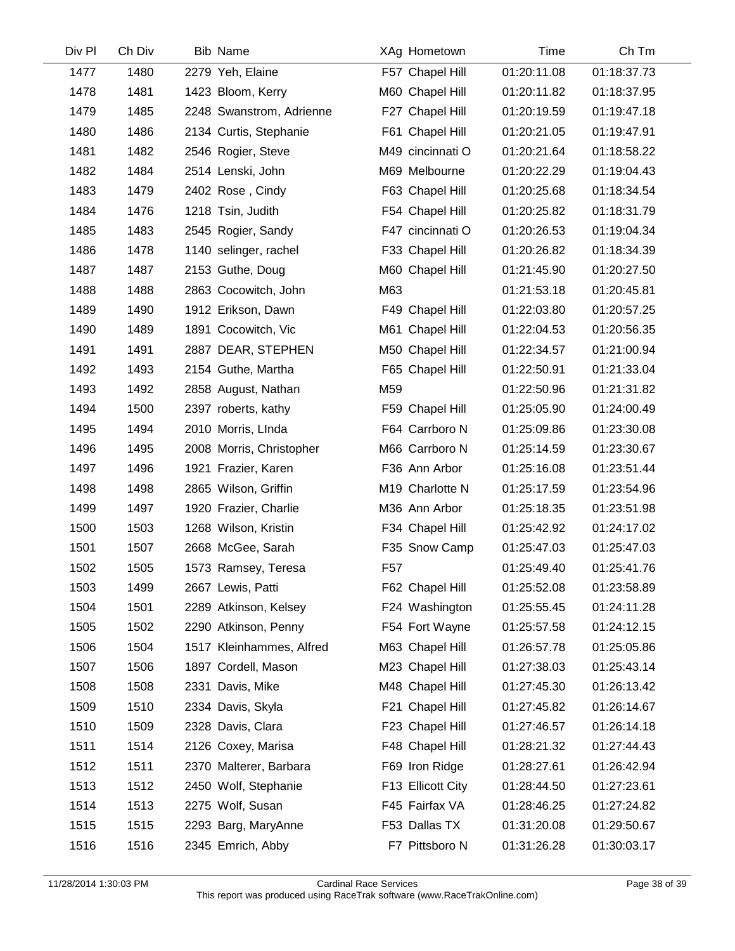| Div Pl | Ch Div | <b>Bib Name</b>          | XAg Hometown      | Time        | Ch Tm       |
|--------|--------|--------------------------|-------------------|-------------|-------------|
| 1477   | 1480   | 2279 Yeh, Elaine         | F57 Chapel Hill   | 01:20:11.08 | 01:18:37.73 |
| 1478   | 1481   | 1423 Bloom, Kerry        | M60 Chapel Hill   | 01:20:11.82 | 01:18:37.95 |
| 1479   | 1485   | 2248 Swanstrom, Adrienne | F27 Chapel Hill   | 01:20:19.59 | 01:19:47.18 |
| 1480   | 1486   | 2134 Curtis, Stephanie   | F61 Chapel Hill   | 01:20:21.05 | 01:19:47.91 |
| 1481   | 1482   | 2546 Rogier, Steve       | M49 cincinnati O  | 01:20:21.64 | 01:18:58.22 |
| 1482   | 1484   | 2514 Lenski, John        | M69 Melbourne     | 01:20:22.29 | 01:19:04.43 |
| 1483   | 1479   | 2402 Rose, Cindy         | F63 Chapel Hill   | 01:20:25.68 | 01:18:34.54 |
| 1484   | 1476   | 1218 Tsin, Judith        | F54 Chapel Hill   | 01:20:25.82 | 01:18:31.79 |
| 1485   | 1483   | 2545 Rogier, Sandy       | F47 cincinnati O  | 01:20:26.53 | 01:19:04.34 |
| 1486   | 1478   | 1140 selinger, rachel    | F33 Chapel Hill   | 01:20:26.82 | 01:18:34.39 |
| 1487   | 1487   | 2153 Guthe, Doug         | M60 Chapel Hill   | 01:21:45.90 | 01:20:27.50 |
| 1488   | 1488   | 2863 Cocowitch, John     | M63               | 01:21:53.18 | 01:20:45.81 |
| 1489   | 1490   | 1912 Erikson, Dawn       | F49 Chapel Hill   | 01:22:03.80 | 01:20:57.25 |
| 1490   | 1489   | 1891 Cocowitch, Vic      | M61 Chapel Hill   | 01:22:04.53 | 01:20:56.35 |
| 1491   | 1491   | 2887 DEAR, STEPHEN       | M50 Chapel Hill   | 01:22:34.57 | 01:21:00.94 |
| 1492   | 1493   | 2154 Guthe, Martha       | F65 Chapel Hill   | 01:22:50.91 | 01:21:33.04 |
| 1493   | 1492   | 2858 August, Nathan      | M59               | 01:22:50.96 | 01:21:31.82 |
| 1494   | 1500   | 2397 roberts, kathy      | F59 Chapel Hill   | 01:25:05.90 | 01:24:00.49 |
| 1495   | 1494   | 2010 Morris, LInda       | F64 Carrboro N    | 01:25:09.86 | 01:23:30.08 |
| 1496   | 1495   | 2008 Morris, Christopher | M66 Carrboro N    | 01:25:14.59 | 01:23:30.67 |
| 1497   | 1496   | 1921 Frazier, Karen      | F36 Ann Arbor     | 01:25:16.08 | 01:23:51.44 |
| 1498   | 1498   | 2865 Wilson, Griffin     | M19 Charlotte N   | 01:25:17.59 | 01:23:54.96 |
| 1499   | 1497   | 1920 Frazier, Charlie    | M36 Ann Arbor     | 01:25:18.35 | 01:23:51.98 |
| 1500   | 1503   | 1268 Wilson, Kristin     | F34 Chapel Hill   | 01:25:42.92 | 01:24:17.02 |
| 1501   | 1507   | 2668 McGee, Sarah        | F35 Snow Camp     | 01:25:47.03 | 01:25:47.03 |
| 1502   | 1505   | 1573 Ramsey, Teresa      | F <sub>57</sub>   | 01:25:49.40 | 01:25:41.76 |
| 1503   | 1499   | 2667 Lewis, Patti        | F62 Chapel Hill   | 01:25:52.08 | 01:23:58.89 |
| 1504   | 1501   | 2289 Atkinson, Kelsey    | F24 Washington    | 01:25:55.45 | 01:24:11.28 |
| 1505   | 1502   | 2290 Atkinson, Penny     | F54 Fort Wayne    | 01:25:57.58 | 01:24:12.15 |
| 1506   | 1504   | 1517 Kleinhammes, Alfred | M63 Chapel Hill   | 01:26:57.78 | 01:25:05.86 |
| 1507   | 1506   | 1897 Cordell, Mason      | M23 Chapel Hill   | 01:27:38.03 | 01:25:43.14 |
| 1508   | 1508   | 2331 Davis, Mike         | M48 Chapel Hill   | 01:27:45.30 | 01:26:13.42 |
| 1509   | 1510   | 2334 Davis, Skyla        | F21 Chapel Hill   | 01:27:45.82 | 01:26:14.67 |
| 1510   | 1509   | 2328 Davis, Clara        | F23 Chapel Hill   | 01:27:46.57 | 01:26:14.18 |
| 1511   | 1514   | 2126 Coxey, Marisa       | F48 Chapel Hill   | 01:28:21.32 | 01:27:44.43 |
| 1512   | 1511   | 2370 Malterer, Barbara   | F69 Iron Ridge    | 01:28:27.61 | 01:26:42.94 |
| 1513   | 1512   | 2450 Wolf, Stephanie     | F13 Ellicott City | 01:28:44.50 | 01:27:23.61 |
| 1514   | 1513   | 2275 Wolf, Susan         | F45 Fairfax VA    | 01:28:46.25 | 01:27:24.82 |
| 1515   | 1515   | 2293 Barg, MaryAnne      | F53 Dallas TX     | 01:31:20.08 | 01:29:50.67 |
| 1516   | 1516   | 2345 Emrich, Abby        | F7 Pittsboro N    | 01:31:26.28 | 01:30:03.17 |